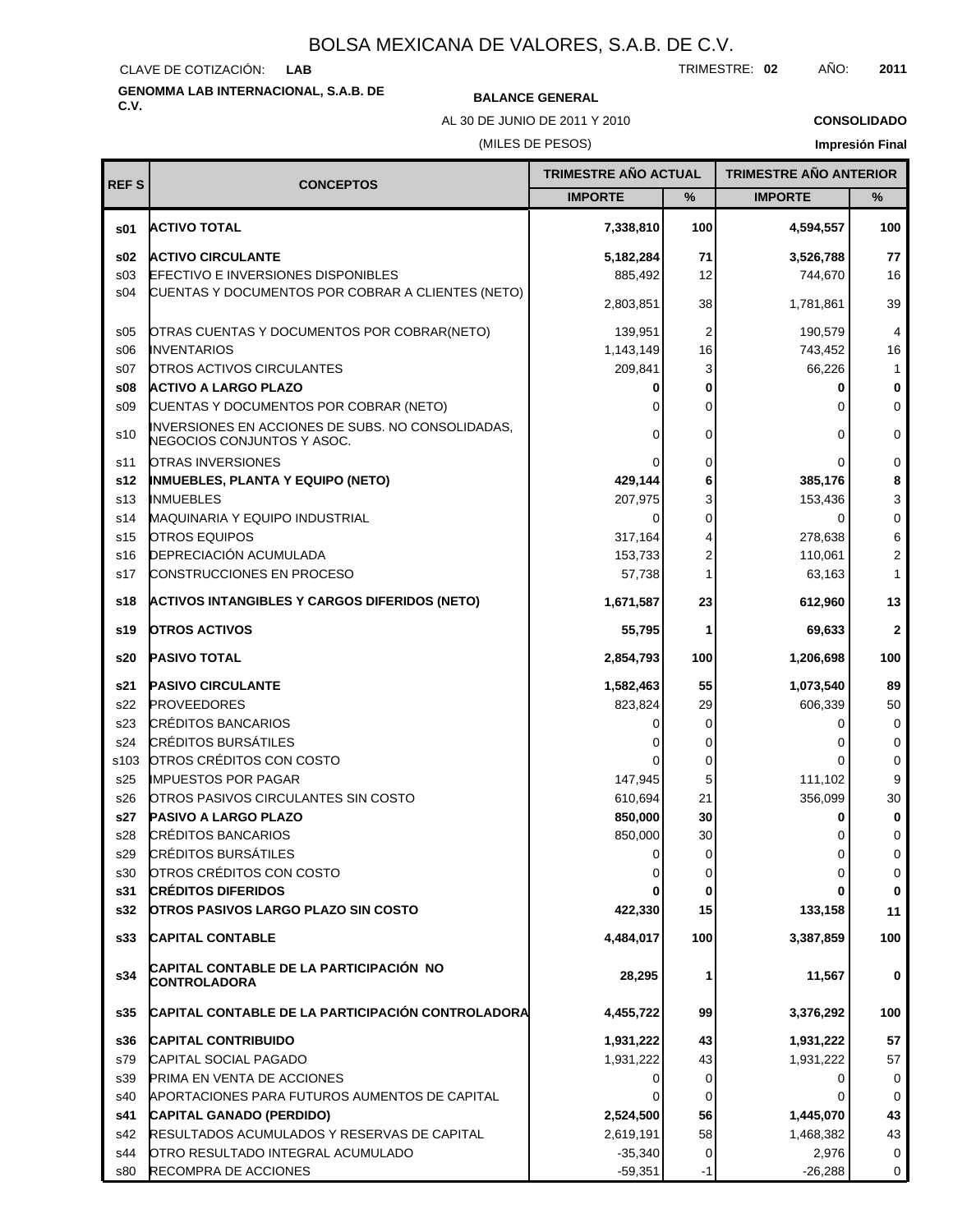CLAVE DE COTIZACIÓN: **LAB**

# **GENOMMA LAB INTERNACIONAL, S.A.B. DE C.V. BALANCE GENERAL**

AL 30 DE JUNIO DE 2011 Y 2010

**CONSOLIDADO**

(MILES DE PESOS)

# **Impresión Final**

| <b>REFS</b>     | <b>CONCEPTOS</b>                                                                | <b>TRIMESTRE AÑO ACTUAL</b> |         | <b>TRIMESTRE AÑO ANTERIOR</b> |                  |
|-----------------|---------------------------------------------------------------------------------|-----------------------------|---------|-------------------------------|------------------|
|                 |                                                                                 | <b>IMPORTE</b>              | %       | <b>IMPORTE</b>                | ℅                |
| s01             | <b>ACTIVO TOTAL</b>                                                             | 7,338,810                   | 100     | 4,594,557                     | 100              |
| \$02            | <b>ACTIVO CIRCULANTE</b>                                                        | 5,182,284                   | 71      | 3,526,788                     | 77               |
| s03             | <b>EFECTIVO E INVERSIONES DISPONIBLES</b>                                       | 885,492                     | 12      | 744,670                       | 16               |
| s04             | CUENTAS Y DOCUMENTOS POR COBRAR A CLIENTES (NETO)                               | 2,803,851                   | 38      | 1,781,861                     | 39               |
| \$05            | OTRAS CUENTAS Y DOCUMENTOS POR COBRAR(NETO)                                     | 139,951                     | 2       | 190,579                       | 4                |
| \$06            | <b>INVENTARIOS</b>                                                              | 1,143,149                   | 16      | 743,452                       | 16               |
| S <sub>07</sub> | OTROS ACTIVOS CIRCULANTES                                                       | 209,841                     | 3       | 66,226                        | 1                |
| s08             | <b>ACTIVO A LARGO PLAZO</b>                                                     | 0                           | 0       | 0                             | 0                |
| s09             | CUENTAS Y DOCUMENTOS POR COBRAR (NETO)                                          | 0                           | 0       | O                             | $\mathbf 0$      |
| s10             | INVERSIONES EN ACCIONES DE SUBS. NO CONSOLIDADAS,<br>NEGOCIOS CONJUNTOS Y ASOC. | 0                           | 0       | 0                             | 0                |
| s11             | <b>OTRAS INVERSIONES</b>                                                        | 0                           | 0       |                               | 0                |
| s12             | <b>INMUEBLES, PLANTA Y EQUIPO (NETO)</b>                                        | 429,144                     | 6       | 385,176                       | 8                |
| s13             | <b>INMUEBLES</b>                                                                | 207,975                     | 3       | 153,436                       | 3                |
| s14             | <b>MAQUINARIA Y EQUIPO INDUSTRIAL</b>                                           | 0                           | 0       | 0                             | $\mathbf 0$      |
| s15             | OTROS EQUIPOS                                                                   | 317,164                     | 4       | 278,638                       | 6                |
| s16             | DEPRECIACIÓN ACUMULADA                                                          | 153,733                     | 2       | 110,061                       | $\boldsymbol{2}$ |
| s17             | CONSTRUCCIONES EN PROCESO                                                       | 57,738                      | 1       | 63,163                        | 1                |
| s18             | <b>ACTIVOS INTANGIBLES Y CARGOS DIFERIDOS (NETO)</b>                            | 1,671,587                   | 23      | 612,960                       | 13               |
| s19             | <b>OTROS ACTIVOS</b>                                                            | 55,795                      | 1       | 69,633                        | $\mathbf{2}$     |
| s20             | <b>PASIVO TOTAL</b>                                                             | 2,854,793                   | 100     | 1,206,698                     | 100              |
| s21             | <b>PASIVO CIRCULANTE</b>                                                        | 1,582,463                   | 55      | 1,073,540                     | 89               |
| s22             | <b>PROVEEDORES</b>                                                              | 823,824                     | 29      | 606,339                       | 50               |
| s23             | <b>CRÉDITOS BANCARIOS</b>                                                       | 0                           | 0       | 0                             | 0                |
| s24             | <b>CRÉDITOS BURSÁTILES</b>                                                      |                             | 0       |                               | 0                |
| s103            | OTROS CRÉDITOS CON COSTO                                                        |                             | 0       | 0                             | 0                |
| s25             | <b>IMPUESTOS POR PAGAR</b>                                                      | 147,945                     | 5       | 111,102                       | 9                |
| s26             | <b>OTROS PASIVOS CIRCULANTES SIN COSTO</b>                                      | 610,694                     | 21      | 356,099                       | 30               |
| s27             | <b>PASIVO A LARGO PLAZO</b>                                                     | 850,000                     | 30      | 0                             | 0                |
| s28             | <b>CRÉDITOS BANCARIOS</b>                                                       | 850,000                     | 30      |                               | $\mathbf 0$      |
| s29             | CRÉDITOS BURSÁTILES                                                             | 0                           | 0       | 0                             | 0                |
| s30             | OTROS CRÉDITOS CON COSTO                                                        | 0                           | 0       | 0                             | 0                |
| s31<br>s32      | <b>CRÉDITOS DIFERIDOS</b><br><b>OTROS PASIVOS LARGO PLAZO SIN COSTO</b>         | 422,330                     | 0<br>15 | 133,158                       | 0<br>11          |
| s33             | <b>CAPITAL CONTABLE</b>                                                         | 4,484,017                   | 100     | 3,387,859                     | 100              |
| s34             | CAPITAL CONTABLE DE LA PARTICIPACIÓN NO<br><b>CONTROLADORA</b>                  | 28,295                      | 1       | 11,567                        | 0                |
| s35             | CAPITAL CONTABLE DE LA PARTICIPACIÓN CONTROLADORA                               | 4,455,722                   | 99      | 3,376,292                     | 100              |
| s36             | CAPITAL CONTRIBUIDO                                                             | 1,931,222                   | 43      | 1,931,222                     | 57               |
| s79             | CAPITAL SOCIAL PAGADO                                                           | 1,931,222                   | 43      | 1,931,222                     | 57               |
| s39             | <b>PRIMA EN VENTA DE ACCIONES</b>                                               | 0                           | 0       | 0                             | 0                |
| s40             | APORTACIONES PARA FUTUROS AUMENTOS DE CAPITAL                                   |                             | 0       |                               | 0                |
| s41             | CAPITAL GANADO (PERDIDO)                                                        | 2,524,500                   | 56      | 1,445,070                     | 43               |
| s42             | <b>RESULTADOS ACUMULADOS Y RESERVAS DE CAPITAL</b>                              | 2,619,191                   | 58      | 1,468,382                     | 43               |
| s44             | OTRO RESULTADO INTEGRAL ACUMULADO                                               | $-35,340$                   | 0       | 2,976                         | 0                |
| s80             | RECOMPRA DE ACCIONES                                                            | $-59,351$                   | -1      | $-26,288$                     | 0                |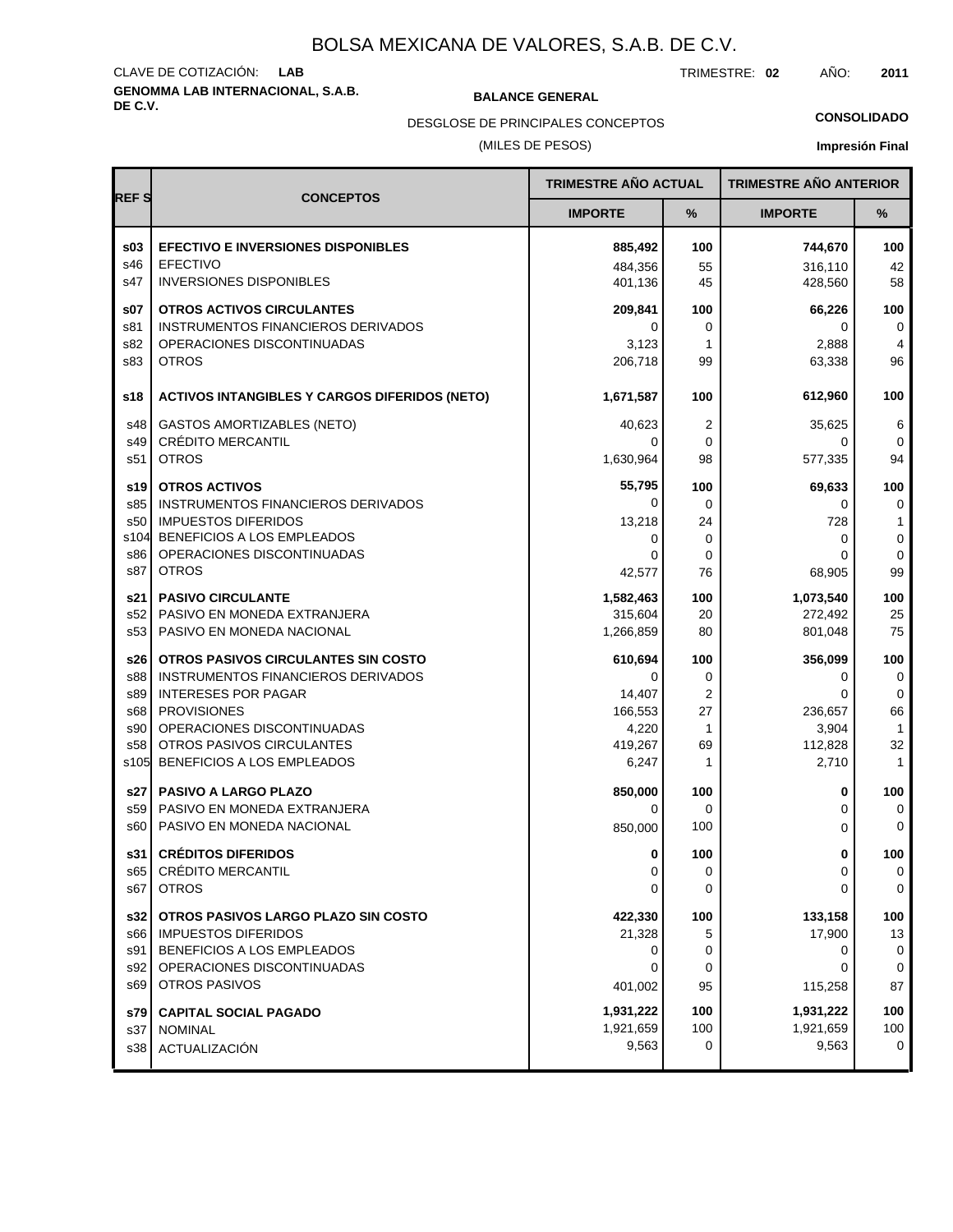### **GENOMMA LAB INTERNACIONAL, S.A.B.** CLAVE DE COTIZACIÓN: **LAB**

**BALANCE GENERAL** 

TRIMESTRE: **02** AÑO: **2011**

DESGLOSE DE PRINCIPALES CONCEPTOS

### **CONSOLIDADO**

**Final** 

**133,158** 17,900 0 0 115,258 **1,931,222** 1,921,659 9,563

|                 |                                                      | (MILES DE PESOS)            |                |                               | Impresión Fina |  |
|-----------------|------------------------------------------------------|-----------------------------|----------------|-------------------------------|----------------|--|
| REF S           | <b>CONCEPTOS</b>                                     | <b>TRIMESTRE AÑO ACTUAL</b> |                | <b>TRIMESTRE AÑO ANTERIOR</b> |                |  |
|                 |                                                      | <b>IMPORTE</b>              | $\%$           | <b>IMPORTE</b>                | %              |  |
| \$03            | <b>EFECTIVO E INVERSIONES DISPONIBLES</b>            | 885,492                     | 100            | 744,670                       | 100            |  |
| s46             | <b>EFECTIVO</b>                                      | 484,356                     | 55             | 316,110                       | 42             |  |
| s47             | <b>INVERSIONES DISPONIBLES</b>                       | 401,136                     | 45             | 428,560                       | 58             |  |
| s07             | <b>OTROS ACTIVOS CIRCULANTES</b>                     | 209,841                     | 100            | 66,226                        | 100            |  |
| s81             | <b>INSTRUMENTOS FINANCIEROS DERIVADOS</b>            | 0                           | 0              | $\Omega$                      | $\mathbf 0$    |  |
| s82             | OPERACIONES DISCONTINUADAS                           | 3,123                       | 1              | 2,888                         | $\overline{4}$ |  |
| s83             | <b>OTROS</b>                                         | 206,718                     | 99             | 63,338                        | 96             |  |
| s18             | <b>ACTIVOS INTANGIBLES Y CARGOS DIFERIDOS (NETO)</b> | 1,671,587                   | 100            | 612,960                       | 100            |  |
| s48             | <b>GASTOS AMORTIZABLES (NETO)</b>                    | 40,623                      | 2              | 35,625                        | 6              |  |
| s49             | <b>CRÉDITO MERCANTIL</b>                             | $\Omega$                    | $\mathbf{0}$   | $\Omega$                      | $\mathbf 0$    |  |
| s51             | <b>OTROS</b>                                         | 1,630,964                   | 98             | 577,335                       | 94             |  |
| s19             | <b>OTROS ACTIVOS</b>                                 | 55,795                      | 100            | 69,633                        | 100            |  |
| s85             | INSTRUMENTOS FINANCIEROS DERIVADOS                   | 0                           | $\mathbf{0}$   | 0                             | $\mathbf 0$    |  |
| s50             | <b>IMPUESTOS DIFERIDOS</b>                           | 13,218                      | 24             | 728                           | 1              |  |
| s104            | BENEFICIOS A LOS EMPLEADOS                           | 0                           | $\Omega$       | $\Omega$                      | $\mathbf 0$    |  |
| s86             | OPERACIONES DISCONTINUADAS                           | $\Omega$                    | 0              | $\Omega$                      | $\mathbf 0$    |  |
| s87             | <b>OTROS</b>                                         | 42,577                      | 76             | 68,905                        | 99             |  |
| s21             | <b>PASIVO CIRCULANTE</b>                             | 1,582,463                   | 100            | 1,073,540                     | 100            |  |
| s52             | PASIVO EN MONEDA EXTRANJERA                          | 315,604                     | 20             | 272,492                       | 25             |  |
| s <sub>53</sub> | PASIVO EN MONEDA NACIONAL                            | 1,266,859                   | 80             | 801,048                       | 75             |  |
| s26             | OTROS PASIVOS CIRCULANTES SIN COSTO                  | 610,694                     | 100            | 356,099                       | 100            |  |
| s88             | <b>INSTRUMENTOS FINANCIEROS DERIVADOS</b>            | 0                           | 0              | 0                             | $\mathbf 0$    |  |
| s89             | <b>INTERESES POR PAGAR</b>                           | 14,407                      | $\overline{2}$ | $\Omega$                      | $\mathbf 0$    |  |
| s68             | <b>PROVISIONES</b>                                   | 166,553                     | 27             | 236,657                       | 66             |  |
| s90             | OPERACIONES DISCONTINUADAS                           | 4,220                       | 1              | 3,904                         | $\mathbf{1}$   |  |
| s58             | <b>OTROS PASIVOS CIRCULANTES</b>                     | 419,267                     | 69             | 112,828                       | 32             |  |
| s105            | BENEFICIOS A LOS EMPLEADOS                           | 6,247                       | 1              | 2,710                         | 1              |  |
| s27             | <b>PASIVO A LARGO PLAZO</b>                          | 850,000                     | 100            | 0                             | 100            |  |
| s <sub>59</sub> | PASIVO EN MONEDA EXTRANJERA                          | 0                           | 0              | 0                             | $\mathbf 0$    |  |
| s60 l           | PASIVO EN MONEDA NACIONAL                            | 850.000                     | 100            | 0                             | $\mathbf 0$    |  |

**s32** s66 s91 s92 s69 **s79** s38 s37 s60 PASIVO EN MONEDA NACIONAL **s31** s67 s65 **OTROS PASIVOS LARGO PLAZO SIN COSTO** IMPUESTOS DIFERIDOS BENEFICIOS A LOS EMPLEADOS OPERACIONES DISCONTINUADAS OTROS PASIVOS **CAPITAL SOCIAL PAGADO** ACTUALIZACIÓN NOMINAL **CRÉDITOS DIFERIDOS OTROS** CRÉDITO MERCANTIL 850,000 **0** 0  $\overline{0}$ **422,330** 21,328 0 0 401,002 **1,931,222** 1,921,659 9,563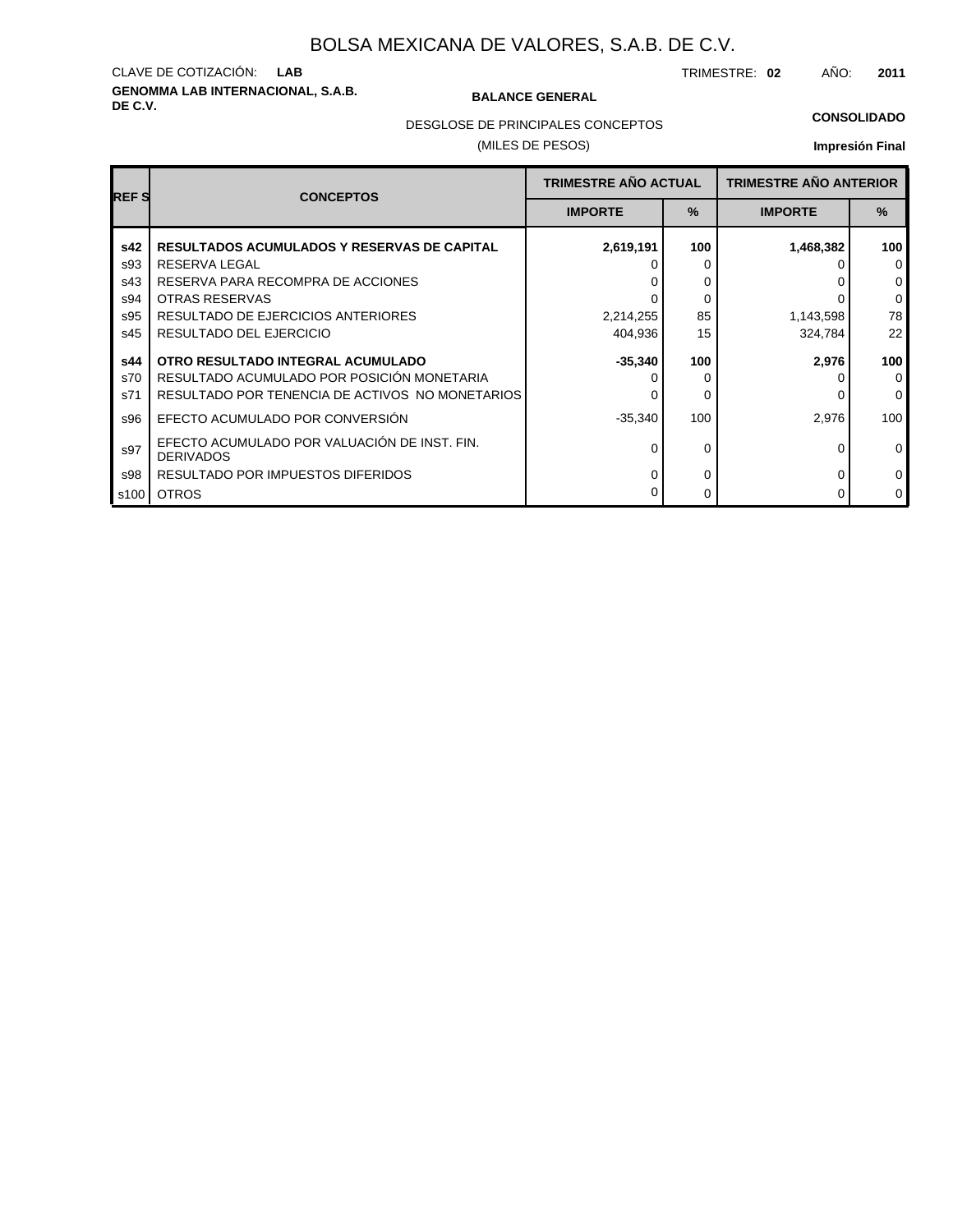# **GENOMMA LAB INTERNACIONAL, S.A.B. DE C.V. BALANCE GENERAL** CLAVE DE COTIZACIÓN: **LAB**

TRIMESTRE: **02** AÑO: **2011**

### **CONSOLIDADO**

DESGLOSE DE PRINCIPALES CONCEPTOS

## (MILES DE PESOS)

### **Impresión Final**

| <b>REFS</b> | <b>CONCEPTOS</b>                                                 | <b>TRIMESTRE AÑO ACTUAL</b> |               | <b>TRIMESTRE AÑO ANTERIOR</b> |             |
|-------------|------------------------------------------------------------------|-----------------------------|---------------|-------------------------------|-------------|
|             |                                                                  | <b>IMPORTE</b>              | $\frac{9}{6}$ | <b>IMPORTE</b>                | $\%$        |
| s42         | <b>RESULTADOS ACUMULADOS Y RESERVAS DE CAPITAL</b>               | 2,619,191                   | 100           | 1,468,382                     | 100         |
| s93         | RESERVA LEGAL                                                    |                             | 0             |                               | $\Omega$    |
| s43         | RESERVA PARA RECOMPRA DE ACCIONES                                |                             | 0             |                               | 0           |
| s94         | OTRAS RESERVAS                                                   |                             | 0             |                               | 0           |
| s95         | RESULTADO DE EJERCICIOS ANTERIORES                               | 2,214,255                   | 85            | 1,143,598                     | 78          |
| s45         | RESULTADO DEL EJERCICIO                                          | 404,936                     | 15            | 324,784                       | 22          |
| s44         | OTRO RESULTADO INTEGRAL ACUMULADO                                | $-35,340$                   | 100           | 2,976                         | 100         |
| s70         | RESULTADO ACUMULADO POR POSICIÓN MONETARIA                       |                             | 0             |                               | $\mathbf 0$ |
| s71         | RESULTADO POR TENENCIA DE ACTIVOS NO MONETARIOS                  | O                           | 0             | O                             | $\mathbf 0$ |
| s96         | EFECTO ACUMULADO POR CONVERSIÓN                                  | $-35,340$                   | 100           | 2,976                         | 100         |
| s97         | EFECTO ACUMULADO POR VALUACIÓN DE INST. FIN.<br><b>DERIVADOS</b> | 0                           | 0             | 0                             | $\mathbf 0$ |
| s98         | RESULTADO POR IMPUESTOS DIFERIDOS                                | O                           | 0             |                               | $\mathbf 0$ |
| s100        | <b>OTROS</b>                                                     |                             | 0             |                               | $\mathbf 0$ |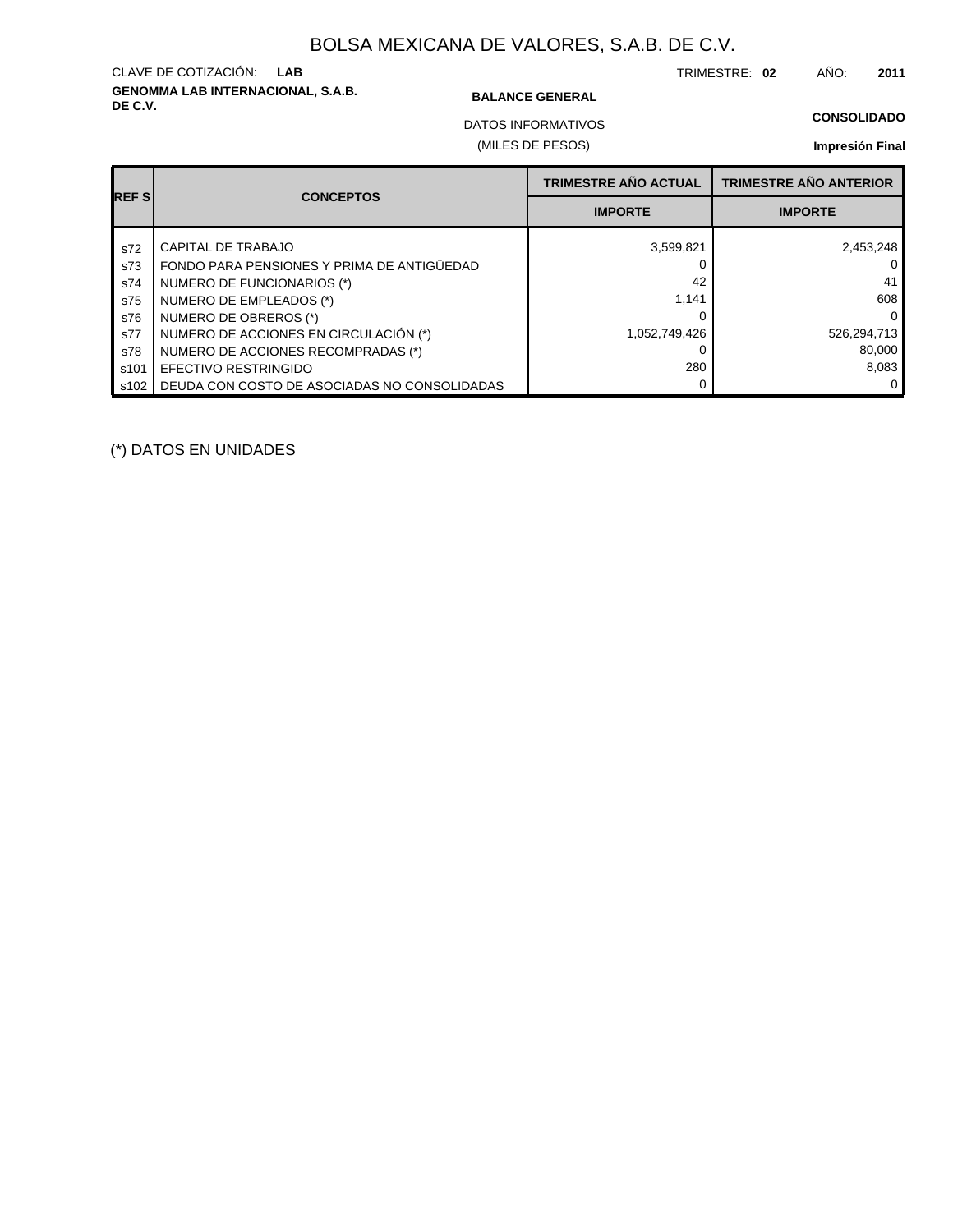# **GENOMMA LAB INTERNACIONAL, S.A.B. DE C.V. BALANCE GENERAL** CLAVE DE COTIZACIÓN: **LAB**

TRIMESTRE: **02** AÑO: **2011**

**CONSOLIDADO**

DATOS INFORMATIVOS

### (MILES DE PESOS)

### **Impresión Final**

| <b>REFS</b> | <b>CONCEPTOS</b>                             | <b>TRIMESTRE AÑO ACTUAL</b> | <b>TRIMESTRE AÑO ANTERIOR</b> |  |
|-------------|----------------------------------------------|-----------------------------|-------------------------------|--|
|             |                                              | <b>IMPORTE</b>              | <b>IMPORTE</b>                |  |
| s72         | CAPITAL DE TRABAJO                           | 3,599,821                   | 2,453,248                     |  |
| s73         | FONDO PARA PENSIONES Y PRIMA DE ANTIGÜEDAD   |                             |                               |  |
| s74         | NUMERO DE FUNCIONARIOS (*)                   | 42                          | 41                            |  |
| s75         | NUMERO DE EMPLEADOS (*)                      | 1,141                       | 608                           |  |
| s76         | NUMERO DE OBREROS (*)                        |                             | O                             |  |
| s77         | NUMERO DE ACCIONES EN CIRCULACIÓN (*)        | 1,052,749,426               | 526,294,713                   |  |
| s78         | NUMERO DE ACCIONES RECOMPRADAS (*)           |                             | 80,000                        |  |
| s101        | EFECTIVO RESTRINGIDO                         | 280                         | 8,083                         |  |
| s102        | DEUDA CON COSTO DE ASOCIADAS NO CONSOLIDADAS |                             |                               |  |

(\*) DATOS EN UNIDADES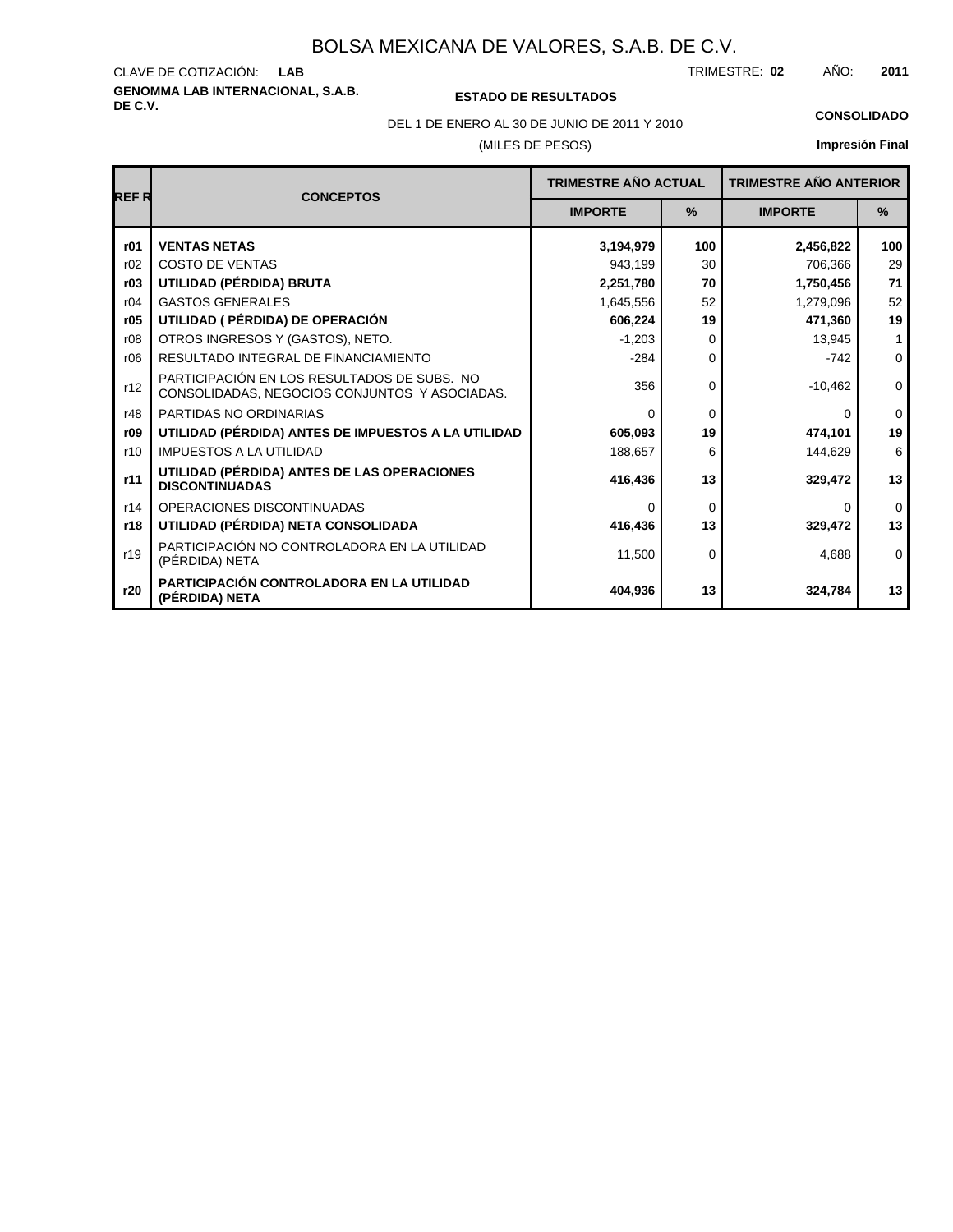# **GENOMMA LAB INTERNACIONAL, S.A.B.** CLAVE DE COTIZACIÓN:

**DE C.V. ESTADO DE RESULTADOS**

TRIMESTRE: AÑO: **LAB 02 2011**

DEL 1 DE ENERO AL 30 DE JUNIO DE 2011 Y 2010 **CONSOLIDADO**

### (MILES DE PESOS)

### **Impresión Final**

| <b>REFR</b> | <b>CONCEPTOS</b>                                                                             |                | TRIMESTRE AÑO ACTUAL |                | <b>TRIMESTRE AÑO ANTERIOR</b> |
|-------------|----------------------------------------------------------------------------------------------|----------------|----------------------|----------------|-------------------------------|
|             |                                                                                              | <b>IMPORTE</b> | $\frac{9}{6}$        | <b>IMPORTE</b> | $\frac{9}{6}$                 |
| r01         | <b>VENTAS NETAS</b>                                                                          | 3,194,979      | 100                  | 2,456,822      | 100                           |
| r02         | <b>COSTO DE VENTAS</b>                                                                       | 943,199        | 30                   | 706,366        | 29                            |
| r03         | UTILIDAD (PÉRDIDA) BRUTA                                                                     | 2,251,780      | 70                   | 1,750,456      | 71                            |
| r04         | <b>GASTOS GENERALES</b>                                                                      | 1,645,556      | 52                   | 1,279,096      | 52                            |
| r05         | UTILIDAD ( PÉRDIDA) DE OPERACIÓN                                                             | 606,224        | 19                   | 471,360        | 19                            |
| r08         | OTROS INGRESOS Y (GASTOS), NETO.                                                             | $-1,203$       | 0                    | 13.945         | 1                             |
| r06         | RESULTADO INTEGRAL DE FINANCIAMIENTO                                                         | $-284$         | 0                    | $-742$         | $\mathbf 0$                   |
| r12         | PARTICIPACIÓN EN LOS RESULTADOS DE SUBS. NO<br>CONSOLIDADAS, NEGOCIOS CONJUNTOS Y ASOCIADAS. | 356            | $\Omega$             | $-10,462$      | $\mathbf 0$                   |
| r48         | PARTIDAS NO ORDINARIAS                                                                       | O              | $\Omega$             | 0              | $\mathbf 0$                   |
| r09         | UTILIDAD (PÉRDIDA) ANTES DE IMPUESTOS A LA UTILIDAD                                          | 605,093        | 19                   | 474,101        | 19                            |
| r10         | <b>IMPUESTOS A LA UTILIDAD</b>                                                               | 188,657        | 6                    | 144,629        | 6                             |
| r11         | UTILIDAD (PÉRDIDA) ANTES DE LAS OPERACIONES<br><b>DISCONTINUADAS</b>                         | 416,436        | 13                   | 329,472        | 13                            |
| r14         | OPERACIONES DISCONTINUADAS                                                                   | 0              | 0                    | 0              | $\mathbf 0$                   |
| r18         | UTILIDAD (PÉRDIDA) NETA CONSOLIDADA                                                          | 416,436        | 13                   | 329,472        | 13                            |
| r19         | PARTICIPACIÓN NO CONTROLADORA EN LA UTILIDAD<br>(PÉRDIDA) NETA                               | 11,500         | $\Omega$             | 4,688          | 0                             |
| r20         | PARTICIPACIÓN CONTROLADORA EN LA UTILIDAD<br>(PÉRDIDA) NETA                                  | 404,936        | 13                   | 324,784        | 13                            |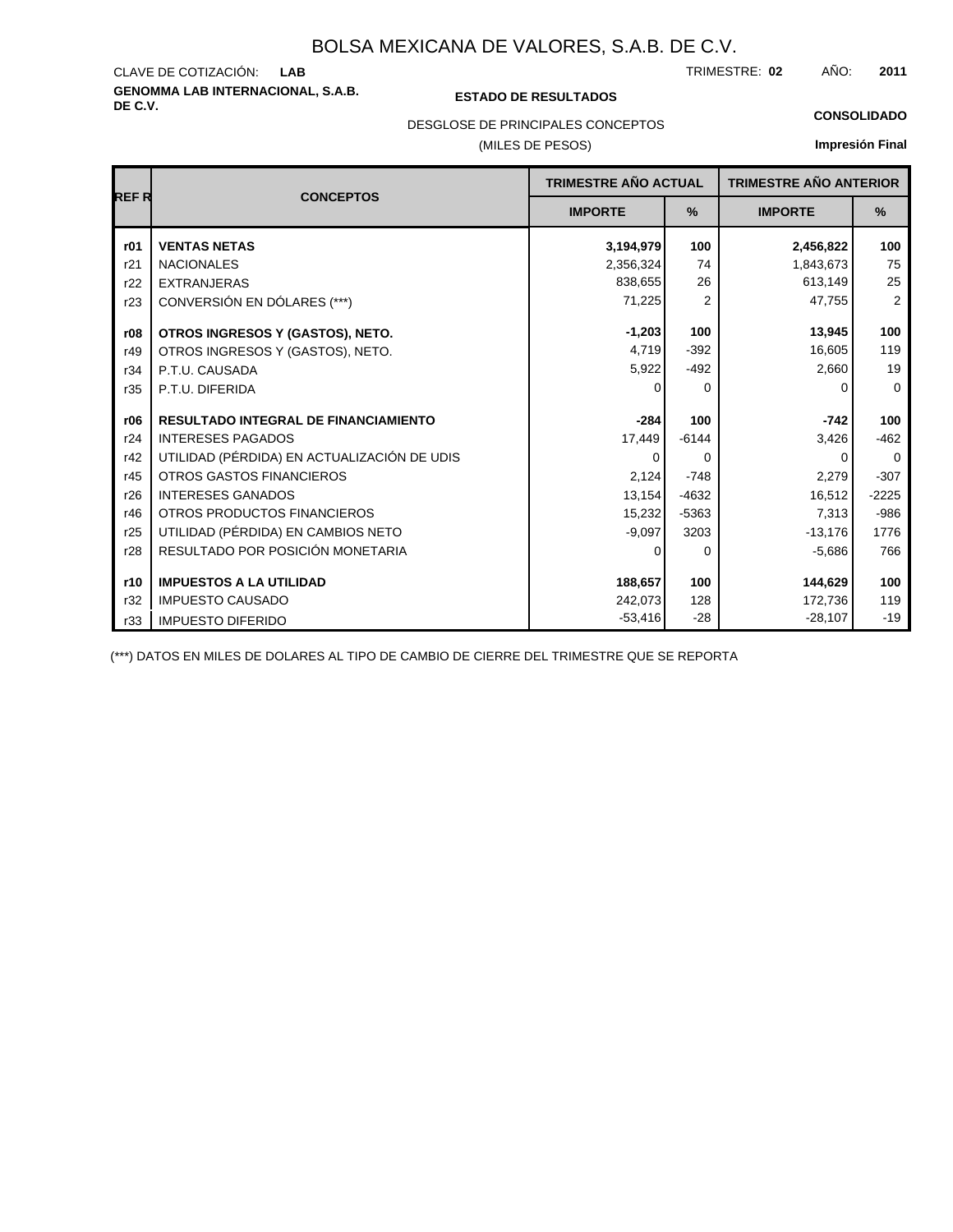# **GENOMMA LAB INTERNACIONAL, S.A.B. DE C.V. ESTADO DE RESULTADOS** CLAVE DE COTIZACIÓN:

TRIMESTRE: AÑO: **LAB 02 2011**

### **CONSOLIDADO**

(MILES DE PESOS) DESGLOSE DE PRINCIPALES CONCEPTOS

# **Impresión Final**

| <b>REFR</b> | <b>CONCEPTOS</b>                            | <b>TRIMESTRE AÑO ACTUAL</b> |          | <b>TRIMESTRE AÑO ANTERIOR</b> |          |  |
|-------------|---------------------------------------------|-----------------------------|----------|-------------------------------|----------|--|
|             |                                             | <b>IMPORTE</b>              | %        | <b>IMPORTE</b>                | %        |  |
| r01         | <b>VENTAS NETAS</b>                         | 3,194,979                   | 100      | 2,456,822                     | 100      |  |
| r21         | <b>NACIONALES</b>                           | 2,356,324                   | 74       | 1,843,673                     | 75       |  |
| r22         | <b>EXTRANJERAS</b>                          | 838,655                     | 26       | 613,149                       | 25       |  |
| r23         | CONVERSIÓN EN DÓLARES (***)                 | 71,225                      | 2        | 47,755                        | 2        |  |
| r08         | OTROS INGRESOS Y (GASTOS), NETO.            | $-1,203$                    | 100      | 13,945                        | 100      |  |
| r49         | OTROS INGRESOS Y (GASTOS), NETO.            | 4,719                       | $-392$   | 16,605                        | 119      |  |
| r34         | P.T.U. CAUSADA                              | 5,922                       | $-492$   | 2,660                         | 19       |  |
| r35         | P.T.U. DIFERIDA                             | 0                           | 0        | O                             | $\Omega$ |  |
| r06         | <b>RESULTADO INTEGRAL DE FINANCIAMIENTO</b> | $-284$                      | 100      | $-742$                        | 100      |  |
|             |                                             |                             |          |                               |          |  |
| r24         | <b>INTERESES PAGADOS</b>                    | 17,449                      | $-6144$  | 3,426                         | $-462$   |  |
| r42         | UTILIDAD (PÉRDIDA) EN ACTUALIZACIÓN DE UDIS | $\Omega$                    | $\Omega$ | 0                             | $\Omega$ |  |
| r45         | <b>OTROS GASTOS FINANCIEROS</b>             | 2,124                       | $-748$   | 2,279                         | $-307$   |  |
| r26         | <b>INTERESES GANADOS</b>                    | 13,154                      | $-4632$  | 16,512                        | $-2225$  |  |
| r46         | OTROS PRODUCTOS FINANCIEROS                 | 15,232                      | $-5363$  | 7,313                         | $-986$   |  |
| r25         | UTILIDAD (PÉRDIDA) EN CAMBIOS NETO          | $-9,097$                    | 3203     | $-13,176$                     | 1776     |  |
| r28         | RESULTADO POR POSICIÓN MONETARIA            | 0                           | 0        | $-5,686$                      | 766      |  |
| r10         | <b>IMPUESTOS A LA UTILIDAD</b>              | 188,657                     | 100      | 144,629                       | 100      |  |
| r32         | <b>IMPUESTO CAUSADO</b>                     | 242,073                     | 128      | 172,736                       | 119      |  |
| r33         | <b>IMPUESTO DIFERIDO</b>                    | $-53,416$                   | $-28$    | $-28,107$                     | $-19$    |  |

(\*\*\*) DATOS EN MILES DE DOLARES AL TIPO DE CAMBIO DE CIERRE DEL TRIMESTRE QUE SE REPORTA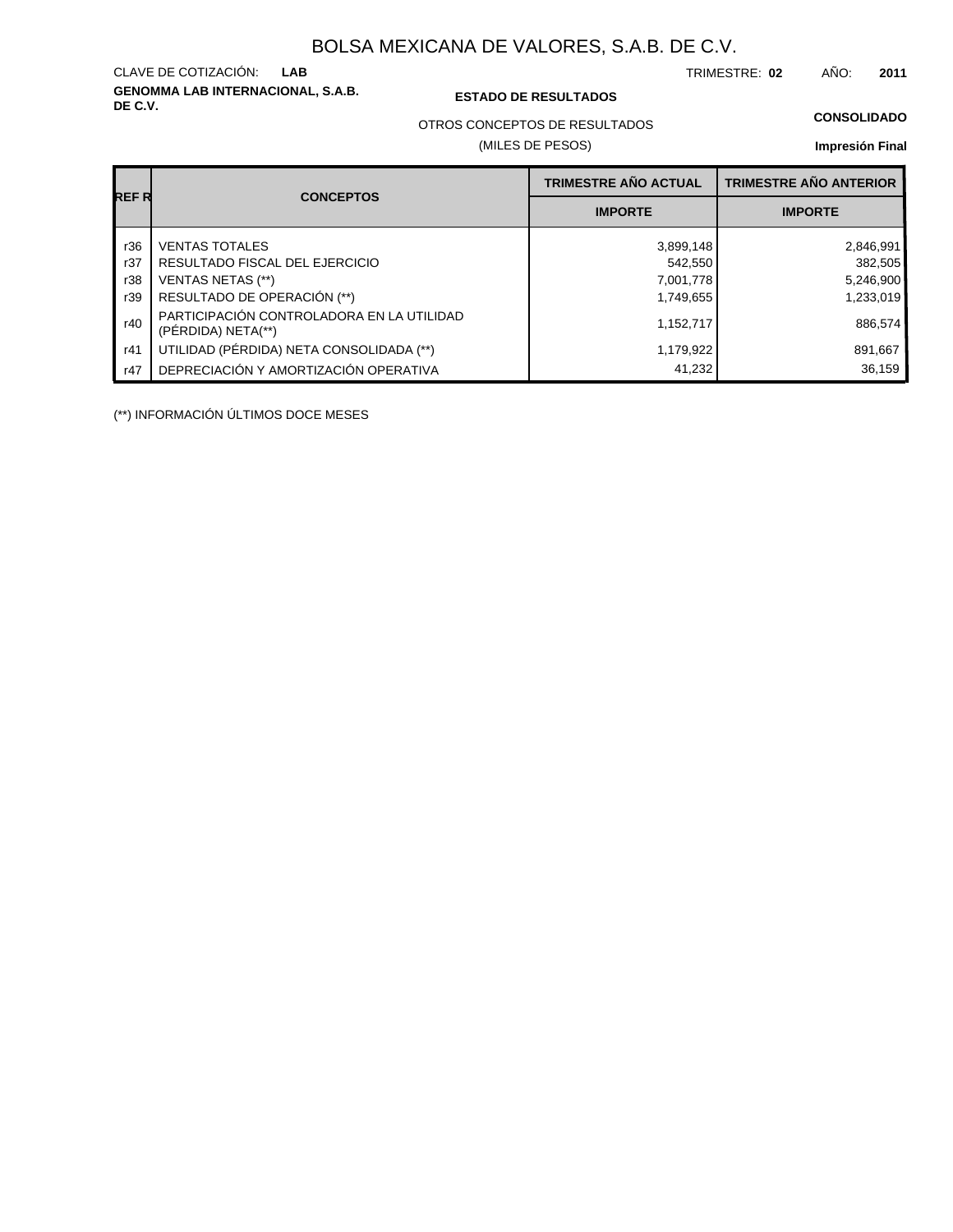**GENOMMA LAB INTERNACIONAL, S.A.B.** CLAVE DE COTIZACIÓN:

## **DE C.V. ESTADO DE RESULTADOS**

TRIMESTRE: AÑO: **LAB 02 2011**

### **CONSOLIDADO**

OTROS CONCEPTOS DE RESULTADOS

(MILES DE PESOS)

# **Impresión Final**

|       |                                                                 | <b>TRIMESTRE AÑO ACTUAL</b> | <b>TRIMESTRE AÑO ANTERIOR</b> |  |
|-------|-----------------------------------------------------------------|-----------------------------|-------------------------------|--|
| REF R | <b>CONCEPTOS</b>                                                | <b>IMPORTE</b>              | <b>IMPORTE</b>                |  |
| r36   | <b>VENTAS TOTALES</b>                                           | 3,899,148                   | 2,846,991                     |  |
| r37   | RESULTADO FISCAL DEL EJERCICIO                                  | 542,550                     | 382,505                       |  |
| r38   | VENTAS NETAS (**)                                               | 7,001,778                   | 5,246,900                     |  |
| r39   | RESULTADO DE OPERACIÓN (**)                                     | 1,749,655                   | 1,233,019                     |  |
| r40   | PARTICIPACIÓN CONTROLADORA EN LA UTILIDAD<br>(PÉRDIDA) NETA(**) | 1,152,717                   | 886,574                       |  |
| r41   | UTILIDAD (PÉRDIDA) NETA CONSOLIDADA (**)                        | 1,179,922                   | 891,667                       |  |
| r47   | DEPRECIACIÓN Y AMORTIZACIÓN OPERATIVA                           | 41,232                      | 36,159                        |  |

(\*\*) INFORMACIÓN ÚLTIMOS DOCE MESES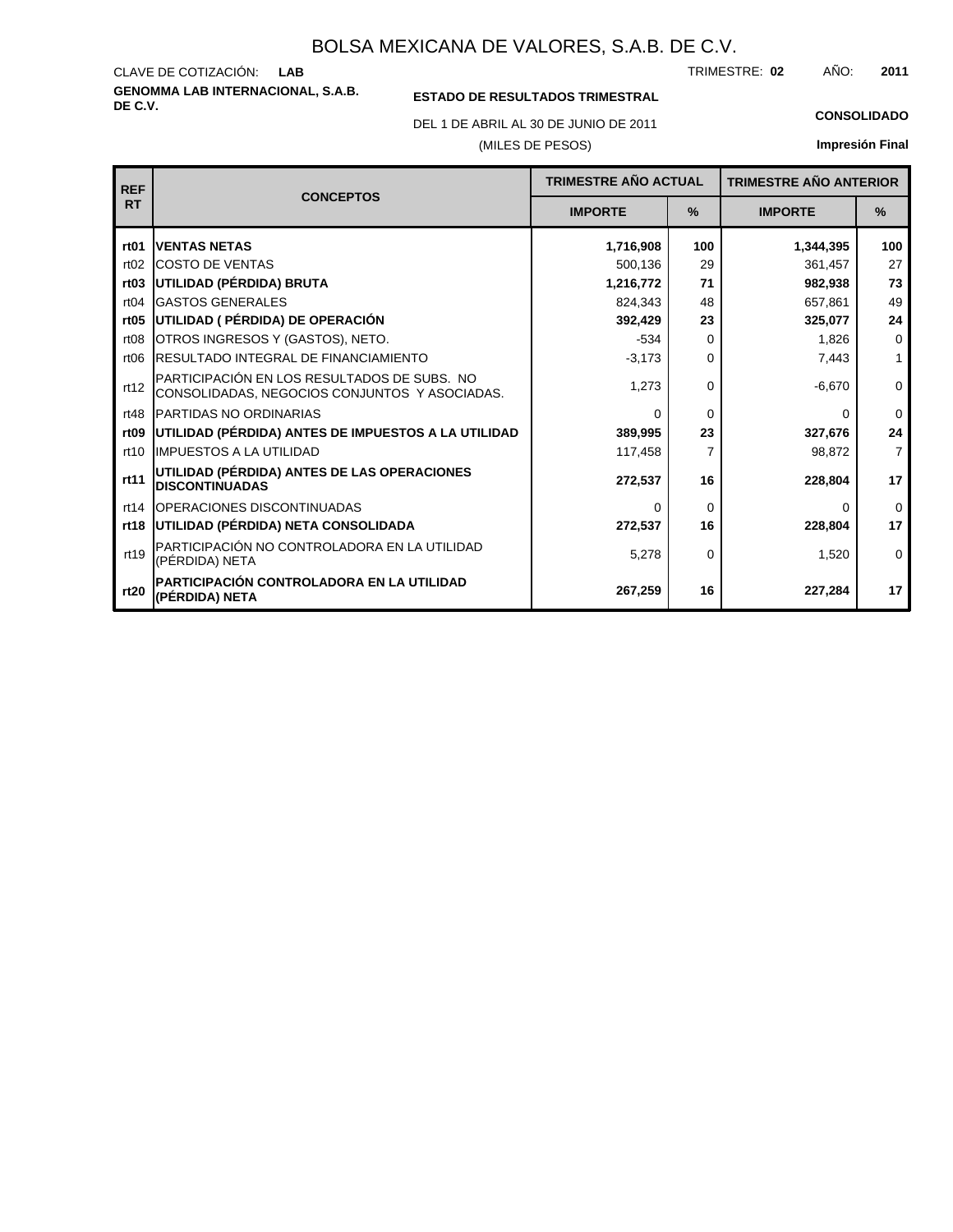**GENOMMA LAB INTERNACIONAL, S.A.B.** CLAVE DE COTIZACIÓN: TRIMESTRE: AÑO: **LAB 02 2011**

# **ESTADO DE RESULTADOS TRIMESTRAL**

DEL 1 DE ABRIL AL 30 DE JUNIO DE 2011 **CONSOLIDADO**

(MILES DE PESOS)

**Impresión Final**

| <b>REF</b>       | <b>CONCEPTOS</b>                                                                             |                | <b>TRIMESTRE AÑO ACTUAL</b> |                | <b>TRIMESTRE AÑO ANTERIOR</b> |
|------------------|----------------------------------------------------------------------------------------------|----------------|-----------------------------|----------------|-------------------------------|
| <b>RT</b>        |                                                                                              | <b>IMPORTE</b> | $\frac{9}{6}$               | <b>IMPORTE</b> | $\frac{9}{6}$                 |
| rt <sub>01</sub> | <b>IVENTAS NETAS</b>                                                                         | 1,716,908      | 100                         | 1,344,395      | 100                           |
| rt02             | <b>ICOSTO DE VENTAS</b>                                                                      | 500,136        | 29                          | 361,457        | 27                            |
| rt <sub>03</sub> | UTILIDAD (PÉRDIDA) BRUTA                                                                     | 1,216,772      | 71                          | 982,938        | 73                            |
| rt04             | <b>GASTOS GENERALES</b>                                                                      | 824.343        | 48                          | 657,861        | 49                            |
| rt <sub>05</sub> | UTILIDAD ( PÉRDIDA) DE OPERACIÓN                                                             | 392,429        | 23                          | 325,077        | 24                            |
| rt08             | OTROS INGRESOS Y (GASTOS), NETO.                                                             | $-534$         | $\Omega$                    | 1,826          | 0                             |
| rt <sub>06</sub> | <b>IRESULTADO INTEGRAL DE FINANCIAMIENTO</b>                                                 | $-3,173$       | $\Omega$                    | 7,443          |                               |
| rt12             | PARTICIPACIÓN EN LOS RESULTADOS DE SUBS. NO<br>CONSOLIDADAS, NEGOCIOS CONJUNTOS Y ASOCIADAS. | 1,273          | 0                           | $-6,670$       | 0                             |
| rt48             | <b>IPARTIDAS NO ORDINARIAS</b>                                                               | $\Omega$       | 0                           | 0              | $\Omega$                      |
| rt <sub>09</sub> | UTILIDAD (PÉRDIDA) ANTES DE IMPUESTOS A LA UTILIDAD                                          | 389,995        | 23                          | 327,676        | 24                            |
| rt10             | <b>IIMPUESTOS A LA UTILIDAD</b>                                                              | 117,458        |                             | 98,872         | $\overline{7}$                |
| rt11             | UTILIDAD (PÉRDIDA) ANTES DE LAS OPERACIONES<br><b>DISCONTINUADAS</b>                         | 272,537        | 16                          | 228,804        | 17                            |
| rt14             | <b>IOPERACIONES DISCONTINUADAS</b>                                                           | $\Omega$       | $\Omega$                    | 0              | $\mathbf 0$                   |
| rt18             | UTILIDAD (PÉRDIDA) NETA CONSOLIDADA                                                          | 272,537        | 16                          | 228,804        | 17                            |
| rt19             | PARTICIPACIÓN NO CONTROLADORA EN LA UTILIDAD<br>(PÉRDIDA) NETA                               | 5,278          | 0                           | 1,520          | 0                             |
| rt20             | PARTICIPACIÓN CONTROLADORA EN LA UTILIDAD<br>(PÉRDIDA) NETA                                  | 267,259        | 16                          | 227,284        | 17                            |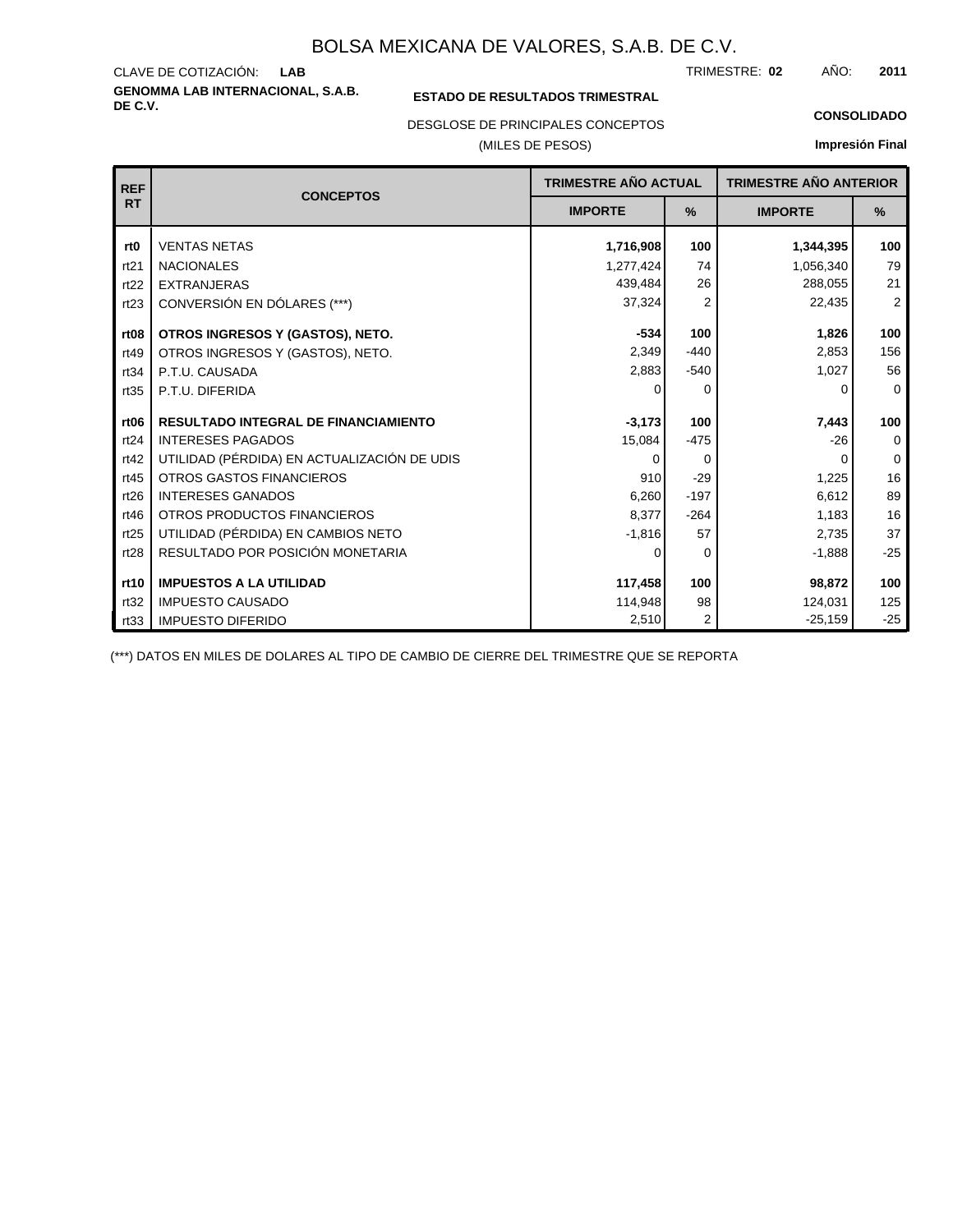**GENOMMA LAB INTERNACIONAL, S.A.B.** CLAVE DE COTIZACIÓN: TRIMESTRE: AÑO: **LAB 02 2011**

## **ESTADO DE RESULTADOS TRIMESTRAL**

DESGLOSE DE PRINCIPALES CONCEPTOS

(MILES DE PESOS)

### **CONSOLIDADO**

**Impresión Final**

| <b>REF</b>       |                                             | <b>TRIMESTRE AÑO ACTUAL</b> |          | <b>TRIMESTRE AÑO ANTERIOR</b> |          |
|------------------|---------------------------------------------|-----------------------------|----------|-------------------------------|----------|
| <b>RT</b>        | <b>CONCEPTOS</b>                            | <b>IMPORTE</b>              | %        | <b>IMPORTE</b>                | %        |
| rt <sub>0</sub>  | <b>VENTAS NETAS</b>                         | 1,716,908                   | 100      | 1,344,395                     | 100      |
| rt21             | <b>NACIONALES</b>                           | 1,277,424                   | 74       | 1,056,340                     | 79       |
| rt22             | <b>EXTRANJERAS</b>                          | 439,484                     | 26       | 288,055                       | 21       |
| rt23             | CONVERSIÓN EN DÓLARES (***)                 | 37,324                      | 2        | 22,435                        | 2        |
| rt <sub>08</sub> | OTROS INGRESOS Y (GASTOS), NETO.            | $-534$                      | 100      | 1,826                         | 100      |
| rt49             | OTROS INGRESOS Y (GASTOS), NETO.            | 2,349                       | $-440$   | 2,853                         | 156      |
| rt34             | P.T.U. CAUSADA                              | 2,883                       | $-540$   | 1,027                         | 56       |
| rt35             | P.T.U. DIFERIDA                             | 0                           | 0        | 0                             | $\Omega$ |
| rt <sub>06</sub> | <b>RESULTADO INTEGRAL DE FINANCIAMIENTO</b> | $-3,173$                    | 100      | 7,443                         | 100      |
| rt24             | <b>INTERESES PAGADOS</b>                    | 15,084                      | $-475$   | $-26$                         | $\Omega$ |
|                  | UTILIDAD (PÉRDIDA) EN ACTUALIZACIÓN DE UDIS |                             |          |                               | $\Omega$ |
| rt42             |                                             | $\Omega$                    | $\Omega$ | O                             |          |
| rt45             | <b>OTROS GASTOS FINANCIEROS</b>             | 910                         | $-29$    | 1,225                         | 16       |
| rt26             | <b>INTERESES GANADOS</b>                    | 6,260                       | $-197$   | 6,612                         | 89       |
| rt46             | OTROS PRODUCTOS FINANCIEROS                 | 8.377                       | $-264$   | 1,183                         | 16       |
| rt25             | UTILIDAD (PÉRDIDA) EN CAMBIOS NETO          | $-1,816$                    | 57       | 2,735                         | 37       |
| rt28             | RESULTADO POR POSICIÓN MONETARIA            | 0                           | 0        | $-1,888$                      | $-25$    |
| rt10             | <b>IMPUESTOS A LA UTILIDAD</b>              | 117,458                     | 100      | 98,872                        | 100      |
| rt32             | <b>IMPUESTO CAUSADO</b>                     | 114.948                     | 98       | 124,031                       | 125      |
| rt33             | <b>IMPUESTO DIFERIDO</b>                    | 2,510                       | 2        | $-25,159$                     | $-25$    |

(\*\*\*) DATOS EN MILES DE DOLARES AL TIPO DE CAMBIO DE CIERRE DEL TRIMESTRE QUE SE REPORTA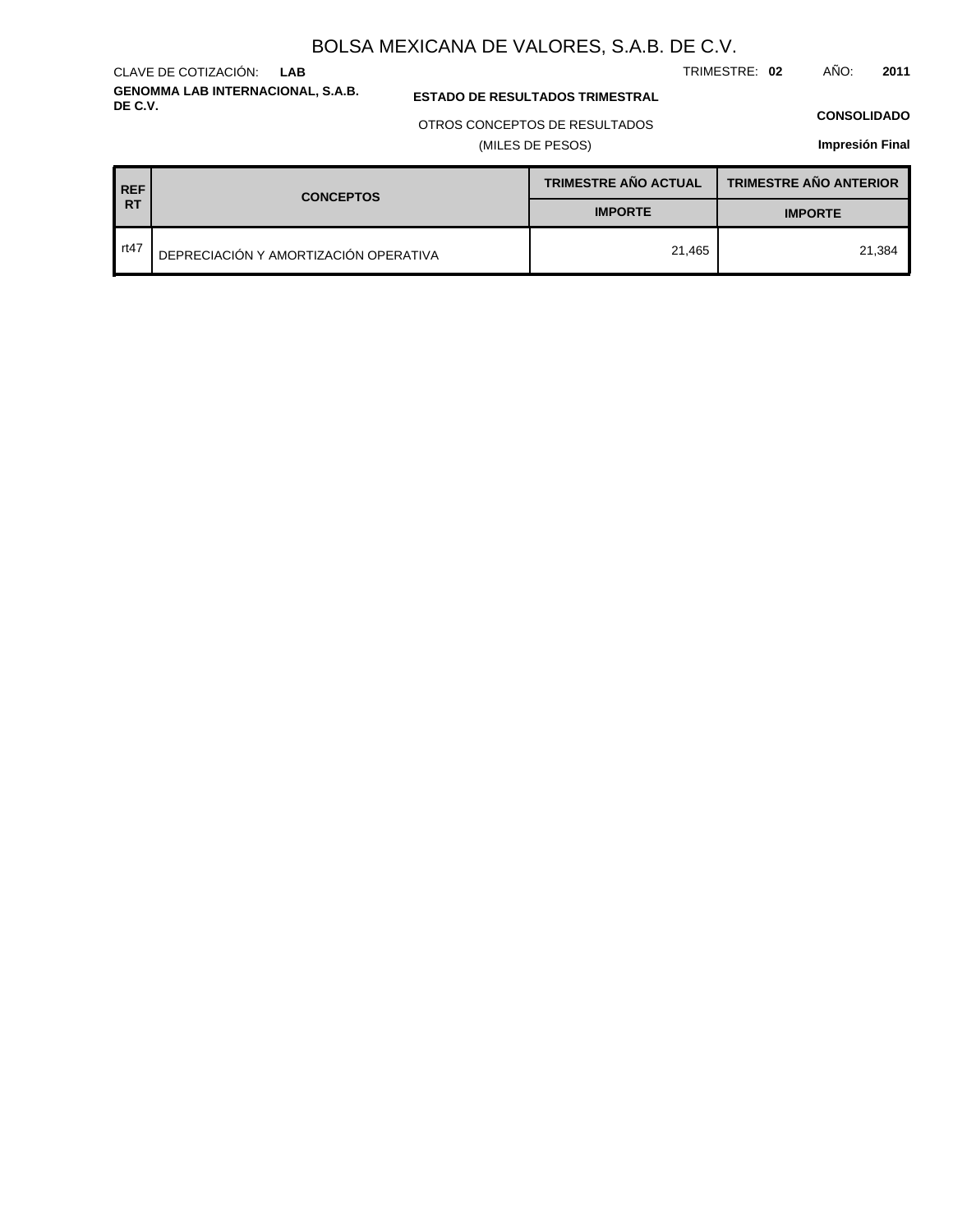TRIMESTRE: **02** AÑO: **2011**

**GENOMMA LAB INTERNACIONAL, S.A.B.** CLAVE DE COTIZACIÓN: **LAB**

**ESTADO DE RESULTADOS TRIMESTRAL** 

### OTROS CONCEPTOS DE RESULTADOS

(MILES DE PESOS)

### **CONSOLIDADO**

**Impresión Final**

| <b>REF</b> | <b>CONCEPTOS</b>                      | <b>TRIMESTRE AÑO ACTUAL</b> | <b>TRIMESTRE AÑO ANTERIOR</b> |  |
|------------|---------------------------------------|-----------------------------|-------------------------------|--|
| <b>RT</b>  |                                       | <b>IMPORTE</b>              | <b>IMPORTE</b>                |  |
| rt47       | DEPRECIACIÓN Y AMORTIZACIÓN OPERATIVA | 21.465                      | 21.384                        |  |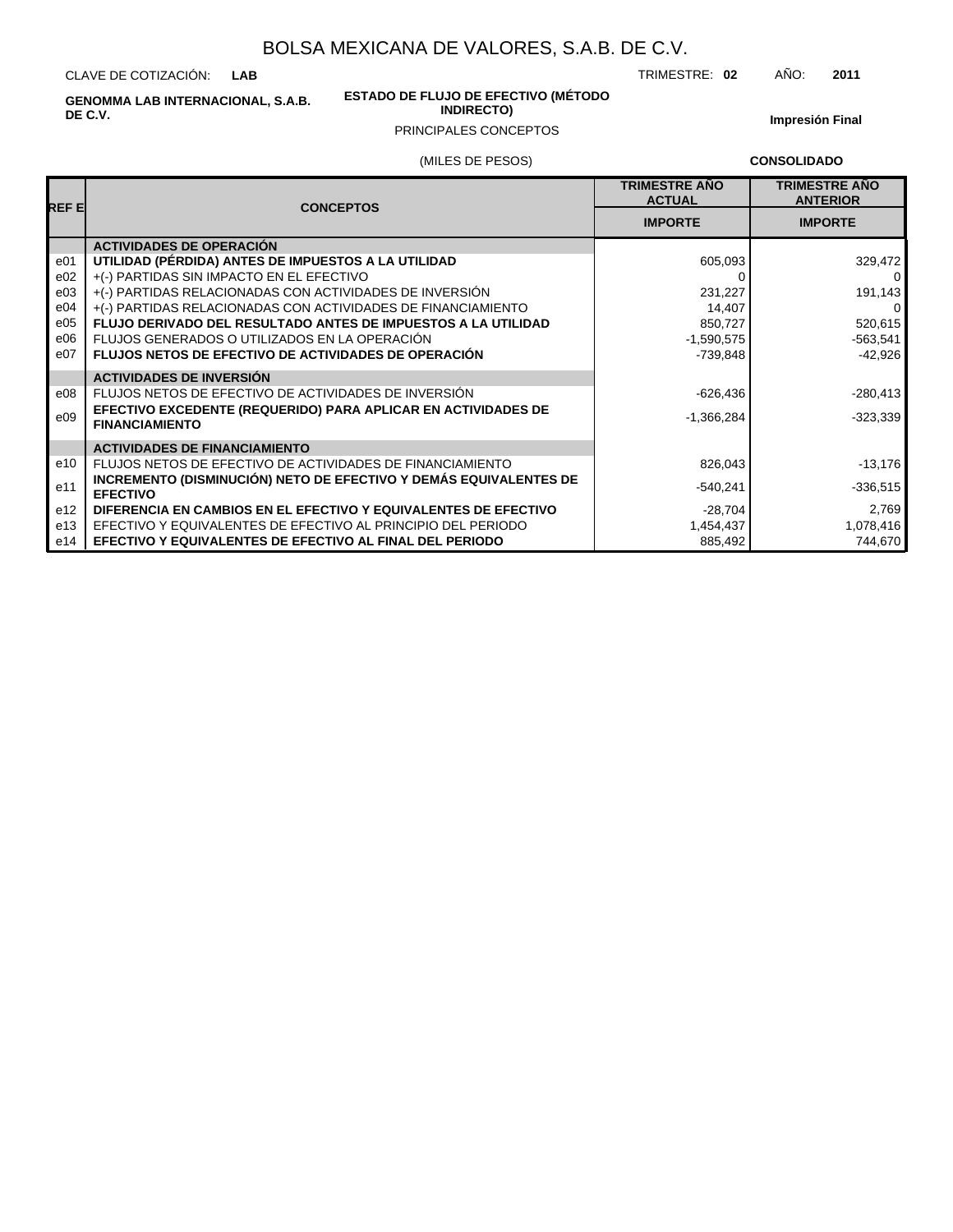CLAVE DE COTIZACIÓN: **LAB**

> **ESTADO DE FLUJO DE EFECTIVO (MÉTODO INDIRECTO)**

TRIMESTRE: **02** AÑO: **2011**

**GENOMMA LAB INTERNACIONAL, S.A.B. DE C.V.**

### PRINCIPALES CONCEPTOS

**Impresión Final**

# (MILES DE PESOS)

**CONSOLIDADO**

| <b>REFE</b> | <b>CONCEPTOS</b>                                                                       | <b>TRIMESTRE AÑO</b><br><b>ACTUAL</b> | <b>TRIMESTRE AÑO</b><br><b>ANTERIOR</b> |
|-------------|----------------------------------------------------------------------------------------|---------------------------------------|-----------------------------------------|
|             |                                                                                        | <b>IMPORTE</b>                        | <b>IMPORTE</b>                          |
|             | <b>ACTIVIDADES DE OPERACIÓN</b>                                                        |                                       |                                         |
| e01         | UTILIDAD (PÉRDIDA) ANTES DE IMPUESTOS A LA UTILIDAD                                    | 605,093                               | 329,472                                 |
| e02         | +(-) PARTIDAS SIN IMPACTO EN EL EFECTIVO                                               |                                       | 0                                       |
| e03         | +(-) PARTIDAS RELACIONADAS CON ACTIVIDADES DE INVERSIÓN                                | 231,227                               | 191,143                                 |
| e04         | +(-) PARTIDAS RELACIONADAS CON ACTIVIDADES DE FINANCIAMIENTO                           | 14,407                                | $\Omega$                                |
| e05         | <b>FLUJO DERIVADO DEL RESULTADO ANTES DE IMPUESTOS A LA UTILIDAD</b>                   | 850,727                               | 520,615                                 |
| e06         | FLUJOS GENERADOS O UTILIZADOS EN LA OPERACIÓN                                          | $-1,590,575$                          | $-563,541$                              |
| e07         | <b>FLUJOS NETOS DE EFECTIVO DE ACTIVIDADES DE OPERACIÓN</b>                            | -739,848                              | $-42.926$                               |
|             | <b>ACTIVIDADES DE INVERSIÓN</b>                                                        |                                       |                                         |
| e08         | FLUJOS NETOS DE EFECTIVO DE ACTIVIDADES DE INVERSIÓN                                   | $-626,436$                            | $-280,413$                              |
| e09         | EFECTIVO EXCEDENTE (REQUERIDO) PARA APLICAR EN ACTIVIDADES DE<br><b>FINANCIAMIENTO</b> | $-1,366,284$                          | $-323,339$                              |
|             | <b>ACTIVIDADES DE FINANCIAMIENTO</b>                                                   |                                       |                                         |
| e10         | FLUJOS NETOS DE EFECTIVO DE ACTIVIDADES DE FINANCIAMIENTO                              | 826,043                               | $-13,176$                               |
| e11         | INCREMENTO (DISMINUCIÓN) NETO DE EFECTIVO Y DEMÁS EQUIVALENTES DE<br><b>EFECTIVO</b>   | $-540,241$                            | $-336,515$                              |
| e12         | DIFERENCIA EN CAMBIOS EN EL EFECTIVO Y EQUIVALENTES DE EFECTIVO                        | $-28,704$                             | 2,769                                   |
| e13         | EFECTIVO Y EQUIVALENTES DE EFECTIVO AL PRINCIPIO DEL PERIODO                           | 1,454,437                             | 1,078,416                               |
| e14         | <b>EFECTIVO Y EQUIVALENTES DE EFECTIVO AL FINAL DEL PERIODO</b>                        | 885,492                               | 744,670                                 |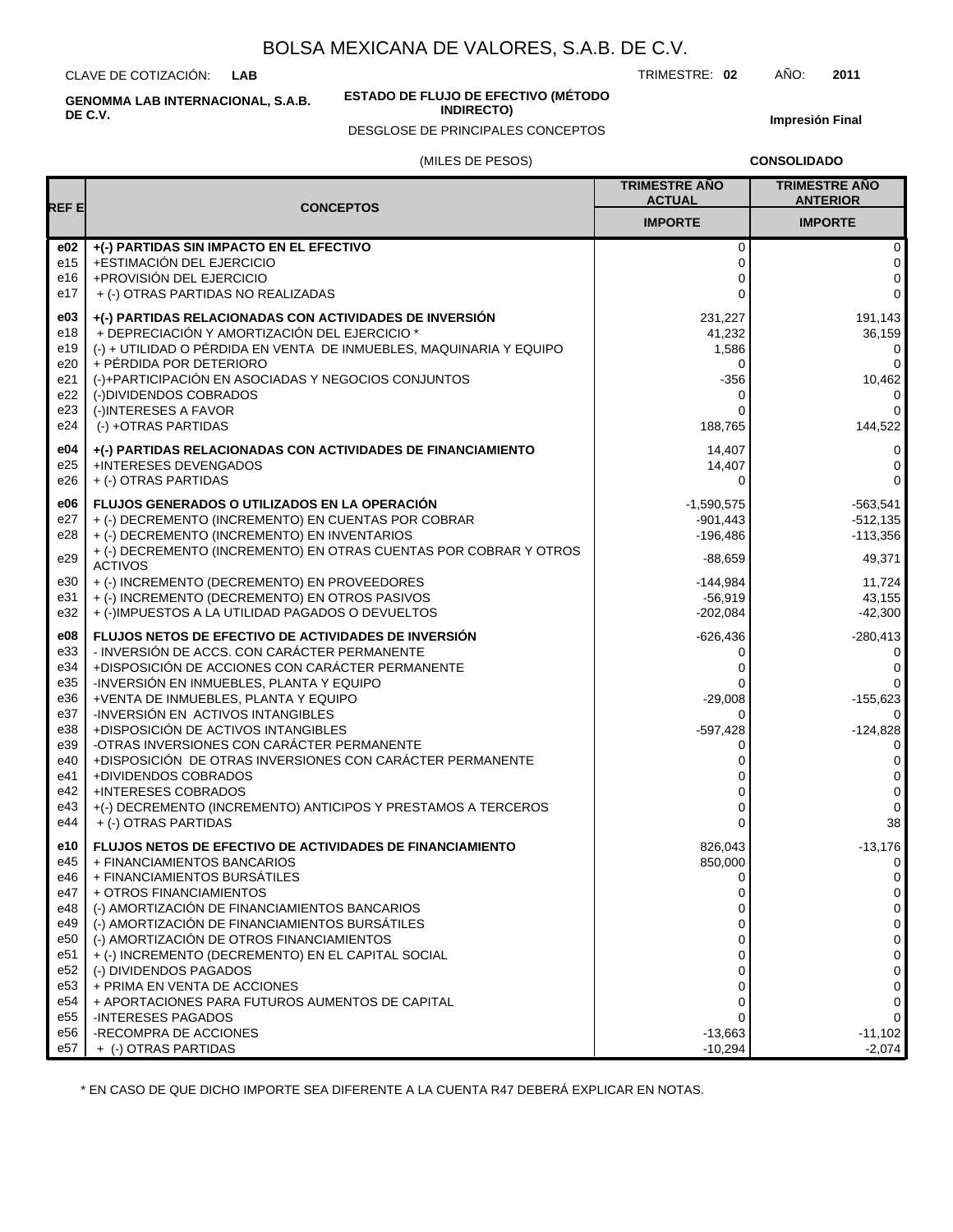CLAVE DE COTIZACIÓN: **LAB**

**DE C.V.**

**GENOMMA LAB INTERNACIONAL, S.A.B.**

**ESTADO DE FLUJO DE EFECTIVO (MÉTODO**

**INDIRECTO)**

(MILES DE PESOS)

TRIMESTRE: **02** AÑO: **2011**

**Impresión Final**

### DESGLOSE DE PRINCIPALES CONCEPTOS

**CONSOLIDADO**

#### **REF E TRIMESTRE AÑO ACTUAL IMPORTE CONCEPTOS TRIMESTRE AÑO ANTERIOR IMPORTE e02**  $+(-)$  PARTIDAS SIN IMPACTO EN EL EFECTIVO e15 +ESTIMACIÓN DEL EJERCICIO 0 0 e16 +PROVISIÓN DEL EJERCICIO e17 + (-) OTRAS PARTIDAS NO REALIZADAS 0 0 0 0 **e03 +(-) PARTIDAS RELACIONADAS CON ACTIVIDADES DE INVERSIÓN** e18 + DEPRECIACIÓN Y AMORTIZACIÓN DEL EJERCICIO \* e19 (-) + UTILIDAD O PÉRDIDA EN VENTA DE INMUEBLES, MAQUINARIA Y EQUIPO 231,227 41,232 1,586 0 36,159 191,143 e20 + PÉRDIDA POR DETERIORO 0 0 10,462  $\Omega$ 0 0  $\Omega$ (-)+PARTICIPACIÓN EN ASOCIADAS Y NEGOCIOS CONJUNTOS -356 (-)DIVIDENDOS COBRADOS e23 (-)INTERESES A FAVOR e22 e21 e24 (-) +OTRAS PARTIDAS 188,765 144,522 **e04 +(-) PARTIDAS RELACIONADAS CON ACTIVIDADES DE FINANCIAMIENTO** 14,407 0 e25 e26 +INTERESES DEVENGADOS + (-) OTRAS PARTIDAS 14,407  $\mathsf{C}$ 0 0 **e06 FLUJOS GENERADOS O UTILIZADOS EN LA OPERACIÓN** -1,590,575 -563,541 e32 e31 e30 e29 e28 e27 + (-)IMPUESTOS A LA UTILIDAD PAGADOS O DEVUELTOS + (-) INCREMENTO (DECREMENTO) EN OTROS PASIVOS + (-) INCREMENTO (DECREMENTO) EN PROVEEDORES + (-) DECREMENTO (INCREMENTO) EN OTRAS CUENTAS POR COBRAR Y OTROS ACTIVOS + (-) DECREMENTO (INCREMENTO) EN INVENTARIOS + (-) DECREMENTO (INCREMENTO) EN CUENTAS POR COBRAR -202,084 -56,919 -144,984 -88,659 -196,486 -901,443 -42,300 43,155 11,724 49,371 -113,356 -512,135 **e08 FLUJOS NETOS DE EFECTIVO DE ACTIVIDADES DE INVERSIÓN** -626,436 -280,413 e38 e37 e36 e35 e34 e33 +DISPOSICIÓN DE ACTIVOS INTANGIBLES -INVERSIÓN EN ACTIVOS INTANGIBLES +VENTA DE INMUEBLES, PLANTA Y EQUIPO -INVERSIÓN EN INMUEBLES, PLANTA Y EQUIPO +DISPOSICIÓN DE ACCIONES CON CARÁCTER PERMANENTE - INVERSIÓN DE ACCS. CON CARÁCTER PERMANENTE -597,428  $\mathsf{C}$ -29,008  $\overline{0}$  $\Omega$ 0 -124,828 0 -155,623  $\overline{0}$  $\Omega$ 0 e44 e43 e42 e41 e40 e39 + (-) OTRAS PARTIDAS +(-) DECREMENTO (INCREMENTO) ANTICIPOS Y PRESTAMOS A TERCEROS +INTERESES COBRADOS +DIVIDENDOS COBRADOS +DISPOSICIÓN DE OTRAS INVERSIONES CON CARÁCTER PERMANENTE -OTRAS INVERSIONES CON CARÁCTER PERMANENTE  $\overline{0}$  $\Omega$  $\Omega$  $\Omega$  $\Omega$  $\Omega$ 38 0 0 0 0 0 **e10 FLUJOS NETOS DE EFECTIVO DE ACTIVIDADES DE FINANCIAMIENTO** 826,043 -13,176 e50 e49 e48 e47 e46 e45 (-) AMORTIZACIÓN DE OTROS FINANCIAMIENTOS (-) AMORTIZACIÓN DE FINANCIAMIENTOS BURSÁTILES (-) AMORTIZACIÓN DE FINANCIAMIENTOS BANCARIOS + OTROS FINANCIAMIENTOS + FINANCIAMIENTOS BURSÁTILES + FINANCIAMIENTOS BANCARIOS 0  $\mathcal{C}$ 0  $\Omega$  $\Omega$ 850,000 0 0 0 0 0  $\Omega$ e56 e55 e54 e53 e52 e51 -RECOMPRA DE ACCIONES -INTERESES PAGADOS + APORTACIONES PARA FUTUROS AUMENTOS DE CAPITAL + PRIMA EN VENTA DE ACCIONES (-) DIVIDENDOS PAGADOS + (-) INCREMENTO (DECREMENTO) EN EL CAPITAL SOCIAL -13,663  $\Omega$  $\Omega$  $\mathcal{C}$ 0 0 -11,102 0 0 0 0 0 e57 + (-) OTRAS PARTIDAS -10,294 -2,074

\* EN CASO DE QUE DICHO IMPORTE SEA DIFERENTE A LA CUENTA R47 DEBERÁ EXPLICAR EN NOTAS.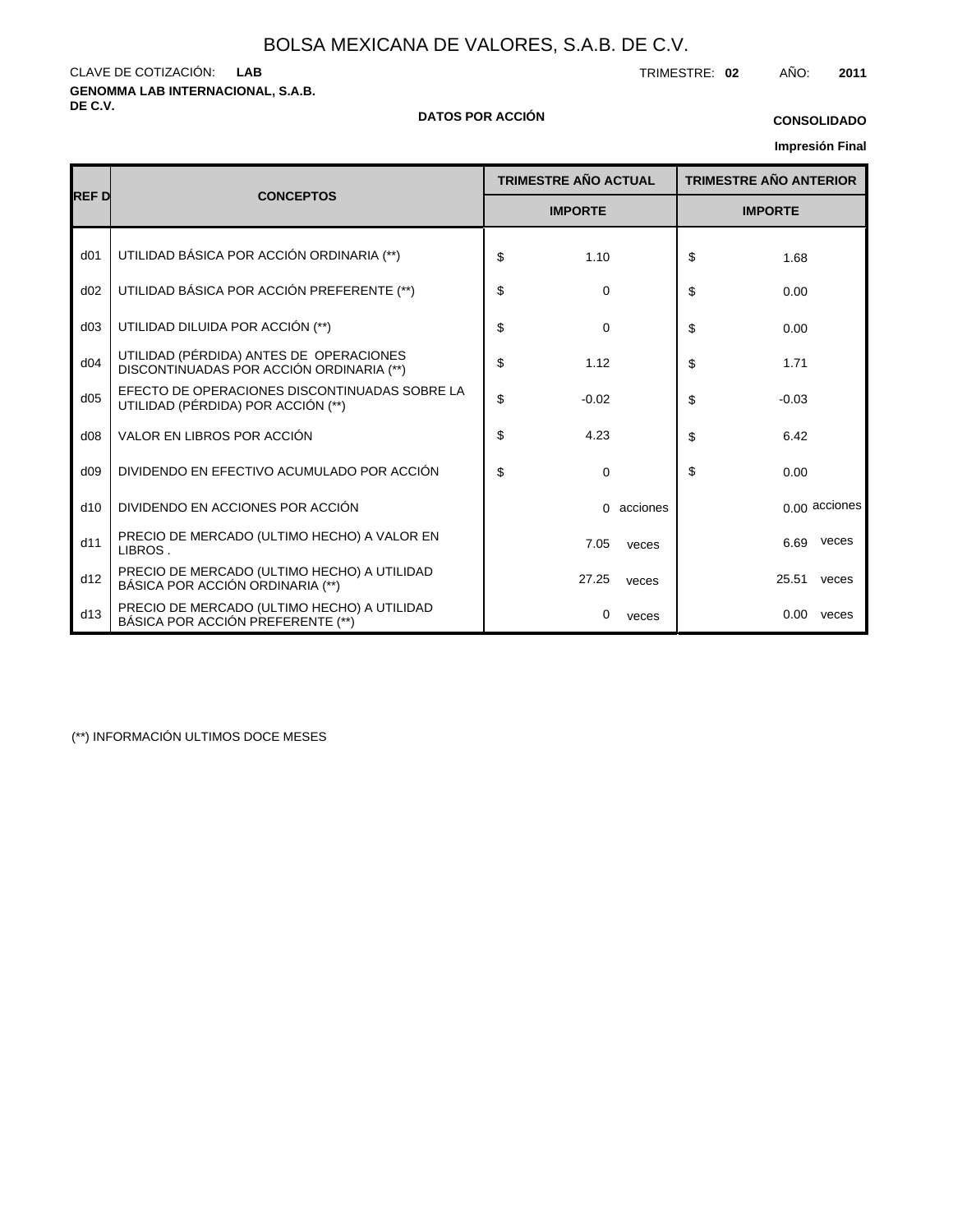**GENOMMA LAB INTERNACIONAL, S.A.B.** CLAVE DE COTIZACIÓN: TRIMESTRE: **02** AÑO: **2011 LAB**

## **DE C.V. DATOS POR ACCIÓN**

### **CONSOLIDADO**

# **Impresión Final**

|                 |                                                                                     | <b>TRIMESTRE AÑO ACTUAL</b> |            |                | <b>TRIMESTRE AÑO ANTERIOR</b> |               |
|-----------------|-------------------------------------------------------------------------------------|-----------------------------|------------|----------------|-------------------------------|---------------|
| <b>REF D</b>    | <b>CONCEPTOS</b>                                                                    | <b>IMPORTE</b>              |            | <b>IMPORTE</b> |                               |               |
| d <sub>01</sub> | UTILIDAD BÁSICA POR ACCIÓN ORDINARIA (**)                                           | \$<br>1.10                  |            | \$             | 1.68                          |               |
| d02             | UTILIDAD BÁSICA POR ACCIÓN PREFERENTE (**)                                          | \$<br>0                     |            | \$             | 0.00                          |               |
| d03             | UTILIDAD DILUIDA POR ACCIÓN (**)                                                    | \$<br>$\Omega$              |            | \$             | 0.00                          |               |
| d04             | UTILIDAD (PÉRDIDA) ANTES DE OPERACIONES<br>DISCONTINUADAS POR ACCIÓN ORDINARIA (**) | \$<br>1.12                  |            | \$             | 1.71                          |               |
| d05             | EFECTO DE OPERACIONES DISCONTINUADAS SOBRE LA<br>UTILIDAD (PÉRDIDA) POR ACCIÓN (**) | \$<br>$-0.02$               |            | \$             | $-0.03$                       |               |
| d08             | VALOR EN LIBROS POR ACCIÓN                                                          | \$<br>4.23                  |            | \$             | 6.42                          |               |
| d09             | DIVIDENDO EN EFECTIVO ACUMULADO POR ACCIÓN                                          | \$<br>$\mathbf 0$           |            | \$             | 0.00                          |               |
| d10             | DIVIDENDO EN ACCIONES POR ACCIÓN                                                    |                             | 0 acciones |                |                               | 0.00 acciones |
| d11             | PRECIO DE MERCADO (ULTIMO HECHO) A VALOR EN<br>LIBROS.                              | 7.05                        | veces      |                | 6.69                          | veces         |
| d12             | PRECIO DE MERCADO (ULTIMO HECHO) A UTILIDAD<br>BÁSICA POR ACCIÓN ORDINARIA (**)     | 27.25                       | veces      |                | 25.51                         | veces         |
| d13             | PRECIO DE MERCADO (ULTIMO HECHO) A UTILIDAD<br>BÁSICA POR ACCIÓN PREFERENTE (**)    | 0                           | veces      |                | $0.00\,$                      | veces         |

(\*\*) INFORMACIÓN ULTIMOS DOCE MESES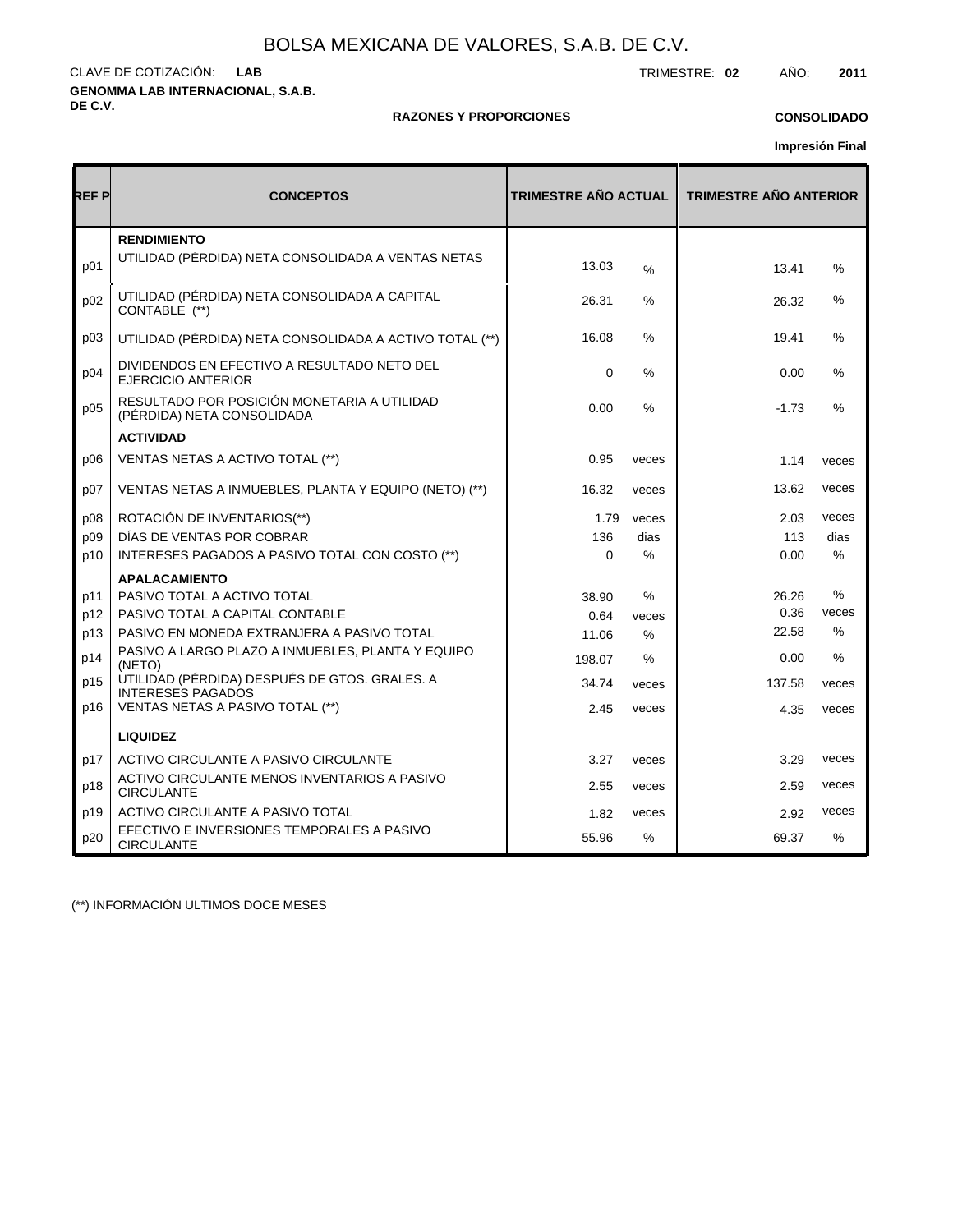**GENOMMA LAB INTERNACIONAL, S.A.B. DE C.V.** CLAVE DE COTIZACIÓN: TRIMESTRE: **02** AÑO: **2011 LAB**

### **RAZONES Y PROPORCIONES**

## **CONSOLIDADO**

**Impresión Final**

| REF P           | <b>CONCEPTOS</b>                                                          | <b>TRIMESTRE AÑO ACTUAL</b> |       | <b>TRIMESTRE AÑO ANTERIOR</b> |               |  |
|-----------------|---------------------------------------------------------------------------|-----------------------------|-------|-------------------------------|---------------|--|
| p01             | <b>RENDIMIENTO</b><br>UTILIDAD (PÉRDIDA) NETA CONSOLIDADA A VENTAS NETAS  | 13.03                       | $\%$  | 13.41                         | $\%$          |  |
| p02             | UTILIDAD (PÉRDIDA) NETA CONSOLIDADA A CAPITAL<br>CONTABLE (**)            | 26.31                       | $\%$  | 26.32                         | %             |  |
| D <sub>03</sub> | UTILIDAD (PÉRDIDA) NETA CONSOLIDADA A ACTIVO TOTAL (**)                   | 16.08                       | %     | 19.41                         | %             |  |
| p04             | DIVIDENDOS EN EFECTIVO A RESULTADO NETO DEL<br><b>EJERCICIO ANTERIOR</b>  | $\mathbf 0$                 | %     | 0.00                          | %             |  |
| p05             | RESULTADO POR POSICIÓN MONETARIA A UTILIDAD<br>(PÉRDIDA) NETA CONSOLIDADA | 0.00                        | $\%$  | $-1.73$                       | $\%$          |  |
|                 | <b>ACTIVIDAD</b>                                                          |                             |       |                               |               |  |
| D06             | VENTAS NETAS A ACTIVO TOTAL (**)                                          | 0.95                        | veces | 1.14                          | veces         |  |
| p07             | VENTAS NETAS A INMUEBLES, PLANTA Y EQUIPO (NETO) (**)                     | 16.32                       | veces | 13.62                         | veces         |  |
| p08             | ROTACIÓN DE INVENTARIOS(**)                                               | 1.79                        | veces | 2.03                          | veces         |  |
| p09             | DÍAS DE VENTAS POR COBRAR                                                 | 136                         | dias  | 113                           | dias          |  |
| p10             | INTERESES PAGADOS A PASIVO TOTAL CON COSTO (**)                           | $\Omega$                    | %     | 0.00                          | %             |  |
|                 | <b>APALACAMIENTO</b>                                                      |                             |       |                               |               |  |
| p11             | PASIVO TOTAL A ACTIVO TOTAL                                               | 38.90                       | $\%$  | 26.26                         | %             |  |
| p12             | PASIVO TOTAL A CAPITAL CONTABLE                                           | 0.64                        | veces | 0.36                          | veces         |  |
| p13             | PASIVO EN MONEDA EXTRANJERA A PASIVO TOTAL                                | 11.06                       | %     | 22.58                         | $\%$          |  |
| p14             | PASIVO A LARGO PLAZO A INMUEBLES, PLANTA Y EQUIPO<br>(NETO)               | 198.07                      | $\%$  | 0.00                          | $\frac{0}{0}$ |  |
| p15             | UTILIDAD (PÉRDIDA) DESPUÉS DE GTOS. GRALES. A<br><b>INTERESES PAGADOS</b> | 34.74                       | veces | 137.58                        | veces         |  |
| p16             | VENTAS NETAS A PASIVO TOTAL (**)                                          | 2.45                        | veces | 4.35                          | veces         |  |
|                 | <b>LIQUIDEZ</b>                                                           |                             |       |                               |               |  |
| p17             | ACTIVO CIRCULANTE A PASIVO CIRCULANTE                                     | 3.27                        | veces | 3.29                          | veces         |  |
| p18             | ACTIVO CIRCULANTE MENOS INVENTARIOS A PASIVO<br><b>CIRCULANTE</b>         | 2.55                        | veces | 2.59                          | veces         |  |
| p19             | ACTIVO CIRCULANTE A PASIVO TOTAL                                          | 1.82                        | veces | 2.92                          | veces         |  |
| p20             | EFECTIVO E INVERSIONES TEMPORALES A PASIVO<br><b>CIRCULANTE</b>           | 55.96                       | $\%$  | 69.37                         | $\%$          |  |

(\*\*) INFORMACIÓN ULTIMOS DOCE MESES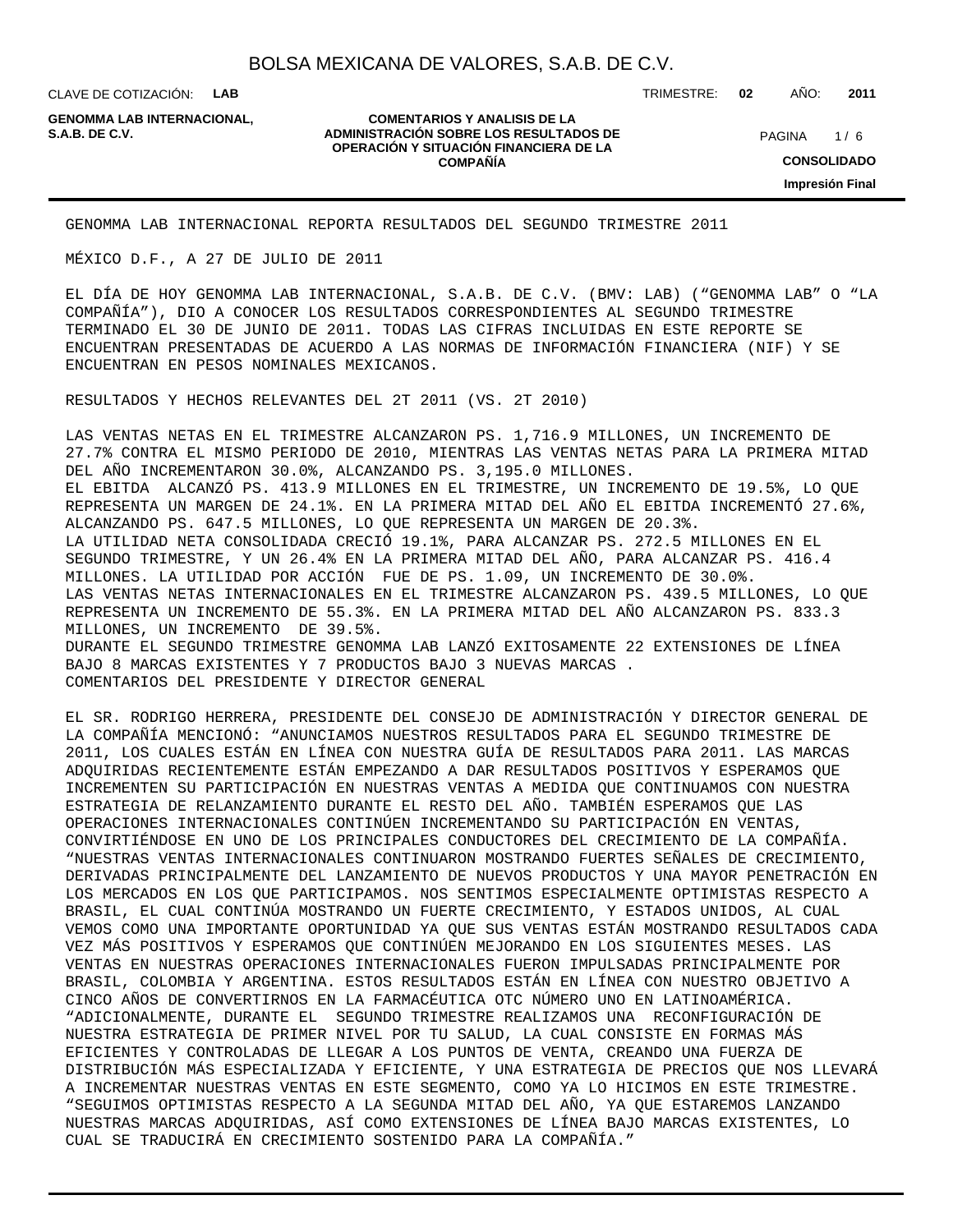CLAVE DE COTIZACIÓN: **LAB**

**GENOMMA LAB INTERNACIONAL,**

### **COMENTARIOS Y ANALISIS DE LA ADMINISTRACIÓN SOBRE LOS RESULTADOS DE S.A.B. DE C.V.** PAGINA / 6 **OPERACIÓN Y SITUACIÓN FINANCIERA DE LA COMPAÑÍA**

TRIMESTRE: **02** AÑO: **2011**

 $1/6$ **CONSOLIDADO Impresión Final**

GENOMMA LAB INTERNACIONAL REPORTA RESULTADOS DEL SEGUNDO TRIMESTRE 2011

MÉXICO D.F., A 27 DE JULIO DE 2011

EL DÍA DE HOY GENOMMA LAB INTERNACIONAL, S.A.B. DE C.V. (BMV: LAB) ("GENOMMA LAB" O "LA COMPAÑÍA"), DIO A CONOCER LOS RESULTADOS CORRESPONDIENTES AL SEGUNDO TRIMESTRE TERMINADO EL 30 DE JUNIO DE 2011. TODAS LAS CIFRAS INCLUIDAS EN ESTE REPORTE SE ENCUENTRAN PRESENTADAS DE ACUERDO A LAS NORMAS DE INFORMACIÓN FINANCIERA (NIF) Y SE ENCUENTRAN EN PESOS NOMINALES MEXICANOS.

RESULTADOS Y HECHOS RELEVANTES DEL 2T 2011 (VS. 2T 2010)

 LAS VENTAS NETAS EN EL TRIMESTRE ALCANZARON PS. 1,716.9 MILLONES, UN INCREMENTO DE 27.7% CONTRA EL MISMO PERIODO DE 2010, MIENTRAS LAS VENTAS NETAS PARA LA PRIMERA MITAD DEL AÑO INCREMENTARON 30.0%, ALCANZANDO PS. 3,195.0 MILLONES.

 EL EBITDA ALCANZÓ PS. 413.9 MILLONES EN EL TRIMESTRE, UN INCREMENTO DE 19.5%, LO QUE REPRESENTA UN MARGEN DE 24.1%. EN LA PRIMERA MITAD DEL AÑO EL EBITDA INCREMENTÓ 27.6%, ALCANZANDO PS. 647.5 MILLONES, LO QUE REPRESENTA UN MARGEN DE 20.3%.

 LA UTILIDAD NETA CONSOLIDADA CRECIÓ 19.1%, PARA ALCANZAR PS. 272.5 MILLONES EN EL SEGUNDO TRIMESTRE, Y UN 26.4% EN LA PRIMERA MITAD DEL AÑO, PARA ALCANZAR PS. 416.4 MILLONES. LA UTILIDAD POR ACCIÓN FUE DE PS. 1.09, UN INCREMENTO DE 30.0%.

 LAS VENTAS NETAS INTERNACIONALES EN EL TRIMESTRE ALCANZARON PS. 439.5 MILLONES, LO QUE REPRESENTA UN INCREMENTO DE 55.3%. EN LA PRIMERA MITAD DEL AÑO ALCANZARON PS. 833.3 MILLONES, UN INCREMENTO DE 39.5%.

 DURANTE EL SEGUNDO TRIMESTRE GENOMMA LAB LANZÓ EXITOSAMENTE 22 EXTENSIONES DE LÍNEA BAJO 8 MARCAS EXISTENTES Y 7 PRODUCTOS BAJO 3 NUEVAS MARCAS . COMENTARIOS DEL PRESIDENTE Y DIRECTOR GENERAL

EL SR. RODRIGO HERRERA, PRESIDENTE DEL CONSEJO DE ADMINISTRACIÓN Y DIRECTOR GENERAL DE LA COMPAÑÍA MENCIONÓ: "ANUNCIAMOS NUESTROS RESULTADOS PARA EL SEGUNDO TRIMESTRE DE 2011, LOS CUALES ESTÁN EN LÍNEA CON NUESTRA GUÍA DE RESULTADOS PARA 2011. LAS MARCAS ADQUIRIDAS RECIENTEMENTE ESTÁN EMPEZANDO A DAR RESULTADOS POSITIVOS Y ESPERAMOS QUE INCREMENTEN SU PARTICIPACIÓN EN NUESTRAS VENTAS A MEDIDA QUE CONTINUAMOS CON NUESTRA ESTRATEGIA DE RELANZAMIENTO DURANTE EL RESTO DEL AÑO. TAMBIÉN ESPERAMOS QUE LAS OPERACIONES INTERNACIONALES CONTINÚEN INCREMENTANDO SU PARTICIPACIÓN EN VENTAS, CONVIRTIÉNDOSE EN UNO DE LOS PRINCIPALES CONDUCTORES DEL CRECIMIENTO DE LA COMPAÑÍA. "NUESTRAS VENTAS INTERNACIONALES CONTINUARON MOSTRANDO FUERTES SEÑALES DE CRECIMIENTO, DERIVADAS PRINCIPALMENTE DEL LANZAMIENTO DE NUEVOS PRODUCTOS Y UNA MAYOR PENETRACIÓN EN LOS MERCADOS EN LOS QUE PARTICIPAMOS. NOS SENTIMOS ESPECIALMENTE OPTIMISTAS RESPECTO A BRASIL, EL CUAL CONTINÚA MOSTRANDO UN FUERTE CRECIMIENTO, Y ESTADOS UNIDOS, AL CUAL VEMOS COMO UNA IMPORTANTE OPORTUNIDAD YA QUE SUS VENTAS ESTÁN MOSTRANDO RESULTADOS CADA VEZ MÁS POSITIVOS Y ESPERAMOS QUE CONTINÚEN MEJORANDO EN LOS SIGUIENTES MESES. LAS VENTAS EN NUESTRAS OPERACIONES INTERNACIONALES FUERON IMPULSADAS PRINCIPALMENTE POR BRASIL, COLOMBIA Y ARGENTINA. ESTOS RESULTADOS ESTÁN EN LÍNEA CON NUESTRO OBJETIVO A CINCO AÑOS DE CONVERTIRNOS EN LA FARMACÉUTICA OTC NÚMERO UNO EN LATINOAMÉRICA. "ADICIONALMENTE, DURANTE EL SEGUNDO TRIMESTRE REALIZAMOS UNA RECONFIGURACIÓN DE NUESTRA ESTRATEGIA DE PRIMER NIVEL POR TU SALUD, LA CUAL CONSISTE EN FORMAS MÁS EFICIENTES Y CONTROLADAS DE LLEGAR A LOS PUNTOS DE VENTA, CREANDO UNA FUERZA DE DISTRIBUCIÓN MÁS ESPECIALIZADA Y EFICIENTE, Y UNA ESTRATEGIA DE PRECIOS QUE NOS LLEVARÁ A INCREMENTAR NUESTRAS VENTAS EN ESTE SEGMENTO, COMO YA LO HICIMOS EN ESTE TRIMESTRE. "SEGUIMOS OPTIMISTAS RESPECTO A LA SEGUNDA MITAD DEL AÑO, YA QUE ESTAREMOS LANZANDO NUESTRAS MARCAS ADQUIRIDAS, ASÍ COMO EXTENSIONES DE LÍNEA BAJO MARCAS EXISTENTES, LO CUAL SE TRADUCIRÁ EN CRECIMIENTO SOSTENIDO PARA LA COMPAÑÍA."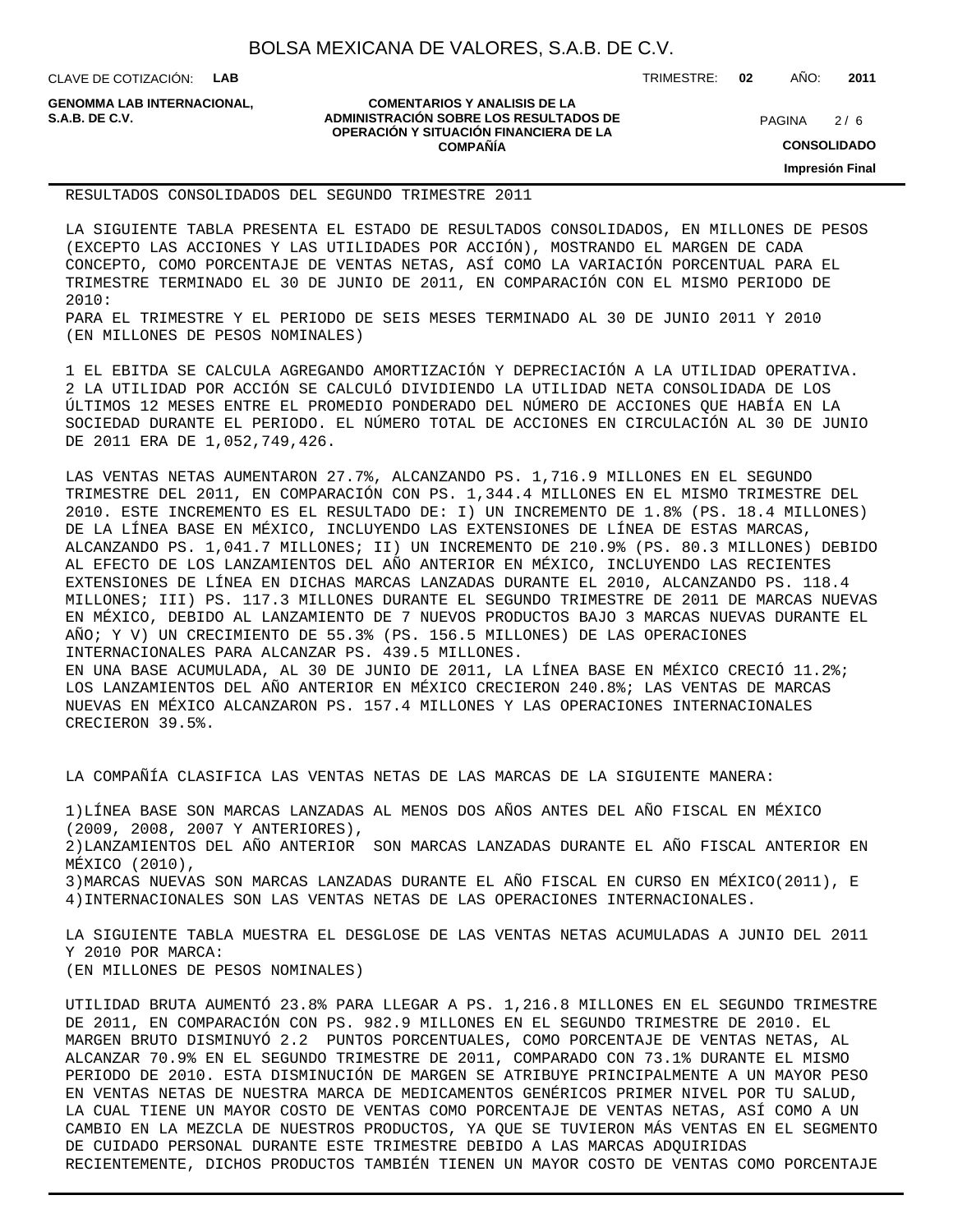CLAVE DE COTIZACIÓN: **LAB**

**GENOMMA LAB INTERNACIONAL,**

### **COMENTARIOS Y ANALISIS DE LA ADMINISTRACIÓN SOBRE LOS RESULTADOS DE PAGINA 2/6** PAGINA 2/6 **OPERACIÓN Y SITUACIÓN FINANCIERA DE LA COMPAÑÍA**

 $2/6$ 

TRIMESTRE: **02** AÑO: **2011**

**CONSOLIDADO**

**Impresión Final**

### RESULTADOS CONSOLIDADOS DEL SEGUNDO TRIMESTRE 2011

LA SIGUIENTE TABLA PRESENTA EL ESTADO DE RESULTADOS CONSOLIDADOS, EN MILLONES DE PESOS (EXCEPTO LAS ACCIONES Y LAS UTILIDADES POR ACCIÓN), MOSTRANDO EL MARGEN DE CADA CONCEPTO, COMO PORCENTAJE DE VENTAS NETAS, ASÍ COMO LA VARIACIÓN PORCENTUAL PARA EL TRIMESTRE TERMINADO EL 30 DE JUNIO DE 2011, EN COMPARACIÓN CON EL MISMO PERIODO DE 2010: PARA EL TRIMESTRE Y EL PERIODO DE SEIS MESES TERMINADO AL 30 DE JUNIO 2011 Y 2010 (EN MILLONES DE PESOS NOMINALES)

1 EL EBITDA SE CALCULA AGREGANDO AMORTIZACIÓN Y DEPRECIACIÓN A LA UTILIDAD OPERATIVA. 2 LA UTILIDAD POR ACCIÓN SE CALCULÓ DIVIDIENDO LA UTILIDAD NETA CONSOLIDADA DE LOS ÚLTIMOS 12 MESES ENTRE EL PROMEDIO PONDERADO DEL NÚMERO DE ACCIONES QUE HABÍA EN LA SOCIEDAD DURANTE EL PERIODO. EL NÚMERO TOTAL DE ACCIONES EN CIRCULACIÓN AL 30 DE JUNIO DE 2011 ERA DE 1,052,749,426.

LAS VENTAS NETAS AUMENTARON 27.7%, ALCANZANDO PS. 1,716.9 MILLONES EN EL SEGUNDO TRIMESTRE DEL 2011, EN COMPARACIÓN CON PS. 1,344.4 MILLONES EN EL MISMO TRIMESTRE DEL 2010. ESTE INCREMENTO ES EL RESULTADO DE: I) UN INCREMENTO DE 1.8% (PS. 18.4 MILLONES) DE LA LÍNEA BASE EN MÉXICO, INCLUYENDO LAS EXTENSIONES DE LÍNEA DE ESTAS MARCAS, ALCANZANDO PS. 1,041.7 MILLONES; II) UN INCREMENTO DE 210.9% (PS. 80.3 MILLONES) DEBIDO AL EFECTO DE LOS LANZAMIENTOS DEL AÑO ANTERIOR EN MÉXICO, INCLUYENDO LAS RECIENTES EXTENSIONES DE LÍNEA EN DICHAS MARCAS LANZADAS DURANTE EL 2010, ALCANZANDO PS. 118.4 MILLONES; III) PS. 117.3 MILLONES DURANTE EL SEGUNDO TRIMESTRE DE 2011 DE MARCAS NUEVAS EN MÉXICO, DEBIDO AL LANZAMIENTO DE 7 NUEVOS PRODUCTOS BAJO 3 MARCAS NUEVAS DURANTE EL AÑO; Y V) UN CRECIMIENTO DE 55.3% (PS. 156.5 MILLONES) DE LAS OPERACIONES INTERNACIONALES PARA ALCANZAR PS. 439.5 MILLONES. EN UNA BASE ACUMULADA, AL 30 DE JUNIO DE 2011, LA LÍNEA BASE EN MÉXICO CRECIÓ 11.2%;

LOS LANZAMIENTOS DEL AÑO ANTERIOR EN MÉXICO CRECIERON 240.8%; LAS VENTAS DE MARCAS NUEVAS EN MÉXICO ALCANZARON PS. 157.4 MILLONES Y LAS OPERACIONES INTERNACIONALES CRECIERON 39.5%.

LA COMPAÑÍA CLASIFICA LAS VENTAS NETAS DE LAS MARCAS DE LA SIGUIENTE MANERA:

1) LÍNEA BASE SON MARCAS LANZADAS AL MENOS DOS AÑOS ANTES DEL AÑO FISCAL EN MÉXICO (2009, 2008, 2007 Y ANTERIORES),

2) LANZAMIENTOS DEL AÑO ANTERIOR SON MARCAS LANZADAS DURANTE EL AÑO FISCAL ANTERIOR EN MÉXICO (2010),

3) MARCAS NUEVAS SON MARCAS LANZADAS DURANTE EL AÑO FISCAL EN CURSO EN MÉXICO(2011), E

4) INTERNACIONALES SON LAS VENTAS NETAS DE LAS OPERACIONES INTERNACIONALES.

LA SIGUIENTE TABLA MUESTRA EL DESGLOSE DE LAS VENTAS NETAS ACUMULADAS A JUNIO DEL 2011 Y 2010 POR MARCA: (EN MILLONES DE PESOS NOMINALES)

UTILIDAD BRUTA AUMENTÓ 23.8% PARA LLEGAR A PS. 1,216.8 MILLONES EN EL SEGUNDO TRIMESTRE DE 2011, EN COMPARACIÓN CON PS. 982.9 MILLONES EN EL SEGUNDO TRIMESTRE DE 2010. EL MARGEN BRUTO DISMINUYÓ 2.2 PUNTOS PORCENTUALES, COMO PORCENTAJE DE VENTAS NETAS, AL ALCANZAR 70.9% EN EL SEGUNDO TRIMESTRE DE 2011, COMPARADO CON 73.1% DURANTE EL MISMO PERIODO DE 2010. ESTA DISMINUCIÓN DE MARGEN SE ATRIBUYE PRINCIPALMENTE A UN MAYOR PESO EN VENTAS NETAS DE NUESTRA MARCA DE MEDICAMENTOS GENÉRICOS PRIMER NIVEL POR TU SALUD, LA CUAL TIENE UN MAYOR COSTO DE VENTAS COMO PORCENTAJE DE VENTAS NETAS, ASÍ COMO A UN CAMBIO EN LA MEZCLA DE NUESTROS PRODUCTOS, YA QUE SE TUVIERON MÁS VENTAS EN EL SEGMENTO DE CUIDADO PERSONAL DURANTE ESTE TRIMESTRE DEBIDO A LAS MARCAS ADQUIRIDAS RECIENTEMENTE, DICHOS PRODUCTOS TAMBIÉN TIENEN UN MAYOR COSTO DE VENTAS COMO PORCENTAJE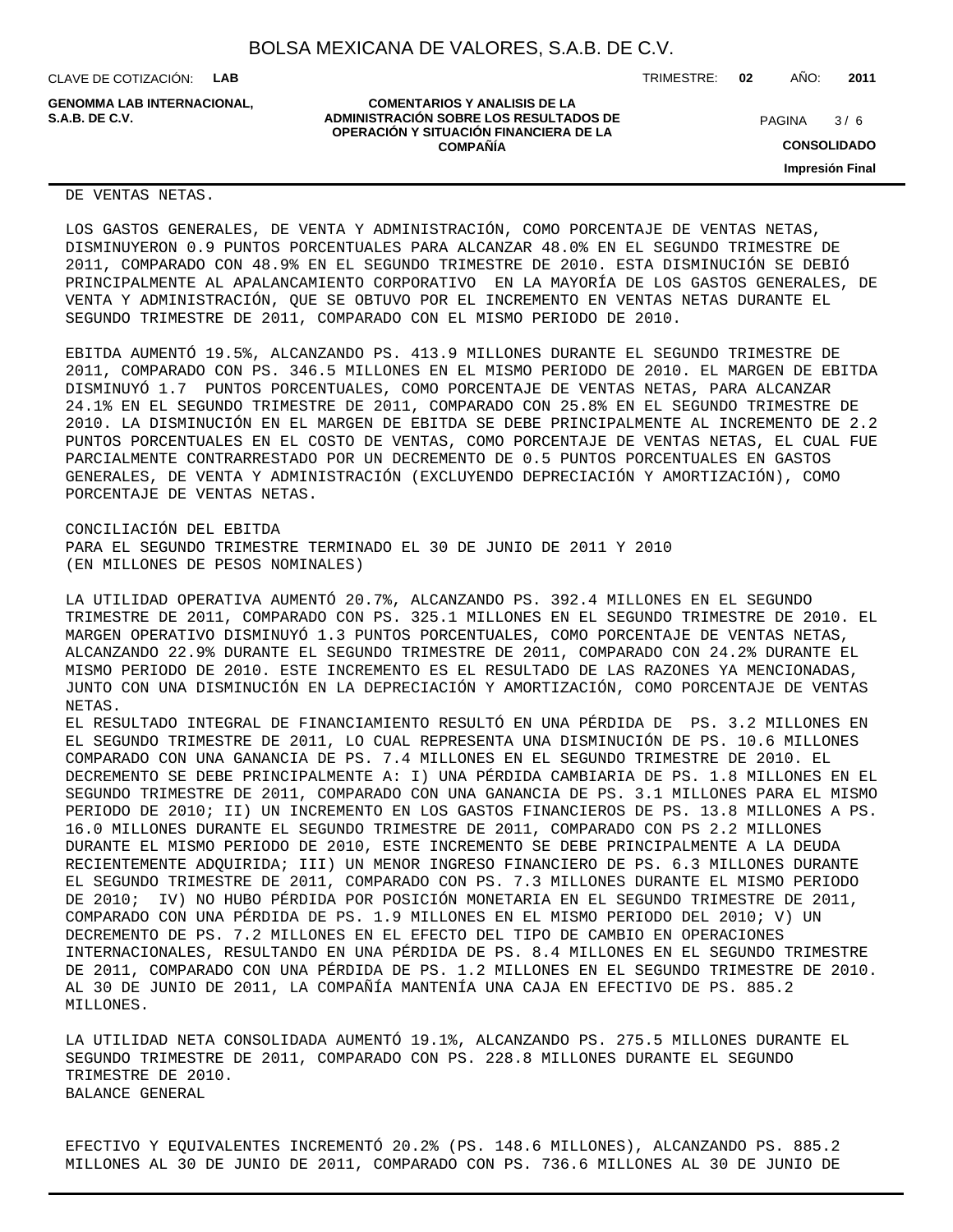**COMENTARIOS Y ANALISIS DE LA**

**OPERACIÓN Y SITUACIÓN FINANCIERA DE LA COMPAÑÍA**

CLAVE DE COTIZACIÓN: **LAB**

**ADMINISTRACIÓN SOBRE LOS RESULTADOS DE S.A.B. DE C.V.** PAGINA / 6 **GENOMMA LAB INTERNACIONAL,**

TRIMESTRE: **02** AÑO: **2011**

 $3/6$ 

**CONSOLIDADO**

**Impresión Final**

### DE VENTAS NETAS.

LOS GASTOS GENERALES, DE VENTA Y ADMINISTRACIÓN, COMO PORCENTAJE DE VENTAS NETAS, DISMINUYERON 0.9 PUNTOS PORCENTUALES PARA ALCANZAR 48.0% EN EL SEGUNDO TRIMESTRE DE 2011, COMPARADO CON 48.9% EN EL SEGUNDO TRIMESTRE DE 2010. ESTA DISMINUCIÓN SE DEBIÓ PRINCIPALMENTE AL APALANCAMIENTO CORPORATIVO EN LA MAYORÍA DE LOS GASTOS GENERALES, DE VENTA Y ADMINISTRACIÓN, QUE SE OBTUVO POR EL INCREMENTO EN VENTAS NETAS DURANTE EL SEGUNDO TRIMESTRE DE 2011, COMPARADO CON EL MISMO PERIODO DE 2010.

EBITDA AUMENTÓ 19.5%, ALCANZANDO PS. 413.9 MILLONES DURANTE EL SEGUNDO TRIMESTRE DE 2011, COMPARADO CON PS. 346.5 MILLONES EN EL MISMO PERIODO DE 2010. EL MARGEN DE EBITDA DISMINUYÓ 1.7 PUNTOS PORCENTUALES, COMO PORCENTAJE DE VENTAS NETAS, PARA ALCANZAR 24.1% EN EL SEGUNDO TRIMESTRE DE 2011, COMPARADO CON 25.8% EN EL SEGUNDO TRIMESTRE DE 2010. LA DISMINUCIÓN EN EL MARGEN DE EBITDA SE DEBE PRINCIPALMENTE AL INCREMENTO DE 2.2 PUNTOS PORCENTUALES EN EL COSTO DE VENTAS, COMO PORCENTAJE DE VENTAS NETAS, EL CUAL FUE PARCIALMENTE CONTRARRESTADO POR UN DECREMENTO DE 0.5 PUNTOS PORCENTUALES EN GASTOS GENERALES, DE VENTA Y ADMINISTRACIÓN (EXCLUYENDO DEPRECIACIÓN Y AMORTIZACIÓN), COMO PORCENTAJE DE VENTAS NETAS.

CONCILIACIÓN DEL EBITDA PARA EL SEGUNDO TRIMESTRE TERMINADO EL 30 DE JUNIO DE 2011 Y 2010 (EN MILLONES DE PESOS NOMINALES)

LA UTILIDAD OPERATIVA AUMENTÓ 20.7%, ALCANZANDO PS. 392.4 MILLONES EN EL SEGUNDO TRIMESTRE DE 2011, COMPARADO CON PS. 325.1 MILLONES EN EL SEGUNDO TRIMESTRE DE 2010. EL MARGEN OPERATIVO DISMINUYÓ 1.3 PUNTOS PORCENTUALES, COMO PORCENTAJE DE VENTAS NETAS, ALCANZANDO 22.9% DURANTE EL SEGUNDO TRIMESTRE DE 2011, COMPARADO CON 24.2% DURANTE EL MISMO PERIODO DE 2010. ESTE INCREMENTO ES EL RESULTADO DE LAS RAZONES YA MENCIONADAS, JUNTO CON UNA DISMINUCIÓN EN LA DEPRECIACIÓN Y AMORTIZACIÓN, COMO PORCENTAJE DE VENTAS NETAS.

EL RESULTADO INTEGRAL DE FINANCIAMIENTO RESULTÓ EN UNA PÉRDIDA DE PS. 3.2 MILLONES EN EL SEGUNDO TRIMESTRE DE 2011, LO CUAL REPRESENTA UNA DISMINUCIÓN DE PS. 10.6 MILLONES COMPARADO CON UNA GANANCIA DE PS. 7.4 MILLONES EN EL SEGUNDO TRIMESTRE DE 2010. EL DECREMENTO SE DEBE PRINCIPALMENTE A: I) UNA PÉRDIDA CAMBIARIA DE PS. 1.8 MILLONES EN EL SEGUNDO TRIMESTRE DE 2011, COMPARADO CON UNA GANANCIA DE PS. 3.1 MILLONES PARA EL MISMO PERIODO DE 2010; II) UN INCREMENTO EN LOS GASTOS FINANCIEROS DE PS. 13.8 MILLONES A PS. 16.0 MILLONES DURANTE EL SEGUNDO TRIMESTRE DE 2011, COMPARADO CON PS 2.2 MILLONES DURANTE EL MISMO PERIODO DE 2010, ESTE INCREMENTO SE DEBE PRINCIPALMENTE A LA DEUDA RECIENTEMENTE ADQUIRIDA; III) UN MENOR INGRESO FINANCIERO DE PS. 6.3 MILLONES DURANTE EL SEGUNDO TRIMESTRE DE 2011, COMPARADO CON PS. 7.3 MILLONES DURANTE EL MISMO PERIODO DE 2010; IV) NO HUBO PÉRDIDA POR POSICIÓN MONETARIA EN EL SEGUNDO TRIMESTRE DE 2011, COMPARADO CON UNA PÉRDIDA DE PS. 1.9 MILLONES EN EL MISMO PERIODO DEL 2010; V) UN DECREMENTO DE PS. 7.2 MILLONES EN EL EFECTO DEL TIPO DE CAMBIO EN OPERACIONES INTERNACIONALES, RESULTANDO EN UNA PÉRDIDA DE PS. 8.4 MILLONES EN EL SEGUNDO TRIMESTRE DE 2011, COMPARADO CON UNA PÉRDIDA DE PS. 1.2 MILLONES EN EL SEGUNDO TRIMESTRE DE 2010. AL 30 DE JUNIO DE 2011, LA COMPAÑÍA MANTENÍA UNA CAJA EN EFECTIVO DE PS. 885.2 MILLONES.

LA UTILIDAD NETA CONSOLIDADA AUMENTÓ 19.1%, ALCANZANDO PS. 275.5 MILLONES DURANTE EL SEGUNDO TRIMESTRE DE 2011, COMPARADO CON PS. 228.8 MILLONES DURANTE EL SEGUNDO TRIMESTRE DE 2010. BALANCE GENERAL

EFECTIVO Y EQUIVALENTES INCREMENTÓ 20.2% (PS. 148.6 MILLONES), ALCANZANDO PS. 885.2 MILLONES AL 30 DE JUNIO DE 2011, COMPARADO CON PS. 736.6 MILLONES AL 30 DE JUNIO DE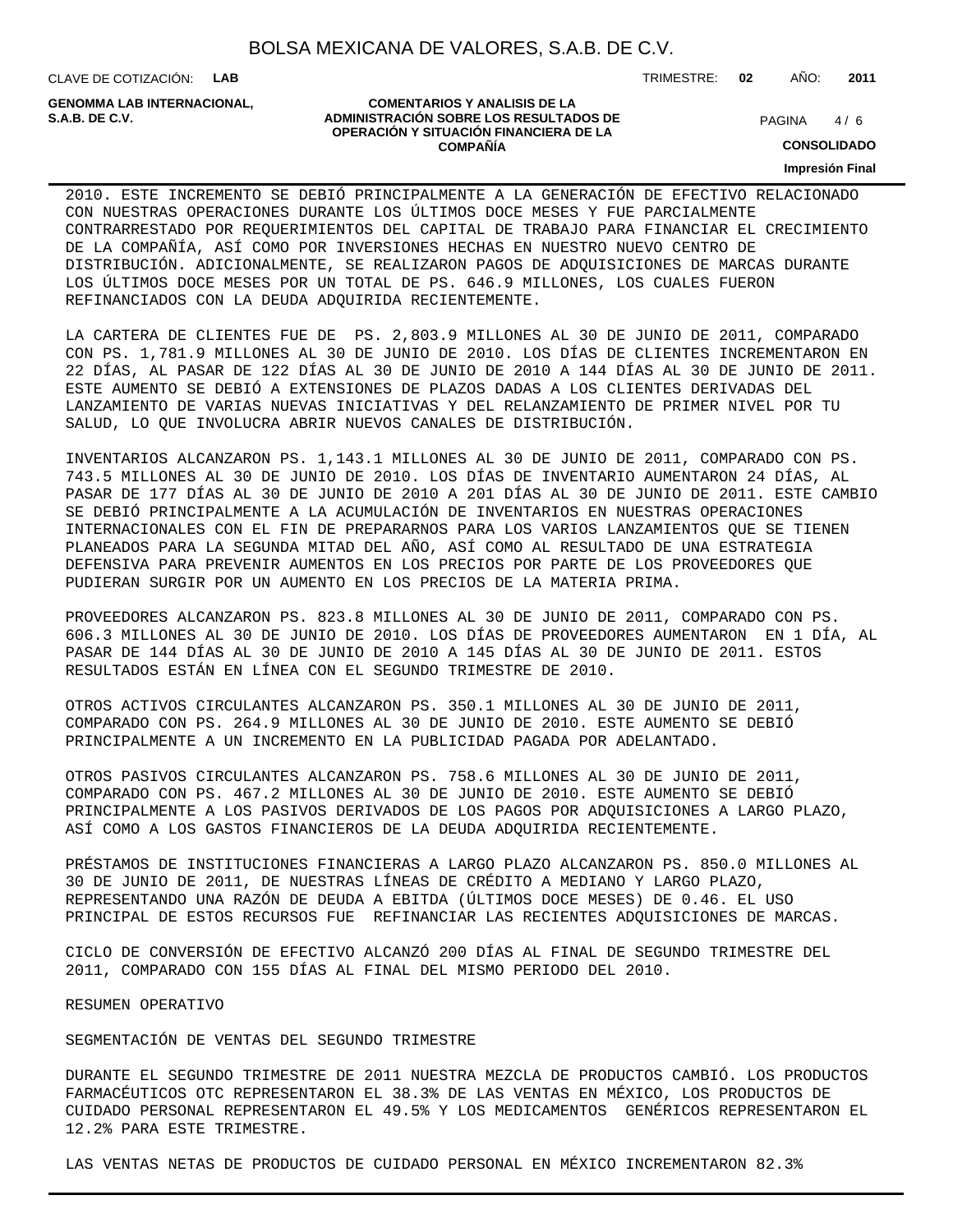CLAVE DE COTIZACIÓN: **LAB**

**GENOMMA LAB INTERNACIONAL,**

### **COMENTARIOS Y ANALISIS DE LA ADMINISTRACIÓN SOBRE LOS RESULTADOS DE PAGINA 1/6** PAGINA 1/6 **OPERACIÓN Y SITUACIÓN FINANCIERA DE LA COMPAÑÍA**

 $4/6$ 

**CONSOLIDADO**

**Impresión Final**

2010. ESTE INCREMENTO SE DEBIÓ PRINCIPALMENTE A LA GENERACIÓN DE EFECTIVO RELACIONADO CON NUESTRAS OPERACIONES DURANTE LOS ÚLTIMOS DOCE MESES Y FUE PARCIALMENTE CONTRARRESTADO POR REQUERIMIENTOS DEL CAPITAL DE TRABAJO PARA FINANCIAR EL CRECIMIENTO DE LA COMPAÑÍA, ASÍ COMO POR INVERSIONES HECHAS EN NUESTRO NUEVO CENTRO DE DISTRIBUCIÓN. ADICIONALMENTE, SE REALIZARON PAGOS DE ADQUISICIONES DE MARCAS DURANTE LOS ÚLTIMOS DOCE MESES POR UN TOTAL DE PS. 646.9 MILLONES, LOS CUALES FUERON REFINANCIADOS CON LA DEUDA ADQUIRIDA RECIENTEMENTE.

LA CARTERA DE CLIENTES FUE DE PS. 2,803.9 MILLONES AL 30 DE JUNIO DE 2011, COMPARADO CON PS. 1,781.9 MILLONES AL 30 DE JUNIO DE 2010. LOS DÍAS DE CLIENTES INCREMENTARON EN 22 DÍAS, AL PASAR DE 122 DÍAS AL 30 DE JUNIO DE 2010 A 144 DÍAS AL 30 DE JUNIO DE 2011. ESTE AUMENTO SE DEBIÓ A EXTENSIONES DE PLAZOS DADAS A LOS CLIENTES DERIVADAS DEL LANZAMIENTO DE VARIAS NUEVAS INICIATIVAS Y DEL RELANZAMIENTO DE PRIMER NIVEL POR TU SALUD, LO QUE INVOLUCRA ABRIR NUEVOS CANALES DE DISTRIBUCIÓN.

INVENTARIOS ALCANZARON PS. 1,143.1 MILLONES AL 30 DE JUNIO DE 2011, COMPARADO CON PS. 743.5 MILLONES AL 30 DE JUNIO DE 2010. LOS DÍAS DE INVENTARIO AUMENTARON 24 DÍAS, AL PASAR DE 177 DÍAS AL 30 DE JUNIO DE 2010 A 201 DÍAS AL 30 DE JUNIO DE 2011. ESTE CAMBIO SE DEBIÓ PRINCIPALMENTE A LA ACUMULACIÓN DE INVENTARIOS EN NUESTRAS OPERACIONES INTERNACIONALES CON EL FIN DE PREPARARNOS PARA LOS VARIOS LANZAMIENTOS QUE SE TIENEN PLANEADOS PARA LA SEGUNDA MITAD DEL AÑO, ASÍ COMO AL RESULTADO DE UNA ESTRATEGIA DEFENSIVA PARA PREVENIR AUMENTOS EN LOS PRECIOS POR PARTE DE LOS PROVEEDORES QUE PUDIERAN SURGIR POR UN AUMENTO EN LOS PRECIOS DE LA MATERIA PRIMA.

PROVEEDORES ALCANZARON PS. 823.8 MILLONES AL 30 DE JUNIO DE 2011, COMPARADO CON PS. 606.3 MILLONES AL 30 DE JUNIO DE 2010. LOS DÍAS DE PROVEEDORES AUMENTARON EN 1 DÍA, AL PASAR DE 144 DÍAS AL 30 DE JUNIO DE 2010 A 145 DÍAS AL 30 DE JUNIO DE 2011. ESTOS RESULTADOS ESTÁN EN LÍNEA CON EL SEGUNDO TRIMESTRE DE 2010.

OTROS ACTIVOS CIRCULANTES ALCANZARON PS. 350.1 MILLONES AL 30 DE JUNIO DE 2011, COMPARADO CON PS. 264.9 MILLONES AL 30 DE JUNIO DE 2010. ESTE AUMENTO SE DEBIÓ PRINCIPALMENTE A UN INCREMENTO EN LA PUBLICIDAD PAGADA POR ADELANTADO.

OTROS PASIVOS CIRCULANTES ALCANZARON PS. 758.6 MILLONES AL 30 DE JUNIO DE 2011, COMPARADO CON PS. 467.2 MILLONES AL 30 DE JUNIO DE 2010. ESTE AUMENTO SE DEBIÓ PRINCIPALMENTE A LOS PASIVOS DERIVADOS DE LOS PAGOS POR ADQUISICIONES A LARGO PLAZO, ASÍ COMO A LOS GASTOS FINANCIEROS DE LA DEUDA ADQUIRIDA RECIENTEMENTE.

PRÉSTAMOS DE INSTITUCIONES FINANCIERAS A LARGO PLAZO ALCANZARON PS. 850.0 MILLONES AL 30 DE JUNIO DE 2011, DE NUESTRAS LÍNEAS DE CRÉDITO A MEDIANO Y LARGO PLAZO, REPRESENTANDO UNA RAZÓN DE DEUDA A EBITDA (ÚLTIMOS DOCE MESES) DE 0.46. EL USO PRINCIPAL DE ESTOS RECURSOS FUE REFINANCIAR LAS RECIENTES ADQUISICIONES DE MARCAS.

CICLO DE CONVERSIÓN DE EFECTIVO ALCANZÓ 200 DÍAS AL FINAL DE SEGUNDO TRIMESTRE DEL 2011, COMPARADO CON 155 DÍAS AL FINAL DEL MISMO PERIODO DEL 2010.

RESUMEN OPERATIVO

SEGMENTACIÓN DE VENTAS DEL SEGUNDO TRIMESTRE

DURANTE EL SEGUNDO TRIMESTRE DE 2011 NUESTRA MEZCLA DE PRODUCTOS CAMBIÓ. LOS PRODUCTOS FARMACÉUTICOS OTC REPRESENTARON EL 38.3% DE LAS VENTAS EN MÉXICO, LOS PRODUCTOS DE CUIDADO PERSONAL REPRESENTARON EL 49.5% Y LOS MEDICAMENTOS GENÉRICOS REPRESENTARON EL 12.2% PARA ESTE TRIMESTRE.

LAS VENTAS NETAS DE PRODUCTOS DE CUIDADO PERSONAL EN MÉXICO INCREMENTARON 82.3%

TRIMESTRE: **02** AÑO: **2011**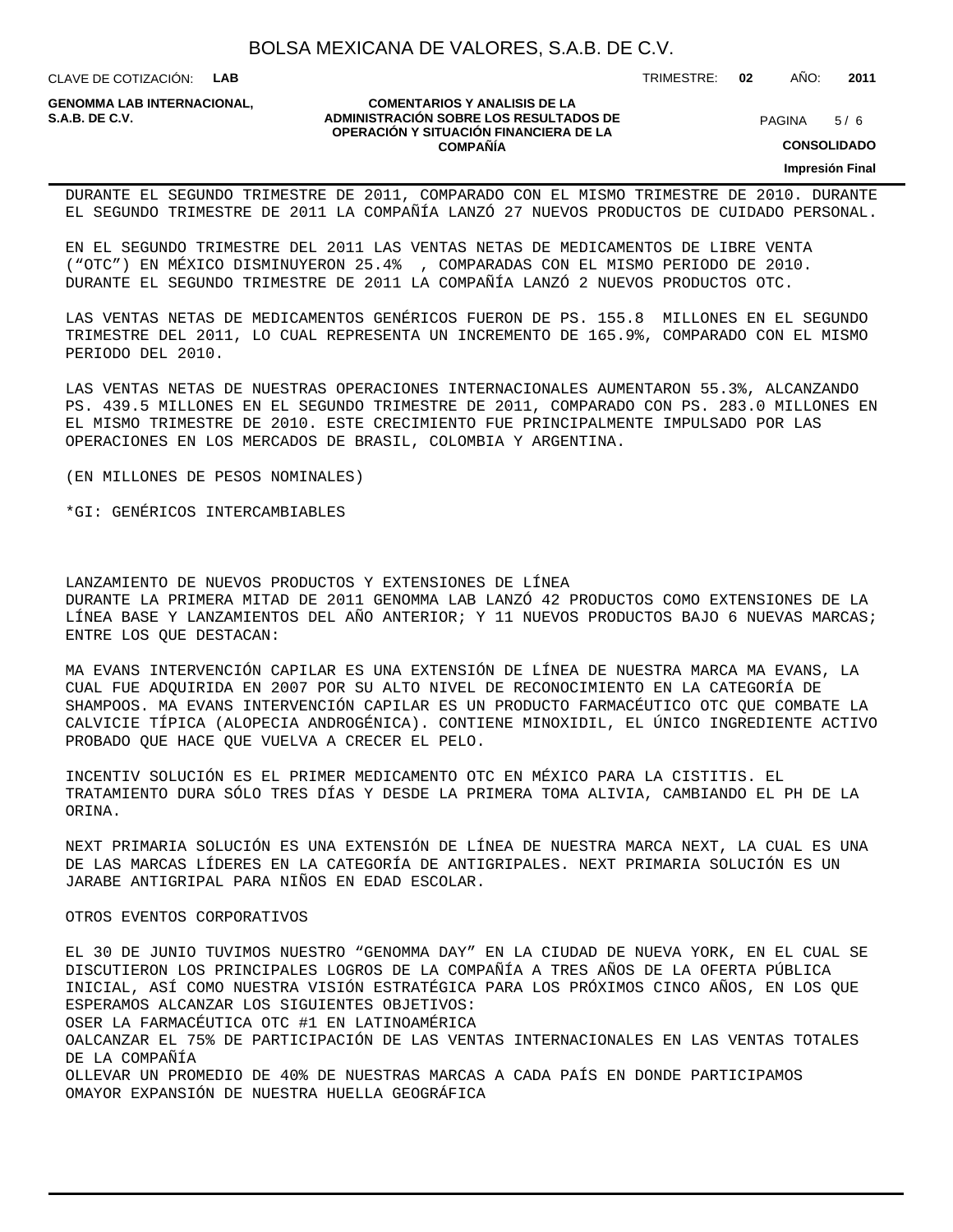CLAVE DE COTIZACIÓN: **LAB**

### **COMENTARIOS Y ANALISIS DE LA ADMINISTRACIÓN SOBRE LOS RESULTADOS DE S.A.B. DE C.V.** PAGINA / 6 **OPERACIÓN Y SITUACIÓN FINANCIERA DE LA COMPAÑÍA**

**CONSOLIDADO**

**Impresión Final**

DURANTE EL SEGUNDO TRIMESTRE DE 2011, COMPARADO CON EL MISMO TRIMESTRE DE 2010. DURANTE EL SEGUNDO TRIMESTRE DE 2011 LA COMPAÑÍA LANZÓ 27 NUEVOS PRODUCTOS DE CUIDADO PERSONAL.

EN EL SEGUNDO TRIMESTRE DEL 2011 LAS VENTAS NETAS DE MEDICAMENTOS DE LIBRE VENTA ("OTC") EN MÉXICO DISMINUYERON 25.4% , COMPARADAS CON EL MISMO PERIODO DE 2010. DURANTE EL SEGUNDO TRIMESTRE DE 2011 LA COMPAÑÍA LANZÓ 2 NUEVOS PRODUCTOS OTC.

LAS VENTAS NETAS DE MEDICAMENTOS GENÉRICOS FUERON DE PS. 155.8 MILLONES EN EL SEGUNDO TRIMESTRE DEL 2011, LO CUAL REPRESENTA UN INCREMENTO DE 165.9%, COMPARADO CON EL MISMO PERIODO DEL 2010.

LAS VENTAS NETAS DE NUESTRAS OPERACIONES INTERNACIONALES AUMENTARON 55.3%, ALCANZANDO PS. 439.5 MILLONES EN EL SEGUNDO TRIMESTRE DE 2011, COMPARADO CON PS. 283.0 MILLONES EN EL MISMO TRIMESTRE DE 2010. ESTE CRECIMIENTO FUE PRINCIPALMENTE IMPULSADO POR LAS OPERACIONES EN LOS MERCADOS DE BRASIL, COLOMBIA Y ARGENTINA.

(EN MILLONES DE PESOS NOMINALES)

\*GI: GENÉRICOS INTERCAMBIABLES

LANZAMIENTO DE NUEVOS PRODUCTOS Y EXTENSIONES DE LÍNEA DURANTE LA PRIMERA MITAD DE 2011 GENOMMA LAB LANZÓ 42 PRODUCTOS COMO EXTENSIONES DE LA LÍNEA BASE Y LANZAMIENTOS DEL AÑO ANTERIOR; Y 11 NUEVOS PRODUCTOS BAJO 6 NUEVAS MARCAS; ENTRE LOS QUE DESTACAN:

MA EVANS INTERVENCIÓN CAPILAR ES UNA EXTENSIÓN DE LÍNEA DE NUESTRA MARCA MA EVANS, LA CUAL FUE ADQUIRIDA EN 2007 POR SU ALTO NIVEL DE RECONOCIMIENTO EN LA CATEGORÍA DE SHAMPOOS. MA EVANS INTERVENCIÓN CAPILAR ES UN PRODUCTO FARMACÉUTICO OTC QUE COMBATE LA CALVICIE TÍPICA (ALOPECIA ANDROGÉNICA). CONTIENE MINOXIDIL, EL ÚNICO INGREDIENTE ACTIVO PROBADO QUE HACE QUE VUELVA A CRECER EL PELO.

INCENTIV SOLUCIÓN ES EL PRIMER MEDICAMENTO OTC EN MÉXICO PARA LA CISTITIS. EL TRATAMIENTO DURA SÓLO TRES DÍAS Y DESDE LA PRIMERA TOMA ALIVIA, CAMBIANDO EL PH DE LA ORINA.

NEXT PRIMARIA SOLUCIÓN ES UNA EXTENSIÓN DE LÍNEA DE NUESTRA MARCA NEXT, LA CUAL ES UNA DE LAS MARCAS LÍDERES EN LA CATEGORÍA DE ANTIGRIPALES. NEXT PRIMARIA SOLUCIÓN ES UN JARABE ANTIGRIPAL PARA NIÑOS EN EDAD ESCOLAR.

### OTROS EVENTOS CORPORATIVOS

 EL 30 DE JUNIO TUVIMOS NUESTRO "GENOMMA DAY" EN LA CIUDAD DE NUEVA YORK, EN EL CUAL SE DISCUTIERON LOS PRINCIPALES LOGROS DE LA COMPAÑÍA A TRES AÑOS DE LA OFERTA PÚBLICA INICIAL, ASÍ COMO NUESTRA VISIÓN ESTRATÉGICA PARA LOS PRÓXIMOS CINCO AÑOS, EN LOS QUE ESPERAMOS ALCANZAR LOS SIGUIENTES OBJETIVOS:

O SER LA FARMACÉUTICA OTC #1 EN LATINOAMÉRICA

O ALCANZAR EL 75% DE PARTICIPACIÓN DE LAS VENTAS INTERNACIONALES EN LAS VENTAS TOTALES DE LA COMPAÑÍA

O LLEVAR UN PROMEDIO DE 40% DE NUESTRAS MARCAS A CADA PAÍS EN DONDE PARTICIPAMOS

O MAYOR EXPANSIÓN DE NUESTRA HUELLA GEOGRÁFICA

**GENOMMA LAB INTERNACIONAL,**

 $5/6$ 

TRIMESTRE: **02** AÑO: **2011**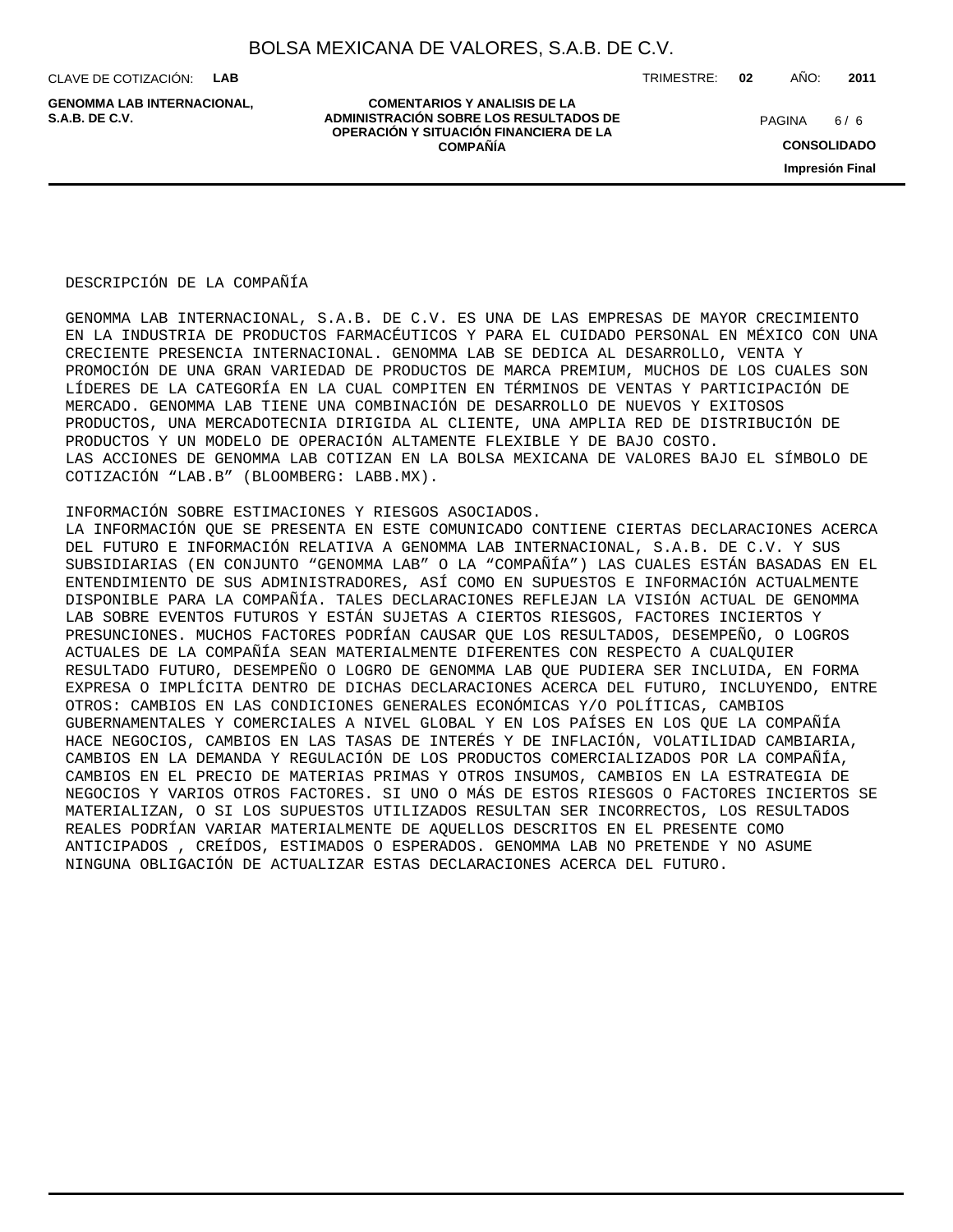CLAVE DE COTIZACIÓN: **LAB**

**GENOMMA LAB INTERNACIONAL,**

**COMENTARIOS Y ANALISIS DE LA ADMINISTRACIÓN SOBRE LOS RESULTADOS DE S.A.B. DE C.V.** PAGINA / 6 **OPERACIÓN Y SITUACIÓN FINANCIERA DE LA COMPAÑÍA**

TRIMESTRE: **02** AÑO: **2011**

 $6/6$ 

**CONSOLIDADO**

**Impresión Final**

DESCRIPCIÓN DE LA COMPAÑÍA

GENOMMA LAB INTERNACIONAL, S.A.B. DE C.V. ES UNA DE LAS EMPRESAS DE MAYOR CRECIMIENTO EN LA INDUSTRIA DE PRODUCTOS FARMACÉUTICOS Y PARA EL CUIDADO PERSONAL EN MÉXICO CON UNA CRECIENTE PRESENCIA INTERNACIONAL. GENOMMA LAB SE DEDICA AL DESARROLLO, VENTA Y PROMOCIÓN DE UNA GRAN VARIEDAD DE PRODUCTOS DE MARCA PREMIUM, MUCHOS DE LOS CUALES SON LÍDERES DE LA CATEGORÍA EN LA CUAL COMPITEN EN TÉRMINOS DE VENTAS Y PARTICIPACIÓN DE MERCADO. GENOMMA LAB TIENE UNA COMBINACIÓN DE DESARROLLO DE NUEVOS Y EXITOSOS PRODUCTOS, UNA MERCADOTECNIA DIRIGIDA AL CLIENTE, UNA AMPLIA RED DE DISTRIBUCIÓN DE PRODUCTOS Y UN MODELO DE OPERACIÓN ALTAMENTE FLEXIBLE Y DE BAJO COSTO. LAS ACCIONES DE GENOMMA LAB COTIZAN EN LA BOLSA MEXICANA DE VALORES BAJO EL SÍMBOLO DE COTIZACIÓN "LAB.B" (BLOOMBERG: LABB.MX).

INFORMACIÓN SOBRE ESTIMACIONES Y RIESGOS ASOCIADOS.

LA INFORMACIÓN QUE SE PRESENTA EN ESTE COMUNICADO CONTIENE CIERTAS DECLARACIONES ACERCA DEL FUTURO E INFORMACIÓN RELATIVA A GENOMMA LAB INTERNACIONAL, S.A.B. DE C.V. Y SUS SUBSIDIARIAS (EN CONJUNTO "GENOMMA LAB" O LA "COMPAÑÍA") LAS CUALES ESTÁN BASADAS EN EL ENTENDIMIENTO DE SUS ADMINISTRADORES, ASÍ COMO EN SUPUESTOS E INFORMACIÓN ACTUALMENTE DISPONIBLE PARA LA COMPAÑÍA. TALES DECLARACIONES REFLEJAN LA VISIÓN ACTUAL DE GENOMMA LAB SOBRE EVENTOS FUTUROS Y ESTÁN SUJETAS A CIERTOS RIESGOS, FACTORES INCIERTOS Y PRESUNCIONES. MUCHOS FACTORES PODRÍAN CAUSAR QUE LOS RESULTADOS, DESEMPEÑO, O LOGROS ACTUALES DE LA COMPAÑÍA SEAN MATERIALMENTE DIFERENTES CON RESPECTO A CUALQUIER RESULTADO FUTURO, DESEMPEÑO O LOGRO DE GENOMMA LAB QUE PUDIERA SER INCLUIDA, EN FORMA EXPRESA O IMPLÍCITA DENTRO DE DICHAS DECLARACIONES ACERCA DEL FUTURO, INCLUYENDO, ENTRE OTROS: CAMBIOS EN LAS CONDICIONES GENERALES ECONÓMICAS Y/O POLÍTICAS, CAMBIOS GUBERNAMENTALES Y COMERCIALES A NIVEL GLOBAL Y EN LOS PAÍSES EN LOS QUE LA COMPAÑÍA HACE NEGOCIOS, CAMBIOS EN LAS TASAS DE INTERÉS Y DE INFLACIÓN, VOLATILIDAD CAMBIARIA, CAMBIOS EN LA DEMANDA Y REGULACIÓN DE LOS PRODUCTOS COMERCIALIZADOS POR LA COMPAÑÍA, CAMBIOS EN EL PRECIO DE MATERIAS PRIMAS Y OTROS INSUMOS, CAMBIOS EN LA ESTRATEGIA DE NEGOCIOS Y VARIOS OTROS FACTORES. SI UNO O MÁS DE ESTOS RIESGOS O FACTORES INCIERTOS SE MATERIALIZAN, O SI LOS SUPUESTOS UTILIZADOS RESULTAN SER INCORRECTOS, LOS RESULTADOS REALES PODRÍAN VARIAR MATERIALMENTE DE AQUELLOS DESCRITOS EN EL PRESENTE COMO ANTICIPADOS , CREÍDOS, ESTIMADOS O ESPERADOS. GENOMMA LAB NO PRETENDE Y NO ASUME NINGUNA OBLIGACIÓN DE ACTUALIZAR ESTAS DECLARACIONES ACERCA DEL FUTURO.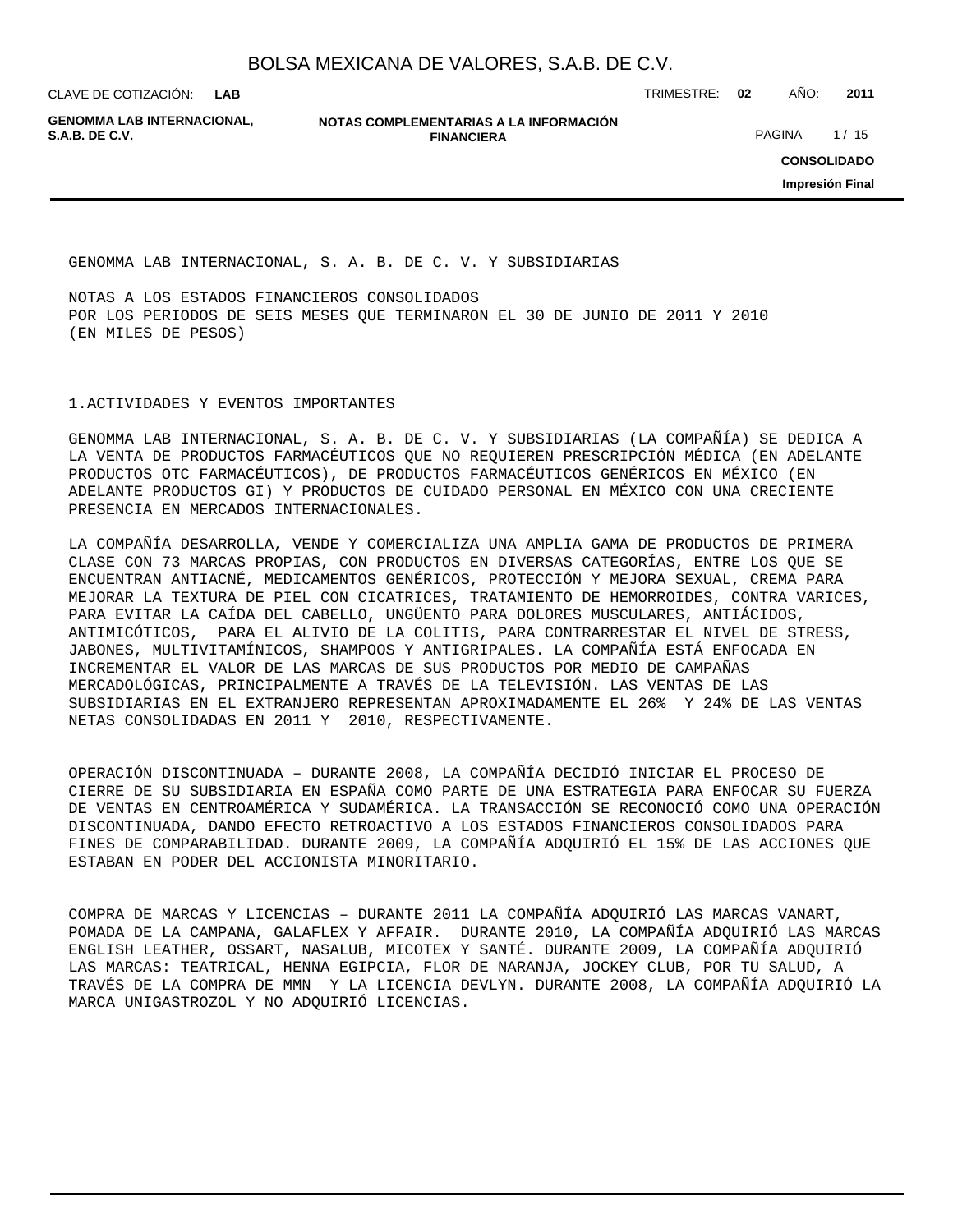**LAB**

CLAVE DE COTIZACIÓN: TRIMESTRE: **02** AÑO: **2011**

**GENOMMA LAB INTERNACIONAL,**

**NOTAS COMPLEMENTARIAS A LA INFORMACIÓN FINANCIERA S.A.B. DE C.V.** PAGINA 1/15

**CONSOLIDADO Impresión Final**

GENOMMA LAB INTERNACIONAL, S. A. B. DE C. V. Y SUBSIDIARIAS

NOTAS A LOS ESTADOS FINANCIEROS CONSOLIDADOS POR LOS PERIODOS DE SEIS MESES QUE TERMINARON EL 30 DE JUNIO DE 2011 Y 2010 (EN MILES DE PESOS)

### 1. ACTIVIDADES Y EVENTOS IMPORTANTES

GENOMMA LAB INTERNACIONAL, S. A. B. DE C. V. Y SUBSIDIARIAS (LA COMPAÑÍA) SE DEDICA A LA VENTA DE PRODUCTOS FARMACÉUTICOS QUE NO REQUIEREN PRESCRIPCIÓN MÉDICA (EN ADELANTE PRODUCTOS OTC FARMACÉUTICOS), DE PRODUCTOS FARMACÉUTICOS GENÉRICOS EN MÉXICO (EN ADELANTE PRODUCTOS GI) Y PRODUCTOS DE CUIDADO PERSONAL EN MÉXICO CON UNA CRECIENTE PRESENCIA EN MERCADOS INTERNACIONALES.

LA COMPAÑÍA DESARROLLA, VENDE Y COMERCIALIZA UNA AMPLIA GAMA DE PRODUCTOS DE PRIMERA CLASE CON 73 MARCAS PROPIAS, CON PRODUCTOS EN DIVERSAS CATEGORÍAS, ENTRE LOS QUE SE ENCUENTRAN ANTIACNÉ, MEDICAMENTOS GENÉRICOS, PROTECCIÓN Y MEJORA SEXUAL, CREMA PARA MEJORAR LA TEXTURA DE PIEL CON CICATRICES, TRATAMIENTO DE HEMORROIDES, CONTRA VARICES, PARA EVITAR LA CAÍDA DEL CABELLO, UNGÜENTO PARA DOLORES MUSCULARES, ANTIÁCIDOS, ANTIMICÓTICOS, PARA EL ALIVIO DE LA COLITIS, PARA CONTRARRESTAR EL NIVEL DE STRESS, JABONES, MULTIVITAMÍNICOS, SHAMPOOS Y ANTIGRIPALES. LA COMPAÑÍA ESTÁ ENFOCADA EN INCREMENTAR EL VALOR DE LAS MARCAS DE SUS PRODUCTOS POR MEDIO DE CAMPAÑAS MERCADOLÓGICAS, PRINCIPALMENTE A TRAVÉS DE LA TELEVISIÓN. LAS VENTAS DE LAS SUBSIDIARIAS EN EL EXTRANJERO REPRESENTAN APROXIMADAMENTE EL 26% Y 24% DE LAS VENTAS NETAS CONSOLIDADAS EN 2011 Y 2010, RESPECTIVAMENTE.

OPERACIÓN DISCONTINUADA – DURANTE 2008, LA COMPAÑÍA DECIDIÓ INICIAR EL PROCESO DE CIERRE DE SU SUBSIDIARIA EN ESPAÑA COMO PARTE DE UNA ESTRATEGIA PARA ENFOCAR SU FUERZA DE VENTAS EN CENTROAMÉRICA Y SUDAMÉRICA. LA TRANSACCIÓN SE RECONOCIÓ COMO UNA OPERACIÓN DISCONTINUADA, DANDO EFECTO RETROACTIVO A LOS ESTADOS FINANCIEROS CONSOLIDADOS PARA FINES DE COMPARABILIDAD. DURANTE 2009, LA COMPAÑÍA ADQUIRIÓ EL 15% DE LAS ACCIONES QUE ESTABAN EN PODER DEL ACCIONISTA MINORITARIO.

COMPRA DE MARCAS Y LICENCIAS – DURANTE 2011 LA COMPAÑÍA ADQUIRIÓ LAS MARCAS VANART, POMADA DE LA CAMPANA, GALAFLEX Y AFFAIR. DURANTE 2010, LA COMPAÑÍA ADQUIRIÓ LAS MARCAS ENGLISH LEATHER, OSSART, NASALUB, MICOTEX Y SANTÉ. DURANTE 2009, LA COMPAÑÍA ADQUIRIÓ LAS MARCAS: TEATRICAL, HENNA EGIPCIA, FLOR DE NARANJA, JOCKEY CLUB, POR TU SALUD, A TRAVÉS DE LA COMPRA DE MMN Y LA LICENCIA DEVLYN. DURANTE 2008, LA COMPAÑÍA ADQUIRIÓ LA MARCA UNIGASTROZOL Y NO ADQUIRIÓ LICENCIAS.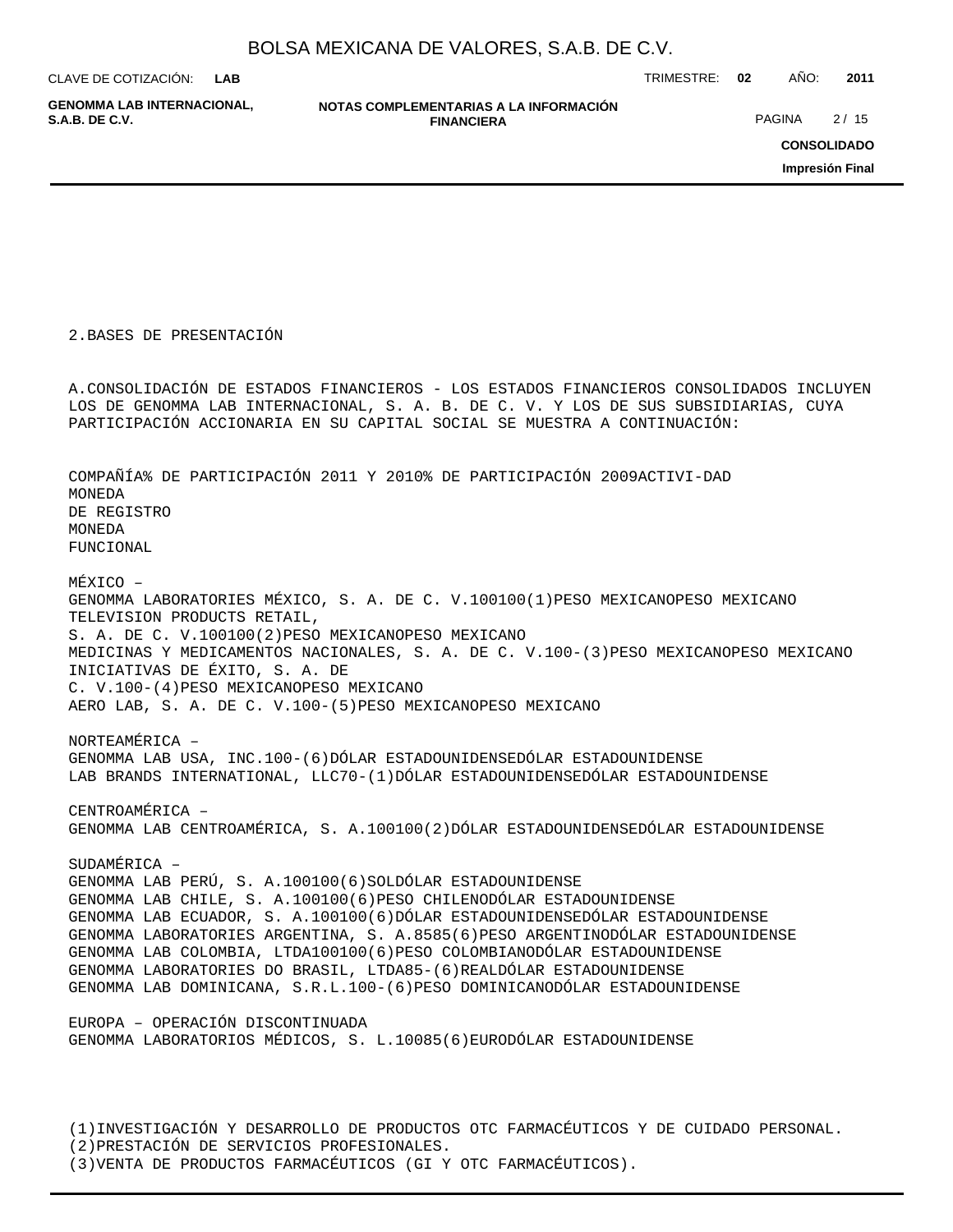| BOLSA MEXICANA DE VALORES, S.A.B. DE C.V. |  |  |
|-------------------------------------------|--|--|
|-------------------------------------------|--|--|

**FINANCIERA**

**LAB**

**GENOMMA LAB INTERNACIONAL,**

**NOTAS COMPLEMENTARIAS A LA INFORMACIÓN**

CLAVE DE COTIZACIÓN: TRIMESTRE: **02** AÑO: **2011**

**S.A.B. DE C.V.** PAGINA 2 / 15

**CONSOLIDADO**

**Impresión Final**

2. BASES DE PRESENTACIÓN

A. CONSOLIDACIÓN DE ESTADOS FINANCIEROS - LOS ESTADOS FINANCIEROS CONSOLIDADOS INCLUYEN LOS DE GENOMMA LAB INTERNACIONAL, S. A. B. DE C. V. Y LOS DE SUS SUBSIDIARIAS, CUYA PARTICIPACIÓN ACCIONARIA EN SU CAPITAL SOCIAL SE MUESTRA A CONTINUACIÓN:

COMPAÑÍA % DE PARTICIPACIÓN 2011 Y 2010 % DE PARTICIPACIÓN 2009 ACTIVI-DAD MONEDA DE REGISTRO MONEDA FUNCIONAL MÉXICO – GENOMMA LABORATORIES MÉXICO, S. A. DE C. V. 100 100 (1) PESO MEXICANO PESO MEXICANO TELEVISION PRODUCTS RETAIL, S. A. DE C. V. 100 100 (2) PESO MEXICANO PESO MEXICANO MEDICINAS Y MEDICAMENTOS NACIONALES, S. A. DE C. V. 100 - (3) PESO MEXICANO PESO MEXICANO

INICIATIVAS DE ÉXITO, S. A. DE C. V. 100 - (4) PESO MEXICANO PESO MEXICANO AERO LAB, S. A. DE C. V. 100 - (5) PESO MEXICANO PESO MEXICANO

NORTEAMÉRICA – GENOMMA LAB USA, INC. 100 - (6) DÓLAR ESTADOUNIDENSE DÓLAR ESTADOUNIDENSE LAB BRANDS INTERNATIONAL, LLC 70 - (1) DÓLAR ESTADOUNIDENSE DÓLAR ESTADOUNIDENSE

CENTROAMÉRICA – GENOMMA LAB CENTROAMÉRICA, S. A. 100 100 (2) DÓLAR ESTADOUNIDENSE DÓLAR ESTADOUNIDENSE

SUDAMÉRICA – GENOMMA LAB PERÚ, S. A. 100 100 (6) SOL DÓLAR ESTADOUNIDENSE GENOMMA LAB CHILE, S. A. 100 100 (6) PESO CHILENO DÓLAR ESTADOUNIDENSE GENOMMA LAB ECUADOR, S. A. 100 100 (6) DÓLAR ESTADOUNIDENSE DÓLAR ESTADOUNIDENSE GENOMMA LABORATORIES ARGENTINA, S. A. 85 85 (6) PESO ARGENTINO DÓLAR ESTADOUNIDENSE GENOMMA LAB COLOMBIA, LTDA 100 100 (6) PESO COLOMBIANO DÓLAR ESTADOUNIDENSE GENOMMA LABORATORIES DO BRASIL, LTDA 85 - (6) REAL DÓLAR ESTADOUNIDENSE GENOMMA LAB DOMINICANA, S.R.L. 100 - (6) PESO DOMINICANO DÓLAR ESTADOUNIDENSE

EUROPA – OPERACIÓN DISCONTINUADA GENOMMA LABORATORIOS MÉDICOS, S. L. 100 85 (6) EURO DÓLAR ESTADOUNIDENSE

(1) INVESTIGACIÓN Y DESARROLLO DE PRODUCTOS OTC FARMACÉUTICOS Y DE CUIDADO PERSONAL.

(2) PRESTACIÓN DE SERVICIOS PROFESIONALES.

(3) VENTA DE PRODUCTOS FARMACÉUTICOS (GI Y OTC FARMACÉUTICOS).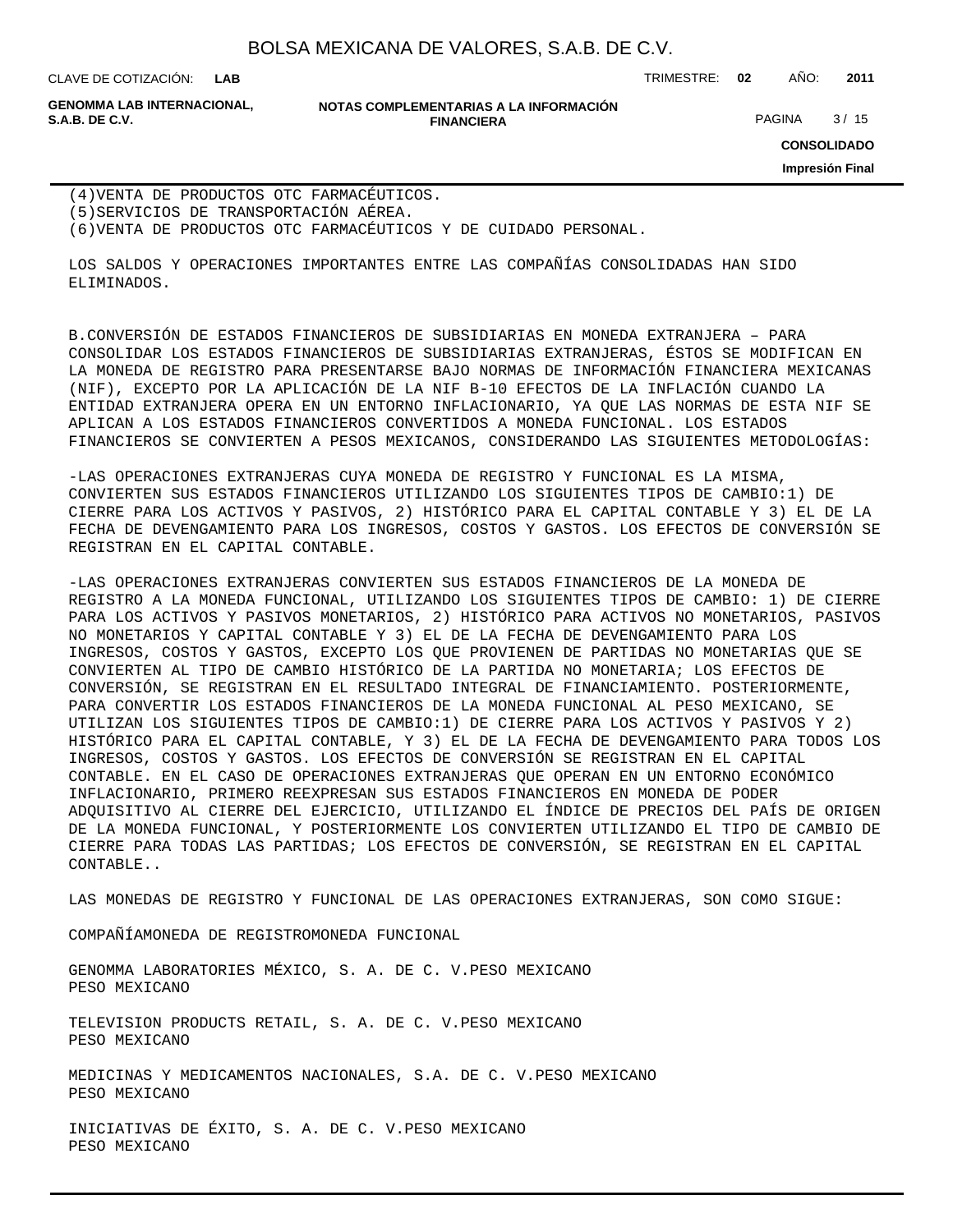CLAVE DE COTIZACIÓN: TRIMESTRE: **02** AÑO: **2011 LAB**

**GENOMMA LAB INTERNACIONAL,**

#### **NOTAS COMPLEMENTARIAS A LA INFORMACIÓN FINANCIERA S.A.B. DE C.V. EXAMPLE 2008 EXAMPLE 2008 EINANCIERA PAGINA** 3/ 15

**CONSOLIDADO**

**Impresión Final**

(4) VENTA DE PRODUCTOS OTC FARMACÉUTICOS.

(5) SERVICIOS DE TRANSPORTACIÓN AÉREA.

(6) VENTA DE PRODUCTOS OTC FARMACÉUTICOS Y DE CUIDADO PERSONAL.

LOS SALDOS Y OPERACIONES IMPORTANTES ENTRE LAS COMPAÑÍAS CONSOLIDADAS HAN SIDO ELIMINADOS.

B. CONVERSIÓN DE ESTADOS FINANCIEROS DE SUBSIDIARIAS EN MONEDA EXTRANJERA – PARA CONSOLIDAR LOS ESTADOS FINANCIEROS DE SUBSIDIARIAS EXTRANJERAS, ÉSTOS SE MODIFICAN EN LA MONEDA DE REGISTRO PARA PRESENTARSE BAJO NORMAS DE INFORMACIÓN FINANCIERA MEXICANAS (NIF), EXCEPTO POR LA APLICACIÓN DE LA NIF B-10 EFECTOS DE LA INFLACIÓN CUANDO LA ENTIDAD EXTRANJERA OPERA EN UN ENTORNO INFLACIONARIO, YA QUE LAS NORMAS DE ESTA NIF SE APLICAN A LOS ESTADOS FINANCIEROS CONVERTIDOS A MONEDA FUNCIONAL. LOS ESTADOS FINANCIEROS SE CONVIERTEN A PESOS MEXICANOS, CONSIDERANDO LAS SIGUIENTES METODOLOGÍAS:

- LAS OPERACIONES EXTRANJERAS CUYA MONEDA DE REGISTRO Y FUNCIONAL ES LA MISMA, CONVIERTEN SUS ESTADOS FINANCIEROS UTILIZANDO LOS SIGUIENTES TIPOS DE CAMBIO:1) DE CIERRE PARA LOS ACTIVOS Y PASIVOS, 2) HISTÓRICO PARA EL CAPITAL CONTABLE Y 3) EL DE LA FECHA DE DEVENGAMIENTO PARA LOS INGRESOS, COSTOS Y GASTOS. LOS EFECTOS DE CONVERSIÓN SE REGISTRAN EN EL CAPITAL CONTABLE.

- LAS OPERACIONES EXTRANJERAS CONVIERTEN SUS ESTADOS FINANCIEROS DE LA MONEDA DE REGISTRO A LA MONEDA FUNCIONAL, UTILIZANDO LOS SIGUIENTES TIPOS DE CAMBIO: 1) DE CIERRE PARA LOS ACTIVOS Y PASIVOS MONETARIOS, 2) HISTÓRICO PARA ACTIVOS NO MONETARIOS, PASIVOS NO MONETARIOS Y CAPITAL CONTABLE Y 3) EL DE LA FECHA DE DEVENGAMIENTO PARA LOS INGRESOS, COSTOS Y GASTOS, EXCEPTO LOS QUE PROVIENEN DE PARTIDAS NO MONETARIAS QUE SE CONVIERTEN AL TIPO DE CAMBIO HISTÓRICO DE LA PARTIDA NO MONETARIA; LOS EFECTOS DE CONVERSIÓN, SE REGISTRAN EN EL RESULTADO INTEGRAL DE FINANCIAMIENTO. POSTERIORMENTE, PARA CONVERTIR LOS ESTADOS FINANCIEROS DE LA MONEDA FUNCIONAL AL PESO MEXICANO, SE UTILIZAN LOS SIGUIENTES TIPOS DE CAMBIO:1) DE CIERRE PARA LOS ACTIVOS Y PASIVOS Y 2) HISTÓRICO PARA EL CAPITAL CONTABLE, Y 3) EL DE LA FECHA DE DEVENGAMIENTO PARA TODOS LOS INGRESOS, COSTOS Y GASTOS. LOS EFECTOS DE CONVERSIÓN SE REGISTRAN EN EL CAPITAL CONTABLE. EN EL CASO DE OPERACIONES EXTRANJERAS QUE OPERAN EN UN ENTORNO ECONÓMICO INFLACIONARIO, PRIMERO REEXPRESAN SUS ESTADOS FINANCIEROS EN MONEDA DE PODER ADQUISITIVO AL CIERRE DEL EJERCICIO, UTILIZANDO EL ÍNDICE DE PRECIOS DEL PAÍS DE ORIGEN DE LA MONEDA FUNCIONAL, Y POSTERIORMENTE LOS CONVIERTEN UTILIZANDO EL TIPO DE CAMBIO DE CIERRE PARA TODAS LAS PARTIDAS; LOS EFECTOS DE CONVERSIÓN, SE REGISTRAN EN EL CAPITAL CONTABLE..

LAS MONEDAS DE REGISTRO Y FUNCIONAL DE LAS OPERACIONES EXTRANJERAS, SON COMO SIGUE:

COMPAÑÍA MONEDA DE REGISTRO MONEDA FUNCIONAL

GENOMMA LABORATORIES MÉXICO, S. A. DE C. V. PESO MEXICANO PESO MEXICANO

TELEVISION PRODUCTS RETAIL, S. A. DE C. V. PESO MEXICANO PESO MEXICANO

MEDICINAS Y MEDICAMENTOS NACIONALES, S.A. DE C. V. PESO MEXICANO PESO MEXICANO

INICIATIVAS DE ÉXITO, S. A. DE C. V. PESO MEXICANO PESO MEXICANO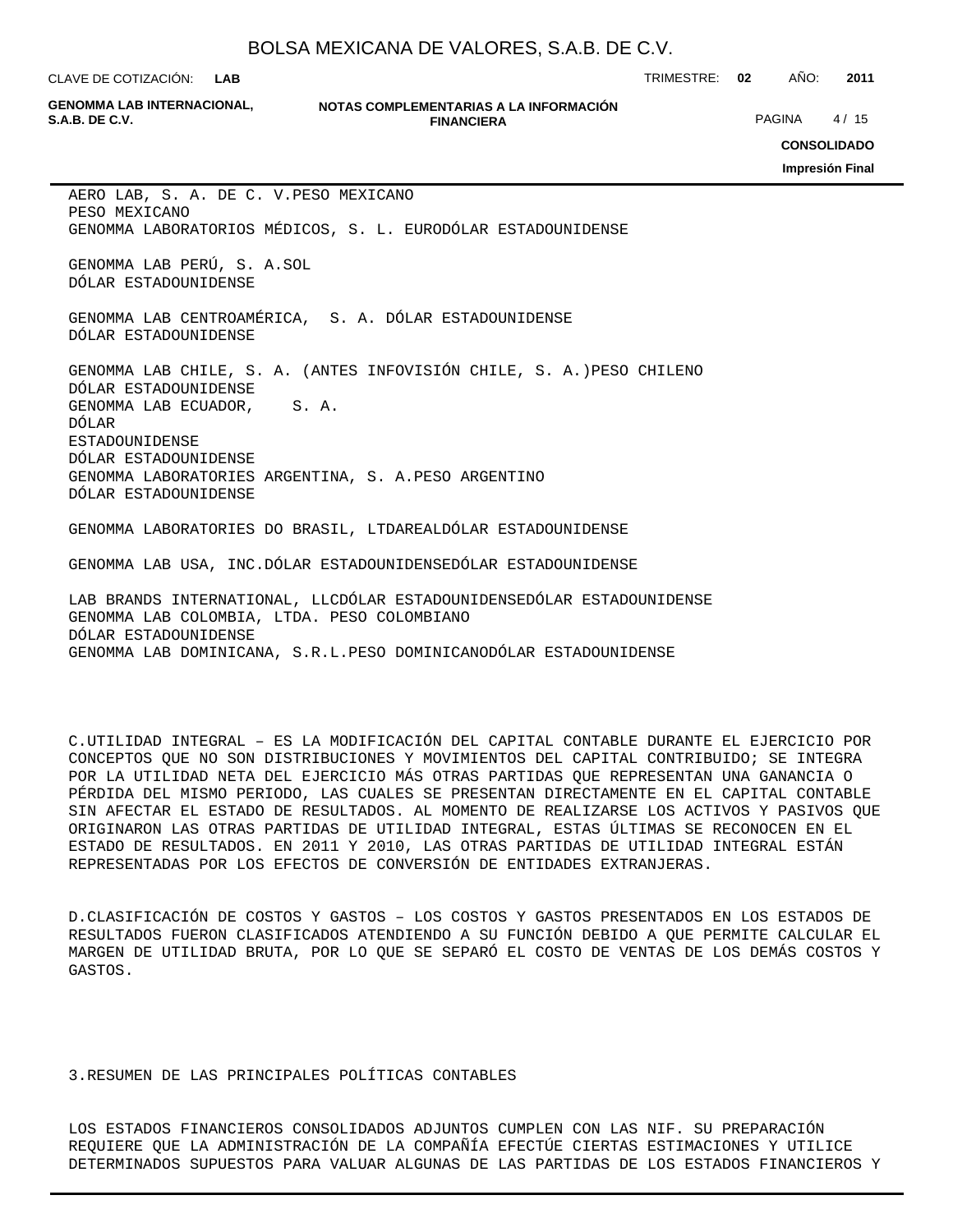**LAB**

CLAVE DE COTIZACIÓN: TRIMESTRE: **02** AÑO: **2011**

|                |  | <b>GENOMMA LAB INTERNACIONAL,</b> |  |
|----------------|--|-----------------------------------|--|
| S.A.B. DE C.V. |  |                                   |  |

#### **NOTAS COMPLEMENTARIAS A LA INFORMACIÓN FINANCIERA S.A.B. DE C.V.** PAGINA 2 / 15

**CONSOLIDADO**

**Impresión Final**

AERO LAB, S. A. DE C. V. PESO MEXICANO PESO MEXICANO GENOMMA LABORATORIOS MÉDICOS, S. L. EURO DÓLAR ESTADOUNIDENSE

GENOMMA LAB PERÚ, S. A. SOL DÓLAR ESTADOUNIDENSE

GENOMMA LAB CENTROAMÉRICA, S. A. DÓLAR ESTADOUNIDENSE DÓLAR ESTADOUNIDENSE

GENOMMA LAB CHILE, S. A. (ANTES INFOVISIÓN CHILE, S. A.) PESO CHILENO DÓLAR ESTADOUNIDENSE GENOMMA LAB ECUADOR, S.A. DÓLAR ESTADOUNIDENSE DÓLAR ESTADOUNIDENSE GENOMMA LABORATORIES ARGENTINA, S. A. PESO ARGENTINO DÓLAR ESTADOUNIDENSE

GENOMMA LABORATORIES DO BRASIL, LTDA REAL DÓLAR ESTADOUNIDENSE

GENOMMA LAB USA, INC. DÓLAR ESTADOUNIDENSE DÓLAR ESTADOUNIDENSE

LAB BRANDS INTERNATIONAL, LLC DÓLAR ESTADOUNIDENSE DÓLAR ESTADOUNIDENSE GENOMMA LAB COLOMBIA, LTDA. PESO COLOMBIANO DÓLAR ESTADOUNIDENSE GENOMMA LAB DOMINICANA, S.R.L. PESO DOMINICANO DÓLAR ESTADOUNIDENSE

C. UTILIDAD INTEGRAL – ES LA MODIFICACIÓN DEL CAPITAL CONTABLE DURANTE EL EJERCICIO POR CONCEPTOS QUE NO SON DISTRIBUCIONES Y MOVIMIENTOS DEL CAPITAL CONTRIBUIDO; SE INTEGRA POR LA UTILIDAD NETA DEL EJERCICIO MÁS OTRAS PARTIDAS QUE REPRESENTAN UNA GANANCIA O PÉRDIDA DEL MISMO PERIODO, LAS CUALES SE PRESENTAN DIRECTAMENTE EN EL CAPITAL CONTABLE SIN AFECTAR EL ESTADO DE RESULTADOS. AL MOMENTO DE REALIZARSE LOS ACTIVOS Y PASIVOS QUE ORIGINARON LAS OTRAS PARTIDAS DE UTILIDAD INTEGRAL, ESTAS ÚLTIMAS SE RECONOCEN EN EL ESTADO DE RESULTADOS. EN 2011 Y 2010, LAS OTRAS PARTIDAS DE UTILIDAD INTEGRAL ESTÁN REPRESENTADAS POR LOS EFECTOS DE CONVERSIÓN DE ENTIDADES EXTRANJERAS.

D. CLASIFICACIÓN DE COSTOS Y GASTOS – LOS COSTOS Y GASTOS PRESENTADOS EN LOS ESTADOS DE RESULTADOS FUERON CLASIFICADOS ATENDIENDO A SU FUNCIÓN DEBIDO A QUE PERMITE CALCULAR EL MARGEN DE UTILIDAD BRUTA, POR LO QUE SE SEPARÓ EL COSTO DE VENTAS DE LOS DEMÁS COSTOS Y GASTOS.

3. RESUMEN DE LAS PRINCIPALES POLÍTICAS CONTABLES

LOS ESTADOS FINANCIEROS CONSOLIDADOS ADJUNTOS CUMPLEN CON LAS NIF. SU PREPARACIÓN REQUIERE QUE LA ADMINISTRACIÓN DE LA COMPAÑÍA EFECTÚE CIERTAS ESTIMACIONES Y UTILICE DETERMINADOS SUPUESTOS PARA VALUAR ALGUNAS DE LAS PARTIDAS DE LOS ESTADOS FINANCIEROS Y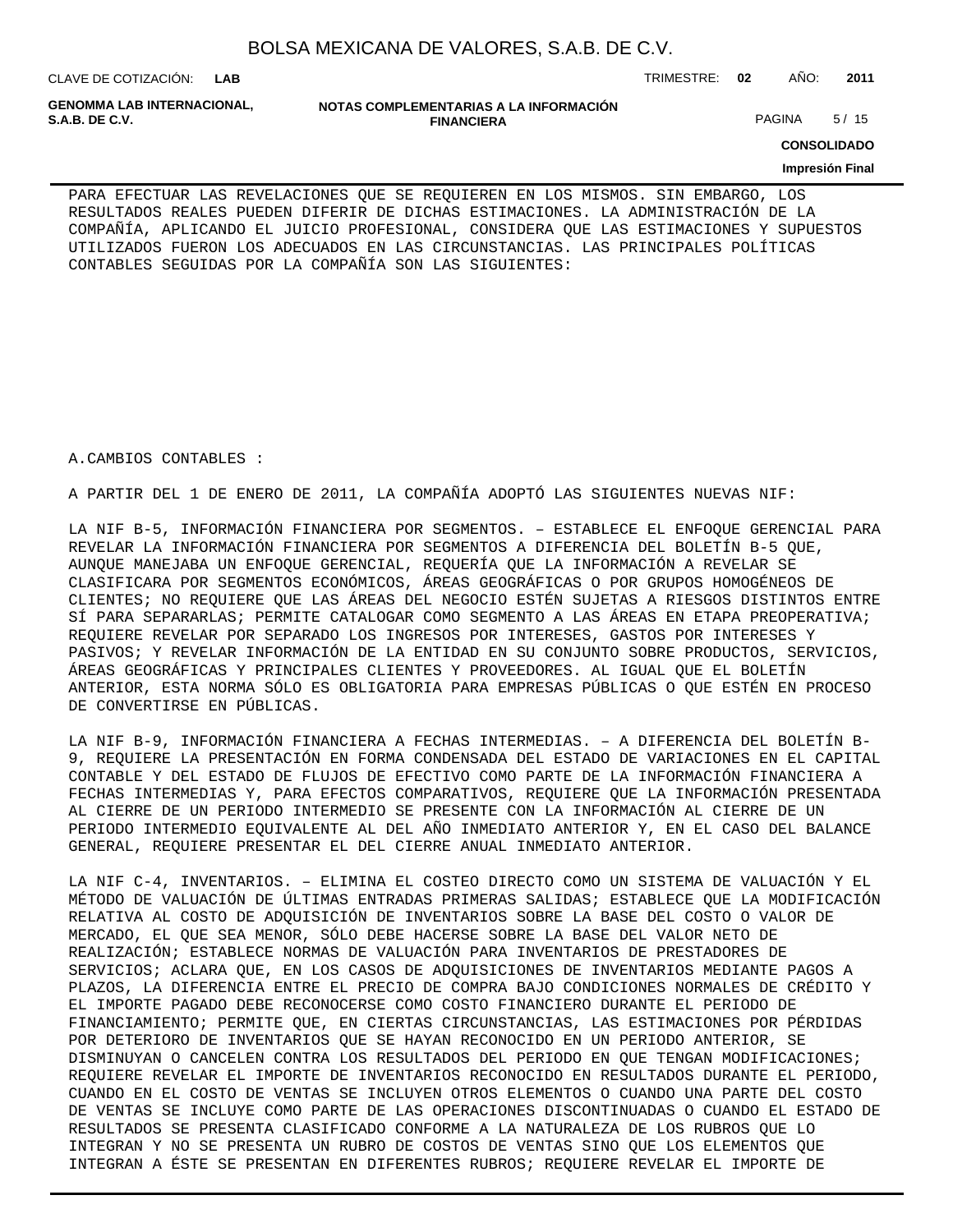**LAB**

**GENOMMA LAB INTERNACIONAL,**

**NOTAS COMPLEMENTARIAS A LA INFORMACIÓN FINANCIERA S.A.B. DE C.V.** PAGINA 5/15

**CONSOLIDADO**

**Impresión Final**

PARA EFECTUAR LAS REVELACIONES QUE SE REQUIEREN EN LOS MISMOS. SIN EMBARGO, LOS RESULTADOS REALES PUEDEN DIFERIR DE DICHAS ESTIMACIONES. LA ADMINISTRACIÓN DE LA COMPAÑÍA, APLICANDO EL JUICIO PROFESIONAL, CONSIDERA QUE LAS ESTIMACIONES Y SUPUESTOS UTILIZADOS FUERON LOS ADECUADOS EN LAS CIRCUNSTANCIAS. LAS PRINCIPALES POLÍTICAS CONTABLES SEGUIDAS POR LA COMPAÑÍA SON LAS SIGUIENTES:

A. CAMBIOS CONTABLES :

A PARTIR DEL 1 DE ENERO DE 2011, LA COMPAÑÍA ADOPTÓ LAS SIGUIENTES NUEVAS NIF:

LA NIF B-5, INFORMACIÓN FINANCIERA POR SEGMENTOS. – ESTABLECE EL ENFOQUE GERENCIAL PARA REVELAR LA INFORMACIÓN FINANCIERA POR SEGMENTOS A DIFERENCIA DEL BOLETÍN B-5 QUE, AUNQUE MANEJABA UN ENFOQUE GERENCIAL, REQUERÍA QUE LA INFORMACIÓN A REVELAR SE CLASIFICARA POR SEGMENTOS ECONÓMICOS, ÁREAS GEOGRÁFICAS O POR GRUPOS HOMOGÉNEOS DE CLIENTES; NO REQUIERE QUE LAS ÁREAS DEL NEGOCIO ESTÉN SUJETAS A RIESGOS DISTINTOS ENTRE SÍ PARA SEPARARLAS; PERMITE CATALOGAR COMO SEGMENTO A LAS ÁREAS EN ETAPA PREOPERATIVA; REQUIERE REVELAR POR SEPARADO LOS INGRESOS POR INTERESES, GASTOS POR INTERESES Y PASIVOS; Y REVELAR INFORMACIÓN DE LA ENTIDAD EN SU CONJUNTO SOBRE PRODUCTOS, SERVICIOS, ÁREAS GEOGRÁFICAS Y PRINCIPALES CLIENTES Y PROVEEDORES. AL IGUAL QUE EL BOLETÍN ANTERIOR, ESTA NORMA SÓLO ES OBLIGATORIA PARA EMPRESAS PÚBLICAS O QUE ESTÉN EN PROCESO DE CONVERTIRSE EN PÚBLICAS.

LA NIF B-9, INFORMACIÓN FINANCIERA A FECHAS INTERMEDIAS. – A DIFERENCIA DEL BOLETÍN B-9, REQUIERE LA PRESENTACIÓN EN FORMA CONDENSADA DEL ESTADO DE VARIACIONES EN EL CAPITAL CONTABLE Y DEL ESTADO DE FLUJOS DE EFECTIVO COMO PARTE DE LA INFORMACIÓN FINANCIERA A FECHAS INTERMEDIAS Y, PARA EFECTOS COMPARATIVOS, REQUIERE QUE LA INFORMACIÓN PRESENTADA AL CIERRE DE UN PERIODO INTERMEDIO SE PRESENTE CON LA INFORMACIÓN AL CIERRE DE UN PERIODO INTERMEDIO EQUIVALENTE AL DEL AÑO INMEDIATO ANTERIOR Y, EN EL CASO DEL BALANCE GENERAL, REQUIERE PRESENTAR EL DEL CIERRE ANUAL INMEDIATO ANTERIOR.

LA NIF C-4, INVENTARIOS. – ELIMINA EL COSTEO DIRECTO COMO UN SISTEMA DE VALUACIÓN Y EL MÉTODO DE VALUACIÓN DE ÚLTIMAS ENTRADAS PRIMERAS SALIDAS; ESTABLECE QUE LA MODIFICACIÓN RELATIVA AL COSTO DE ADQUISICIÓN DE INVENTARIOS SOBRE LA BASE DEL COSTO O VALOR DE MERCADO, EL QUE SEA MENOR, SÓLO DEBE HACERSE SOBRE LA BASE DEL VALOR NETO DE REALIZACIÓN; ESTABLECE NORMAS DE VALUACIÓN PARA INVENTARIOS DE PRESTADORES DE SERVICIOS; ACLARA QUE, EN LOS CASOS DE ADQUISICIONES DE INVENTARIOS MEDIANTE PAGOS A PLAZOS, LA DIFERENCIA ENTRE EL PRECIO DE COMPRA BAJO CONDICIONES NORMALES DE CRÉDITO Y EL IMPORTE PAGADO DEBE RECONOCERSE COMO COSTO FINANCIERO DURANTE EL PERIODO DE FINANCIAMIENTO; PERMITE QUE, EN CIERTAS CIRCUNSTANCIAS, LAS ESTIMACIONES POR PÉRDIDAS POR DETERIORO DE INVENTARIOS QUE SE HAYAN RECONOCIDO EN UN PERIODO ANTERIOR, SE DISMINUYAN O CANCELEN CONTRA LOS RESULTADOS DEL PERIODO EN QUE TENGAN MODIFICACIONES; REQUIERE REVELAR EL IMPORTE DE INVENTARIOS RECONOCIDO EN RESULTADOS DURANTE EL PERIODO, CUANDO EN EL COSTO DE VENTAS SE INCLUYEN OTROS ELEMENTOS O CUANDO UNA PARTE DEL COSTO DE VENTAS SE INCLUYE COMO PARTE DE LAS OPERACIONES DISCONTINUADAS O CUANDO EL ESTADO DE RESULTADOS SE PRESENTA CLASIFICADO CONFORME A LA NATURALEZA DE LOS RUBROS QUE LO INTEGRAN Y NO SE PRESENTA UN RUBRO DE COSTOS DE VENTAS SINO QUE LOS ELEMENTOS QUE INTEGRAN A ÉSTE SE PRESENTAN EN DIFERENTES RUBROS; REQUIERE REVELAR EL IMPORTE DE

## CLAVE DE COTIZACIÓN: TRIMESTRE: **02** AÑO: **2011**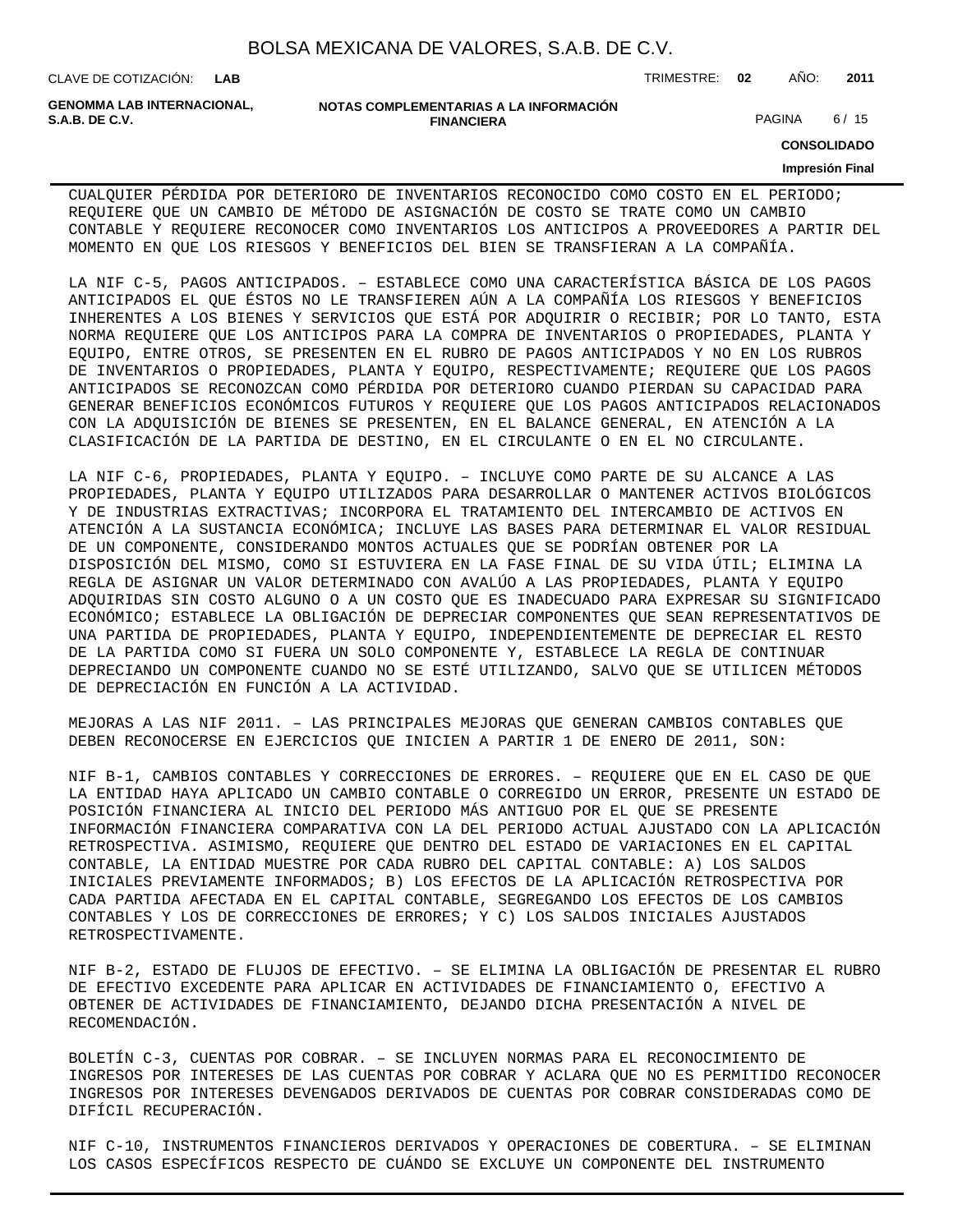**LAB**

CLAVE DE COTIZACIÓN: TRIMESTRE: **02** AÑO: **2011**

**GENOMMA LAB INTERNACIONAL,**

#### **NOTAS COMPLEMENTARIAS A LA INFORMACIÓN FINANCIERA S.A.B. DE C.V. EXAMPLE 2008 EXAMPLE 2008 EINANCIERA PAGINA** 6/15

**CONSOLIDADO**

### **Impresión Final**

CUALQUIER PÉRDIDA POR DETERIORO DE INVENTARIOS RECONOCIDO COMO COSTO EN EL PERIODO; REQUIERE QUE UN CAMBIO DE MÉTODO DE ASIGNACIÓN DE COSTO SE TRATE COMO UN CAMBIO CONTABLE Y REQUIERE RECONOCER COMO INVENTARIOS LOS ANTICIPOS A PROVEEDORES A PARTIR DEL MOMENTO EN QUE LOS RIESGOS Y BENEFICIOS DEL BIEN SE TRANSFIERAN A LA COMPAÑÍA.

LA NIF C-5, PAGOS ANTICIPADOS. – ESTABLECE COMO UNA CARACTERÍSTICA BÁSICA DE LOS PAGOS ANTICIPADOS EL QUE ÉSTOS NO LE TRANSFIEREN AÚN A LA COMPAÑÍA LOS RIESGOS Y BENEFICIOS INHERENTES A LOS BIENES Y SERVICIOS QUE ESTÁ POR ADQUIRIR O RECIBIR; POR LO TANTO, ESTA NORMA REQUIERE QUE LOS ANTICIPOS PARA LA COMPRA DE INVENTARIOS O PROPIEDADES, PLANTA Y EQUIPO, ENTRE OTROS, SE PRESENTEN EN EL RUBRO DE PAGOS ANTICIPADOS Y NO EN LOS RUBROS DE INVENTARIOS O PROPIEDADES, PLANTA Y EQUIPO, RESPECTIVAMENTE; REQUIERE QUE LOS PAGOS ANTICIPADOS SE RECONOZCAN COMO PÉRDIDA POR DETERIORO CUANDO PIERDAN SU CAPACIDAD PARA GENERAR BENEFICIOS ECONÓMICOS FUTUROS Y REQUIERE QUE LOS PAGOS ANTICIPADOS RELACIONADOS CON LA ADQUISICIÓN DE BIENES SE PRESENTEN, EN EL BALANCE GENERAL, EN ATENCIÓN A LA CLASIFICACIÓN DE LA PARTIDA DE DESTINO, EN EL CIRCULANTE O EN EL NO CIRCULANTE.

LA NIF C-6, PROPIEDADES, PLANTA Y EQUIPO. – INCLUYE COMO PARTE DE SU ALCANCE A LAS PROPIEDADES, PLANTA Y EQUIPO UTILIZADOS PARA DESARROLLAR O MANTENER ACTIVOS BIOLÓGICOS Y DE INDUSTRIAS EXTRACTIVAS; INCORPORA EL TRATAMIENTO DEL INTERCAMBIO DE ACTIVOS EN ATENCIÓN A LA SUSTANCIA ECONÓMICA; INCLUYE LAS BASES PARA DETERMINAR EL VALOR RESIDUAL DE UN COMPONENTE, CONSIDERANDO MONTOS ACTUALES QUE SE PODRÍAN OBTENER POR LA DISPOSICIÓN DEL MISMO, COMO SI ESTUVIERA EN LA FASE FINAL DE SU VIDA ÚTIL; ELIMINA LA REGLA DE ASIGNAR UN VALOR DETERMINADO CON AVALÚO A LAS PROPIEDADES, PLANTA Y EQUIPO ADQUIRIDAS SIN COSTO ALGUNO O A UN COSTO QUE ES INADECUADO PARA EXPRESAR SU SIGNIFICADO ECONÓMICO; ESTABLECE LA OBLIGACIÓN DE DEPRECIAR COMPONENTES QUE SEAN REPRESENTATIVOS DE UNA PARTIDA DE PROPIEDADES, PLANTA Y EQUIPO, INDEPENDIENTEMENTE DE DEPRECIAR EL RESTO DE LA PARTIDA COMO SI FUERA UN SOLO COMPONENTE Y, ESTABLECE LA REGLA DE CONTINUAR DEPRECIANDO UN COMPONENTE CUANDO NO SE ESTÉ UTILIZANDO, SALVO QUE SE UTILICEN MÉTODOS DE DEPRECIACIÓN EN FUNCIÓN A LA ACTIVIDAD.

MEJORAS A LAS NIF 2011. – LAS PRINCIPALES MEJORAS QUE GENERAN CAMBIOS CONTABLES QUE DEBEN RECONOCERSE EN EJERCICIOS QUE INICIEN A PARTIR 1 DE ENERO DE 2011, SON:

NIF B-1, CAMBIOS CONTABLES Y CORRECCIONES DE ERRORES. – REQUIERE QUE EN EL CASO DE QUE LA ENTIDAD HAYA APLICADO UN CAMBIO CONTABLE O CORREGIDO UN ERROR, PRESENTE UN ESTADO DE POSICIÓN FINANCIERA AL INICIO DEL PERIODO MÁS ANTIGUO POR EL QUE SE PRESENTE INFORMACIÓN FINANCIERA COMPARATIVA CON LA DEL PERIODO ACTUAL AJUSTADO CON LA APLICACIÓN RETROSPECTIVA. ASIMISMO, REQUIERE QUE DENTRO DEL ESTADO DE VARIACIONES EN EL CAPITAL CONTABLE, LA ENTIDAD MUESTRE POR CADA RUBRO DEL CAPITAL CONTABLE: A) LOS SALDOS INICIALES PREVIAMENTE INFORMADOS; B) LOS EFECTOS DE LA APLICACIÓN RETROSPECTIVA POR CADA PARTIDA AFECTADA EN EL CAPITAL CONTABLE, SEGREGANDO LOS EFECTOS DE LOS CAMBIOS CONTABLES Y LOS DE CORRECCIONES DE ERRORES; Y C) LOS SALDOS INICIALES AJUSTADOS RETROSPECTIVAMENTE.

NIF B-2, ESTADO DE FLUJOS DE EFECTIVO. – SE ELIMINA LA OBLIGACIÓN DE PRESENTAR EL RUBRO DE EFECTIVO EXCEDENTE PARA APLICAR EN ACTIVIDADES DE FINANCIAMIENTO O, EFECTIVO A OBTENER DE ACTIVIDADES DE FINANCIAMIENTO, DEJANDO DICHA PRESENTACIÓN A NIVEL DE RECOMENDACIÓN.

BOLETÍN C-3, CUENTAS POR COBRAR. – SE INCLUYEN NORMAS PARA EL RECONOCIMIENTO DE INGRESOS POR INTERESES DE LAS CUENTAS POR COBRAR Y ACLARA QUE NO ES PERMITIDO RECONOCER INGRESOS POR INTERESES DEVENGADOS DERIVADOS DE CUENTAS POR COBRAR CONSIDERADAS COMO DE DIFÍCIL RECUPERACIÓN.

NIF C-10, INSTRUMENTOS FINANCIEROS DERIVADOS Y OPERACIONES DE COBERTURA. – SE ELIMINAN LOS CASOS ESPECÍFICOS RESPECTO DE CUÁNDO SE EXCLUYE UN COMPONENTE DEL INSTRUMENTO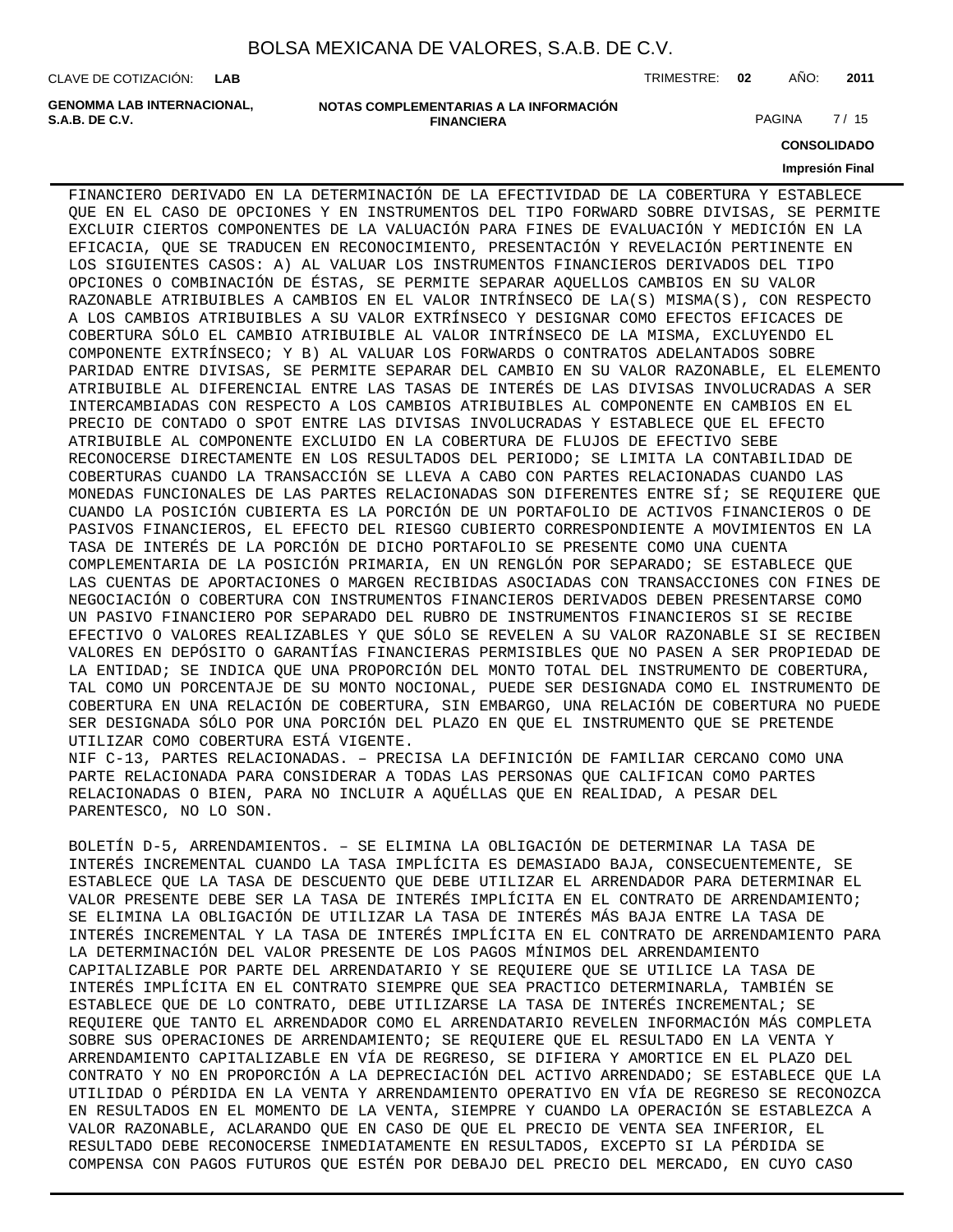CLAVE DE COTIZACIÓN: TRIMESTRE: **02** AÑO: **2011 LAB**

**GENOMMA LAB INTERNACIONAL,**

**NOTAS COMPLEMENTARIAS A LA INFORMACIÓN FINANCIERA S.A.B. DE C.V.** PAGINA 27 / 15

**CONSOLIDADO**

### **Impresión Final**

FINANCIERO DERIVADO EN LA DETERMINACIÓN DE LA EFECTIVIDAD DE LA COBERTURA Y ESTABLECE QUE EN EL CASO DE OPCIONES Y EN INSTRUMENTOS DEL TIPO FORWARD SOBRE DIVISAS, SE PERMITE EXCLUIR CIERTOS COMPONENTES DE LA VALUACIÓN PARA FINES DE EVALUACIÓN Y MEDICIÓN EN LA EFICACIA, QUE SE TRADUCEN EN RECONOCIMIENTO, PRESENTACIÓN Y REVELACIÓN PERTINENTE EN LOS SIGUIENTES CASOS: A) AL VALUAR LOS INSTRUMENTOS FINANCIEROS DERIVADOS DEL TIPO OPCIONES O COMBINACIÓN DE ÉSTAS, SE PERMITE SEPARAR AQUELLOS CAMBIOS EN SU VALOR RAZONABLE ATRIBUIBLES A CAMBIOS EN EL VALOR INTRÍNSECO DE LA(S) MISMA(S), CON RESPECTO A LOS CAMBIOS ATRIBUIBLES A SU VALOR EXTRÍNSECO Y DESIGNAR COMO EFECTOS EFICACES DE COBERTURA SÓLO EL CAMBIO ATRIBUIBLE AL VALOR INTRÍNSECO DE LA MISMA, EXCLUYENDO EL COMPONENTE EXTRÍNSECO; Y B) AL VALUAR LOS FORWARDS O CONTRATOS ADELANTADOS SOBRE PARIDAD ENTRE DIVISAS, SE PERMITE SEPARAR DEL CAMBIO EN SU VALOR RAZONABLE, EL ELEMENTO ATRIBUIBLE AL DIFERENCIAL ENTRE LAS TASAS DE INTERÉS DE LAS DIVISAS INVOLUCRADAS A SER INTERCAMBIADAS CON RESPECTO A LOS CAMBIOS ATRIBUIBLES AL COMPONENTE EN CAMBIOS EN EL PRECIO DE CONTADO O SPOT ENTRE LAS DIVISAS INVOLUCRADAS Y ESTABLECE QUE EL EFECTO ATRIBUIBLE AL COMPONENTE EXCLUIDO EN LA COBERTURA DE FLUJOS DE EFECTIVO SEBE RECONOCERSE DIRECTAMENTE EN LOS RESULTADOS DEL PERIODO; SE LIMITA LA CONTABILIDAD DE COBERTURAS CUANDO LA TRANSACCIÓN SE LLEVA A CABO CON PARTES RELACIONADAS CUANDO LAS MONEDAS FUNCIONALES DE LAS PARTES RELACIONADAS SON DIFERENTES ENTRE SÍ; SE REQUIERE QUE CUANDO LA POSICIÓN CUBIERTA ES LA PORCIÓN DE UN PORTAFOLIO DE ACTIVOS FINANCIEROS O DE PASIVOS FINANCIEROS, EL EFECTO DEL RIESGO CUBIERTO CORRESPONDIENTE A MOVIMIENTOS EN LA TASA DE INTERÉS DE LA PORCIÓN DE DICHO PORTAFOLIO SE PRESENTE COMO UNA CUENTA COMPLEMENTARIA DE LA POSICIÓN PRIMARIA, EN UN RENGLÓN POR SEPARADO; SE ESTABLECE QUE LAS CUENTAS DE APORTACIONES O MARGEN RECIBIDAS ASOCIADAS CON TRANSACCIONES CON FINES DE NEGOCIACIÓN O COBERTURA CON INSTRUMENTOS FINANCIEROS DERIVADOS DEBEN PRESENTARSE COMO UN PASIVO FINANCIERO POR SEPARADO DEL RUBRO DE INSTRUMENTOS FINANCIEROS SI SE RECIBE EFECTIVO O VALORES REALIZABLES Y QUE SÓLO SE REVELEN A SU VALOR RAZONABLE SI SE RECIBEN VALORES EN DEPÓSITO O GARANTÍAS FINANCIERAS PERMISIBLES QUE NO PASEN A SER PROPIEDAD DE LA ENTIDAD; SE INDICA QUE UNA PROPORCIÓN DEL MONTO TOTAL DEL INSTRUMENTO DE COBERTURA, TAL COMO UN PORCENTAJE DE SU MONTO NOCIONAL, PUEDE SER DESIGNADA COMO EL INSTRUMENTO DE COBERTURA EN UNA RELACIÓN DE COBERTURA, SIN EMBARGO, UNA RELACIÓN DE COBERTURA NO PUEDE SER DESIGNADA SÓLO POR UNA PORCIÓN DEL PLAZO EN QUE EL INSTRUMENTO QUE SE PRETENDE UTILIZAR COMO COBERTURA ESTÁ VIGENTE. NIF C-13, PARTES RELACIONADAS. – PRECISA LA DEFINICIÓN DE FAMILIAR CERCANO COMO UNA PARTE RELACIONADA PARA CONSIDERAR A TODAS LAS PERSONAS QUE CALIFICAN COMO PARTES RELACIONADAS O BIEN, PARA NO INCLUIR A AQUÉLLAS QUE EN REALIDAD, A PESAR DEL PARENTESCO, NO LO SON.

BOLETÍN D-5, ARRENDAMIENTOS. – SE ELIMINA LA OBLIGACIÓN DE DETERMINAR LA TASA DE INTERÉS INCREMENTAL CUANDO LA TASA IMPLÍCITA ES DEMASIADO BAJA, CONSECUENTEMENTE, SE ESTABLECE QUE LA TASA DE DESCUENTO QUE DEBE UTILIZAR EL ARRENDADOR PARA DETERMINAR EL VALOR PRESENTE DEBE SER LA TASA DE INTERÉS IMPLÍCITA EN EL CONTRATO DE ARRENDAMIENTO; SE ELIMINA LA OBLIGACIÓN DE UTILIZAR LA TASA DE INTERÉS MÁS BAJA ENTRE LA TASA DE INTERÉS INCREMENTAL Y LA TASA DE INTERÉS IMPLÍCITA EN EL CONTRATO DE ARRENDAMIENTO PARA LA DETERMINACIÓN DEL VALOR PRESENTE DE LOS PAGOS MÍNIMOS DEL ARRENDAMIENTO CAPITALIZABLE POR PARTE DEL ARRENDATARIO Y SE REQUIERE QUE SE UTILICE LA TASA DE INTERÉS IMPLÍCITA EN EL CONTRATO SIEMPRE QUE SEA PRACTICO DETERMINARLA, TAMBIÉN SE ESTABLECE QUE DE LO CONTRATO, DEBE UTILIZARSE LA TASA DE INTERÉS INCREMENTAL; SE REQUIERE QUE TANTO EL ARRENDADOR COMO EL ARRENDATARIO REVELEN INFORMACIÓN MÁS COMPLETA SOBRE SUS OPERACIONES DE ARRENDAMIENTO; SE REQUIERE QUE EL RESULTADO EN LA VENTA Y ARRENDAMIENTO CAPITALIZABLE EN VÍA DE REGRESO, SE DIFIERA Y AMORTICE EN EL PLAZO DEL CONTRATO Y NO EN PROPORCIÓN A LA DEPRECIACIÓN DEL ACTIVO ARRENDADO; SE ESTABLECE QUE LA UTILIDAD O PÉRDIDA EN LA VENTA Y ARRENDAMIENTO OPERATIVO EN VÍA DE REGRESO SE RECONOZCA EN RESULTADOS EN EL MOMENTO DE LA VENTA, SIEMPRE Y CUANDO LA OPERACIÓN SE ESTABLEZCA A VALOR RAZONABLE, ACLARANDO QUE EN CASO DE QUE EL PRECIO DE VENTA SEA INFERIOR, EL RESULTADO DEBE RECONOCERSE INMEDIATAMENTE EN RESULTADOS, EXCEPTO SI LA PÉRDIDA SE COMPENSA CON PAGOS FUTUROS QUE ESTÉN POR DEBAJO DEL PRECIO DEL MERCADO, EN CUYO CASO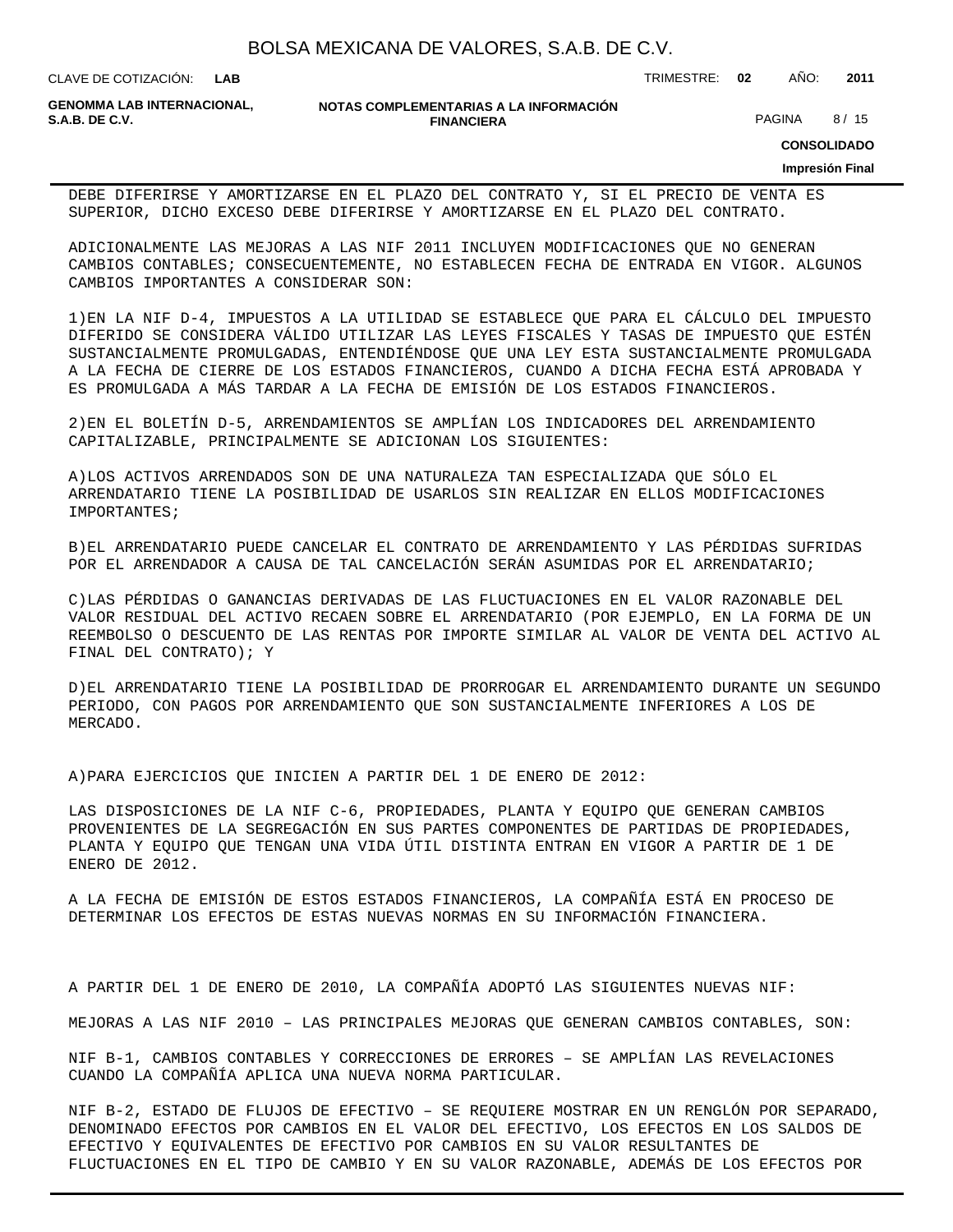CLAVE DE COTIZACIÓN: TRIMESTRE: **02** AÑO: **2011 LAB**

**GENOMMA LAB INTERNACIONAL,**

**NOTAS COMPLEMENTARIAS A LA INFORMACIÓN FINANCIERA**

PAGINA 8/15

**CONSOLIDADO**

**Impresión Final**

DEBE DIFERIRSE Y AMORTIZARSE EN EL PLAZO DEL CONTRATO Y, SI EL PRECIO DE VENTA ES SUPERIOR, DICHO EXCESO DEBE DIFERIRSE Y AMORTIZARSE EN EL PLAZO DEL CONTRATO.

ADICIONALMENTE LAS MEJORAS A LAS NIF 2011 INCLUYEN MODIFICACIONES QUE NO GENERAN CAMBIOS CONTABLES; CONSECUENTEMENTE, NO ESTABLECEN FECHA DE ENTRADA EN VIGOR. ALGUNOS CAMBIOS IMPORTANTES A CONSIDERAR SON:

1) EN LA NIF D-4, IMPUESTOS A LA UTILIDAD SE ESTABLECE QUE PARA EL CÁLCULO DEL IMPUESTO DIFERIDO SE CONSIDERA VÁLIDO UTILIZAR LAS LEYES FISCALES Y TASAS DE IMPUESTO QUE ESTÉN SUSTANCIALMENTE PROMULGADAS, ENTENDIÉNDOSE QUE UNA LEY ESTA SUSTANCIALMENTE PROMULGADA A LA FECHA DE CIERRE DE LOS ESTADOS FINANCIEROS, CUANDO A DICHA FECHA ESTÁ APROBADA Y ES PROMULGADA A MÁS TARDAR A LA FECHA DE EMISIÓN DE LOS ESTADOS FINANCIEROS.

2) EN EL BOLETÍN D-5, ARRENDAMIENTOS SE AMPLÍAN LOS INDICADORES DEL ARRENDAMIENTO CAPITALIZABLE, PRINCIPALMENTE SE ADICIONAN LOS SIGUIENTES:

A) LOS ACTIVOS ARRENDADOS SON DE UNA NATURALEZA TAN ESPECIALIZADA QUE SÓLO EL ARRENDATARIO TIENE LA POSIBILIDAD DE USARLOS SIN REALIZAR EN ELLOS MODIFICACIONES IMPORTANTES;

B) EL ARRENDATARIO PUEDE CANCELAR EL CONTRATO DE ARRENDAMIENTO Y LAS PÉRDIDAS SUFRIDAS POR EL ARRENDADOR A CAUSA DE TAL CANCELACIÓN SERÁN ASUMIDAS POR EL ARRENDATARIO;

C) LAS PÉRDIDAS O GANANCIAS DERIVADAS DE LAS FLUCTUACIONES EN EL VALOR RAZONABLE DEL VALOR RESIDUAL DEL ACTIVO RECAEN SOBRE EL ARRENDATARIO (POR EJEMPLO, EN LA FORMA DE UN REEMBOLSO O DESCUENTO DE LAS RENTAS POR IMPORTE SIMILAR AL VALOR DE VENTA DEL ACTIVO AL FINAL DEL CONTRATO); Y

D) EL ARRENDATARIO TIENE LA POSIBILIDAD DE PRORROGAR EL ARRENDAMIENTO DURANTE UN SEGUNDO PERIODO, CON PAGOS POR ARRENDAMIENTO QUE SON SUSTANCIALMENTE INFERIORES A LOS DE MERCADO.

A) PARA EJERCICIOS QUE INICIEN A PARTIR DEL 1 DE ENERO DE 2012:

LAS DISPOSICIONES DE LA NIF C-6, PROPIEDADES, PLANTA Y EQUIPO QUE GENERAN CAMBIOS PROVENIENTES DE LA SEGREGACIÓN EN SUS PARTES COMPONENTES DE PARTIDAS DE PROPIEDADES, PLANTA Y EQUIPO QUE TENGAN UNA VIDA ÚTIL DISTINTA ENTRAN EN VIGOR A PARTIR DE 1 DE ENERO DE 2012.

A LA FECHA DE EMISIÓN DE ESTOS ESTADOS FINANCIEROS, LA COMPAÑÍA ESTÁ EN PROCESO DE DETERMINAR LOS EFECTOS DE ESTAS NUEVAS NORMAS EN SU INFORMACIÓN FINANCIERA.

A PARTIR DEL 1 DE ENERO DE 2010, LA COMPAÑÍA ADOPTÓ LAS SIGUIENTES NUEVAS NIF:

MEJORAS A LAS NIF 2010 – LAS PRINCIPALES MEJORAS QUE GENERAN CAMBIOS CONTABLES, SON:

NIF B-1, CAMBIOS CONTABLES Y CORRECCIONES DE ERRORES – SE AMPLÍAN LAS REVELACIONES CUANDO LA COMPAÑÍA APLICA UNA NUEVA NORMA PARTICULAR.

NIF B-2, ESTADO DE FLUJOS DE EFECTIVO – SE REQUIERE MOSTRAR EN UN RENGLÓN POR SEPARADO, DENOMINADO EFECTOS POR CAMBIOS EN EL VALOR DEL EFECTIVO, LOS EFECTOS EN LOS SALDOS DE EFECTIVO Y EQUIVALENTES DE EFECTIVO POR CAMBIOS EN SU VALOR RESULTANTES DE FLUCTUACIONES EN EL TIPO DE CAMBIO Y EN SU VALOR RAZONABLE, ADEMÁS DE LOS EFECTOS POR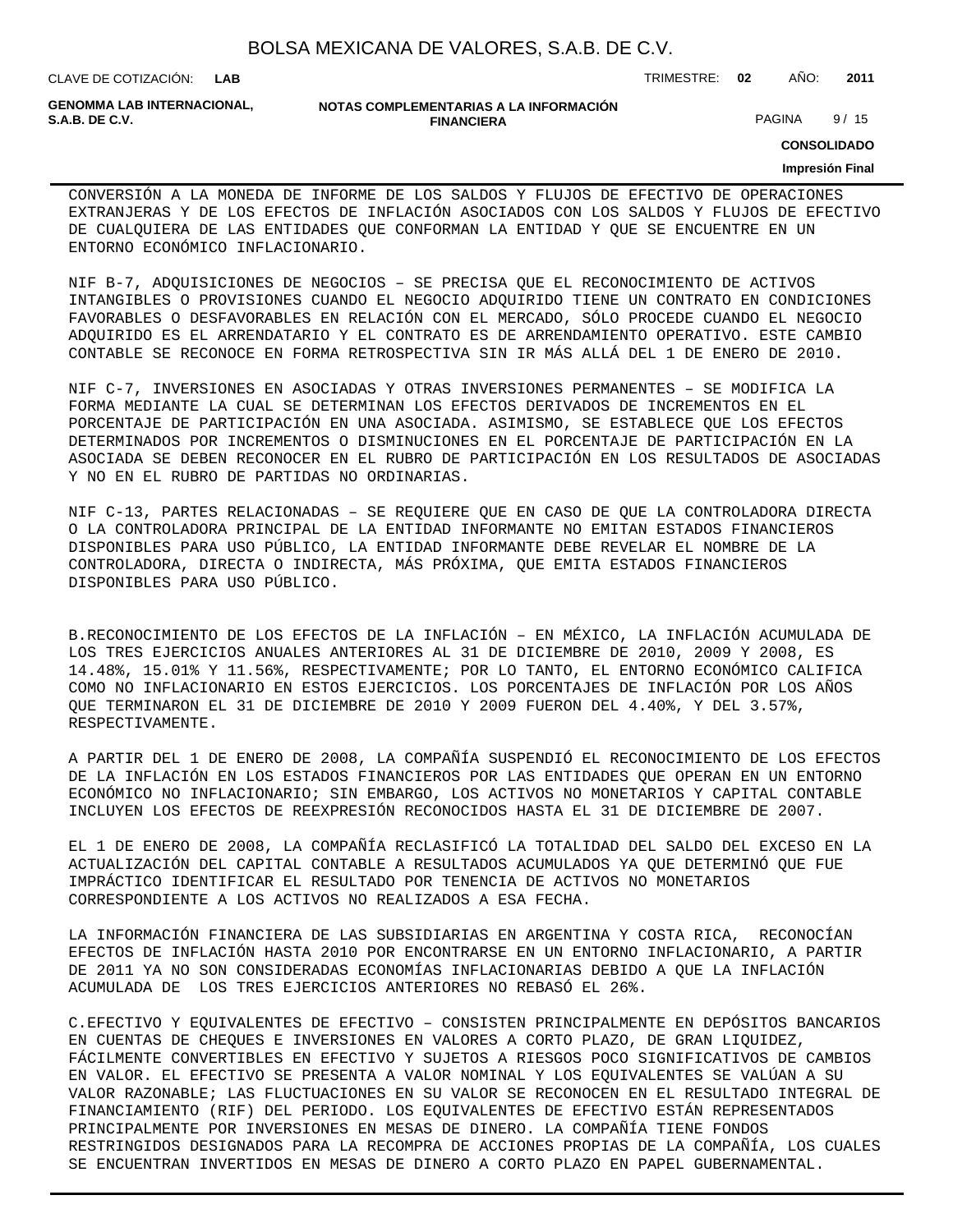**LAB**

CLAVE DE COTIZACIÓN: TRIMESTRE: **02** AÑO: **2011**

**GENOMMA LAB INTERNACIONAL,**

**NOTAS COMPLEMENTARIAS A LA INFORMACIÓN FINANCIERA S.A.B. DE C.V.** PAGINA 9/15

**CONSOLIDADO**

#### **Impresión Final**

CONVERSIÓN A LA MONEDA DE INFORME DE LOS SALDOS Y FLUJOS DE EFECTIVO DE OPERACIONES EXTRANJERAS Y DE LOS EFECTOS DE INFLACIÓN ASOCIADOS CON LOS SALDOS Y FLUJOS DE EFECTIVO DE CUALQUIERA DE LAS ENTIDADES QUE CONFORMAN LA ENTIDAD Y QUE SE ENCUENTRE EN UN ENTORNO ECONÓMICO INFLACIONARIO.

NIF B-7, ADQUISICIONES DE NEGOCIOS – SE PRECISA QUE EL RECONOCIMIENTO DE ACTIVOS INTANGIBLES O PROVISIONES CUANDO EL NEGOCIO ADQUIRIDO TIENE UN CONTRATO EN CONDICIONES FAVORABLES O DESFAVORABLES EN RELACIÓN CON EL MERCADO, SÓLO PROCEDE CUANDO EL NEGOCIO ADQUIRIDO ES EL ARRENDATARIO Y EL CONTRATO ES DE ARRENDAMIENTO OPERATIVO. ESTE CAMBIO CONTABLE SE RECONOCE EN FORMA RETROSPECTIVA SIN IR MÁS ALLÁ DEL 1 DE ENERO DE 2010.

NIF C-7, INVERSIONES EN ASOCIADAS Y OTRAS INVERSIONES PERMANENTES – SE MODIFICA LA FORMA MEDIANTE LA CUAL SE DETERMINAN LOS EFECTOS DERIVADOS DE INCREMENTOS EN EL PORCENTAJE DE PARTICIPACIÓN EN UNA ASOCIADA. ASIMISMO, SE ESTABLECE QUE LOS EFECTOS DETERMINADOS POR INCREMENTOS O DISMINUCIONES EN EL PORCENTAJE DE PARTICIPACIÓN EN LA ASOCIADA SE DEBEN RECONOCER EN EL RUBRO DE PARTICIPACIÓN EN LOS RESULTADOS DE ASOCIADAS Y NO EN EL RUBRO DE PARTIDAS NO ORDINARIAS.

NIF C-13, PARTES RELACIONADAS – SE REQUIERE QUE EN CASO DE QUE LA CONTROLADORA DIRECTA O LA CONTROLADORA PRINCIPAL DE LA ENTIDAD INFORMANTE NO EMITAN ESTADOS FINANCIEROS DISPONIBLES PARA USO PÚBLICO, LA ENTIDAD INFORMANTE DEBE REVELAR EL NOMBRE DE LA CONTROLADORA, DIRECTA O INDIRECTA, MÁS PRÓXIMA, QUE EMITA ESTADOS FINANCIEROS DISPONIBLES PARA USO PÚBLICO.

B. RECONOCIMIENTO DE LOS EFECTOS DE LA INFLACIÓN – EN MÉXICO, LA INFLACIÓN ACUMULADA DE LOS TRES EJERCICIOS ANUALES ANTERIORES AL 31 DE DICIEMBRE DE 2010, 2009 Y 2008, ES 14.48%, 15.01% Y 11.56%, RESPECTIVAMENTE; POR LO TANTO, EL ENTORNO ECONÓMICO CALIFICA COMO NO INFLACIONARIO EN ESTOS EJERCICIOS. LOS PORCENTAJES DE INFLACIÓN POR LOS AÑOS QUE TERMINARON EL 31 DE DICIEMBRE DE 2010 Y 2009 FUERON DEL 4.40%, Y DEL 3.57%, RESPECTIVAMENTE.

A PARTIR DEL 1 DE ENERO DE 2008, LA COMPAÑÍA SUSPENDIÓ EL RECONOCIMIENTO DE LOS EFECTOS DE LA INFLACIÓN EN LOS ESTADOS FINANCIEROS POR LAS ENTIDADES QUE OPERAN EN UN ENTORNO ECONÓMICO NO INFLACIONARIO; SIN EMBARGO, LOS ACTIVOS NO MONETARIOS Y CAPITAL CONTABLE INCLUYEN LOS EFECTOS DE REEXPRESIÓN RECONOCIDOS HASTA EL 31 DE DICIEMBRE DE 2007.

EL 1 DE ENERO DE 2008, LA COMPAÑÍA RECLASIFICÓ LA TOTALIDAD DEL SALDO DEL EXCESO EN LA ACTUALIZACIÓN DEL CAPITAL CONTABLE A RESULTADOS ACUMULADOS YA QUE DETERMINÓ QUE FUE IMPRÁCTICO IDENTIFICAR EL RESULTADO POR TENENCIA DE ACTIVOS NO MONETARIOS CORRESPONDIENTE A LOS ACTIVOS NO REALIZADOS A ESA FECHA.

LA INFORMACIÓN FINANCIERA DE LAS SUBSIDIARIAS EN ARGENTINA Y COSTA RICA, RECONOCÍAN EFECTOS DE INFLACIÓN HASTA 2010 POR ENCONTRARSE EN UN ENTORNO INFLACIONARIO, A PARTIR DE 2011 YA NO SON CONSIDERADAS ECONOMÍAS INFLACIONARIAS DEBIDO A QUE LA INFLACIÓN ACUMULADA DE LOS TRES EJERCICIOS ANTERIORES NO REBASÓ EL 26%.

C. EFECTIVO Y EQUIVALENTES DE EFECTIVO – CONSISTEN PRINCIPALMENTE EN DEPÓSITOS BANCARIOS EN CUENTAS DE CHEQUES E INVERSIONES EN VALORES A CORTO PLAZO, DE GRAN LIQUIDEZ, FÁCILMENTE CONVERTIBLES EN EFECTIVO Y SUJETOS A RIESGOS POCO SIGNIFICATIVOS DE CAMBIOS EN VALOR. EL EFECTIVO SE PRESENTA A VALOR NOMINAL Y LOS EQUIVALENTES SE VALÚAN A SU VALOR RAZONABLE; LAS FLUCTUACIONES EN SU VALOR SE RECONOCEN EN EL RESULTADO INTEGRAL DE FINANCIAMIENTO (RIF) DEL PERIODO. LOS EQUIVALENTES DE EFECTIVO ESTÁN REPRESENTADOS PRINCIPALMENTE POR INVERSIONES EN MESAS DE DINERO. LA COMPAÑÍA TIENE FONDOS RESTRINGIDOS DESIGNADOS PARA LA RECOMPRA DE ACCIONES PROPIAS DE LA COMPAÑÍA, LOS CUALES SE ENCUENTRAN INVERTIDOS EN MESAS DE DINERO A CORTO PLAZO EN PAPEL GUBERNAMENTAL.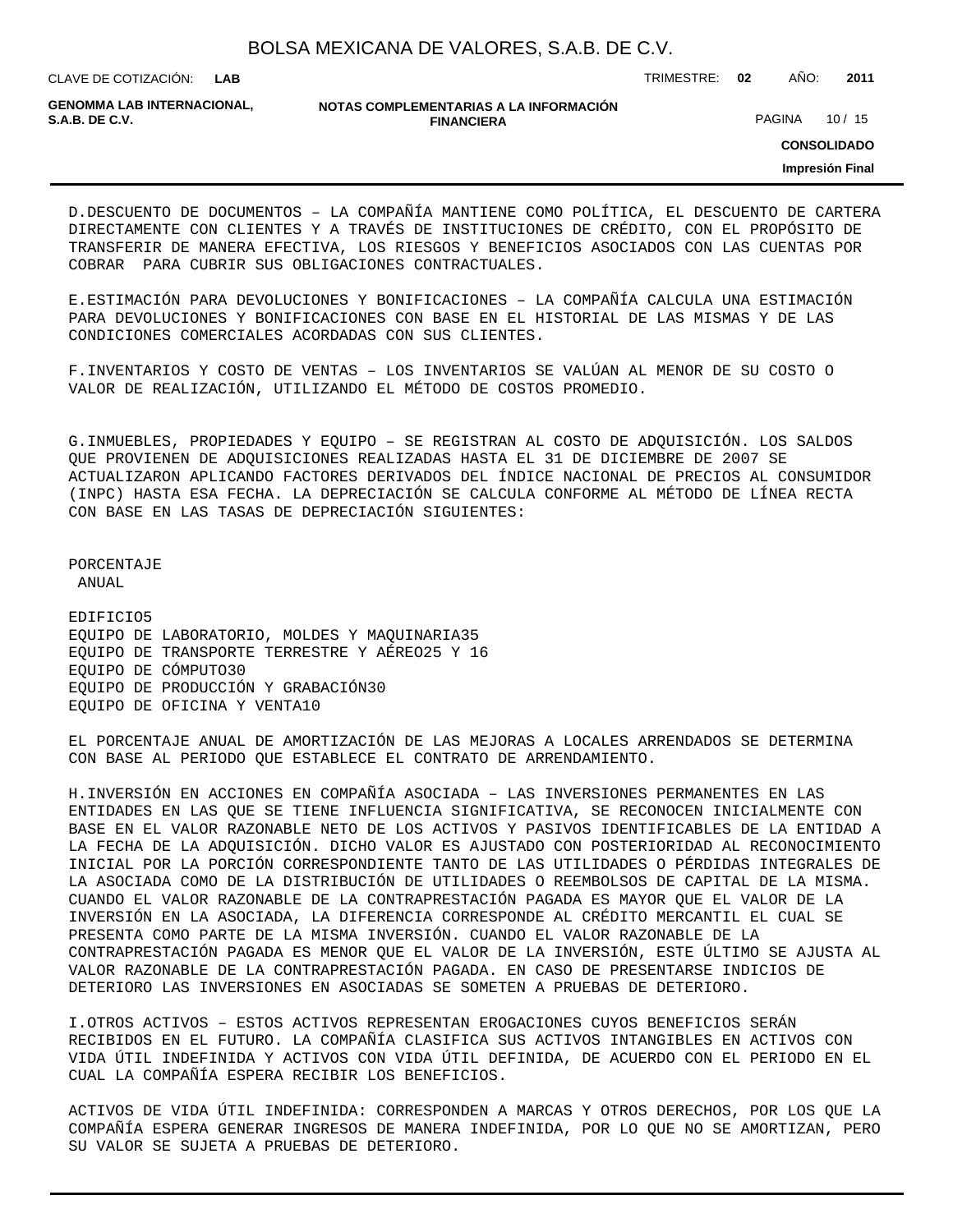**LAB**

CLAVE DE COTIZACIÓN: TRIMESTRE: **02** AÑO: **2011**

**GENOMMA LAB INTERNACIONAL,**

**NOTAS COMPLEMENTARIAS A LA INFORMACIÓN FINANCIERA**

PAGINA 10 / 15

**CONSOLIDADO**

**Impresión Final**

D. DESCUENTO DE DOCUMENTOS – LA COMPAÑÍA MANTIENE COMO POLÍTICA, EL DESCUENTO DE CARTERA DIRECTAMENTE CON CLIENTES Y A TRAVÉS DE INSTITUCIONES DE CRÉDITO, CON EL PROPÓSITO DE TRANSFERIR DE MANERA EFECTIVA, LOS RIESGOS Y BENEFICIOS ASOCIADOS CON LAS CUENTAS POR COBRAR PARA CUBRIR SUS OBLIGACIONES CONTRACTUALES.

E. ESTIMACIÓN PARA DEVOLUCIONES Y BONIFICACIONES – LA COMPAÑÍA CALCULA UNA ESTIMACIÓN PARA DEVOLUCIONES Y BONIFICACIONES CON BASE EN EL HISTORIAL DE LAS MISMAS Y DE LAS CONDICIONES COMERCIALES ACORDADAS CON SUS CLIENTES.

F. INVENTARIOS Y COSTO DE VENTAS – LOS INVENTARIOS SE VALÚAN AL MENOR DE SU COSTO O VALOR DE REALIZACIÓN, UTILIZANDO EL MÉTODO DE COSTOS PROMEDIO.

G. INMUEBLES, PROPIEDADES Y EQUIPO – SE REGISTRAN AL COSTO DE ADQUISICIÓN. LOS SALDOS QUE PROVIENEN DE ADQUISICIONES REALIZADAS HASTA EL 31 DE DICIEMBRE DE 2007 SE ACTUALIZARON APLICANDO FACTORES DERIVADOS DEL ÍNDICE NACIONAL DE PRECIOS AL CONSUMIDOR (INPC) HASTA ESA FECHA. LA DEPRECIACIÓN SE CALCULA CONFORME AL MÉTODO DE LÍNEA RECTA CON BASE EN LAS TASAS DE DEPRECIACIÓN SIGUIENTES:

PORCENTAJE ANIJAI.

EDIFICIO 5 EQUIPO DE LABORATORIO, MOLDES Y MAQUINARIA 35 EQUIPO DE TRANSPORTE TERRESTRE Y AÉREO 25 Y 16 EQUIPO DE CÓMPUTO 30 EQUIPO DE PRODUCCIÓN Y GRABACIÓN 30 EQUIPO DE OFICINA Y VENTA 10

EL PORCENTAJE ANUAL DE AMORTIZACIÓN DE LAS MEJORAS A LOCALES ARRENDADOS SE DETERMINA CON BASE AL PERIODO QUE ESTABLECE EL CONTRATO DE ARRENDAMIENTO.

H. INVERSIÓN EN ACCIONES EN COMPAÑÍA ASOCIADA - LAS INVERSIONES PERMANENTES EN LAS ENTIDADES EN LAS QUE SE TIENE INFLUENCIA SIGNIFICATIVA, SE RECONOCEN INICIALMENTE CON BASE EN EL VALOR RAZONABLE NETO DE LOS ACTIVOS Y PASIVOS IDENTIFICABLES DE LA ENTIDAD A LA FECHA DE LA ADQUISICIÓN. DICHO VALOR ES AJUSTADO CON POSTERIORIDAD AL RECONOCIMIENTO INICIAL POR LA PORCIÓN CORRESPONDIENTE TANTO DE LAS UTILIDADES O PÉRDIDAS INTEGRALES DE LA ASOCIADA COMO DE LA DISTRIBUCIÓN DE UTILIDADES O REEMBOLSOS DE CAPITAL DE LA MISMA. CUANDO EL VALOR RAZONABLE DE LA CONTRAPRESTACIÓN PAGADA ES MAYOR QUE EL VALOR DE LA INVERSIÓN EN LA ASOCIADA, LA DIFERENCIA CORRESPONDE AL CRÉDITO MERCANTIL EL CUAL SE PRESENTA COMO PARTE DE LA MISMA INVERSIÓN. CUANDO EL VALOR RAZONABLE DE LA CONTRAPRESTACIÓN PAGADA ES MENOR QUE EL VALOR DE LA INVERSIÓN, ESTE ÚLTIMO SE AJUSTA AL VALOR RAZONABLE DE LA CONTRAPRESTACIÓN PAGADA. EN CASO DE PRESENTARSE INDICIOS DE DETERIORO LAS INVERSIONES EN ASOCIADAS SE SOMETEN A PRUEBAS DE DETERIORO.

I. OTROS ACTIVOS – ESTOS ACTIVOS REPRESENTAN EROGACIONES CUYOS BENEFICIOS SERÁN RECIBIDOS EN EL FUTURO. LA COMPAÑÍA CLASIFICA SUS ACTIVOS INTANGIBLES EN ACTIVOS CON VIDA ÚTIL INDEFINIDA Y ACTIVOS CON VIDA ÚTIL DEFINIDA, DE ACUERDO CON EL PERIODO EN EL CUAL LA COMPAÑÍA ESPERA RECIBIR LOS BENEFICIOS.

ACTIVOS DE VIDA ÚTIL INDEFINIDA: CORRESPONDEN A MARCAS Y OTROS DERECHOS, POR LOS QUE LA COMPAÑÍA ESPERA GENERAR INGRESOS DE MANERA INDEFINIDA, POR LO QUE NO SE AMORTIZAN, PERO SU VALOR SE SUJETA A PRUEBAS DE DETERIORO.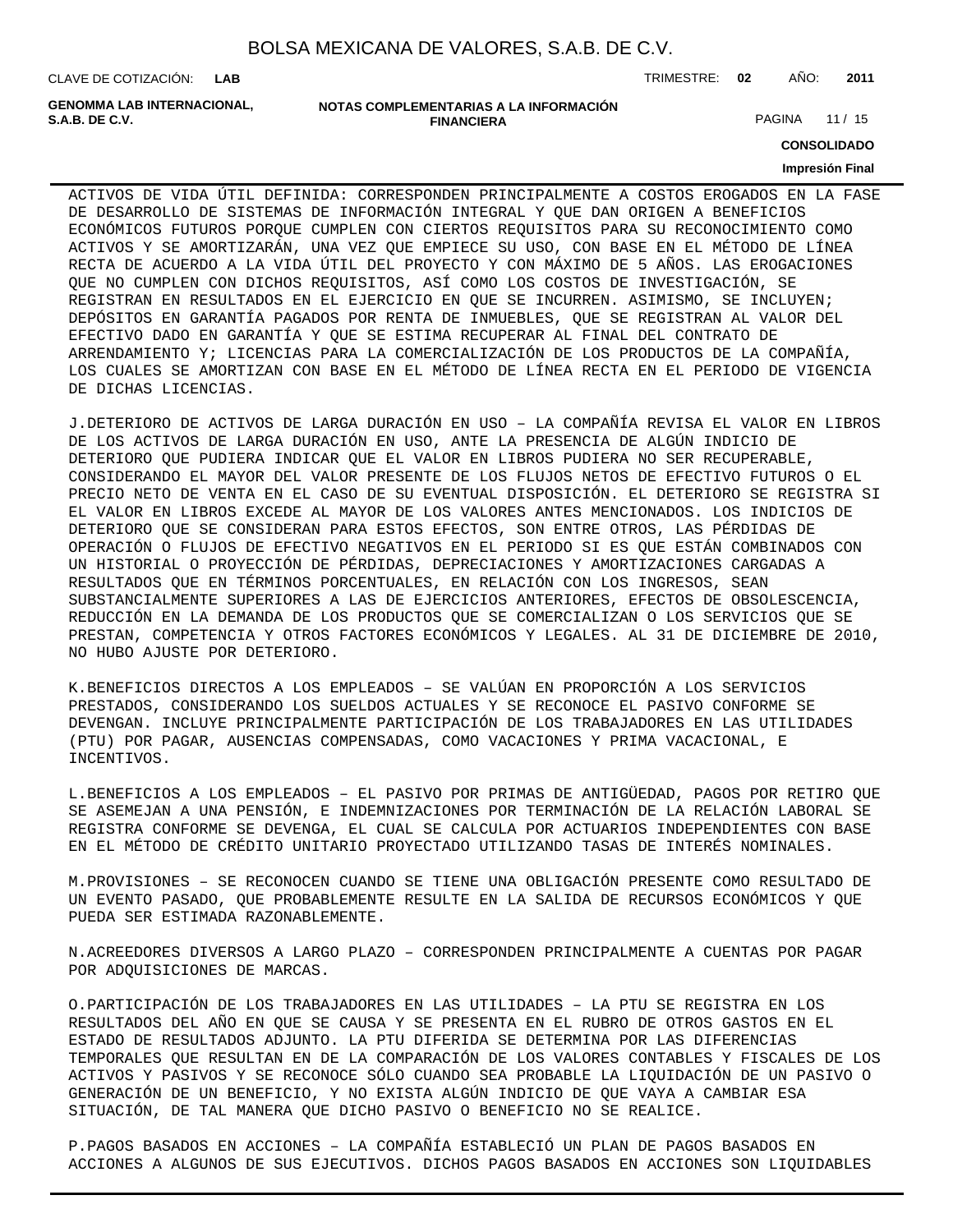CLAVE DE COTIZACIÓN: TRIMESTRE: **02** AÑO: **2011 LAB**

**GENOMMA LAB INTERNACIONAL,**

| NOTAS COMPLEMENTARIAS A LA INFORMACION |
|----------------------------------------|
| <b>FINANCIERA</b>                      |

PAGINA 11 / 15

**CONSOLIDADO**

### **Impresión Final**

ACTIVOS DE VIDA ÚTIL DEFINIDA: CORRESPONDEN PRINCIPALMENTE A COSTOS EROGADOS EN LA FASE DE DESARROLLO DE SISTEMAS DE INFORMACIÓN INTEGRAL Y QUE DAN ORIGEN A BENEFICIOS ECONÓMICOS FUTUROS PORQUE CUMPLEN CON CIERTOS REQUISITOS PARA SU RECONOCIMIENTO COMO ACTIVOS Y SE AMORTIZARÁN, UNA VEZ QUE EMPIECE SU USO, CON BASE EN EL MÉTODO DE LÍNEA RECTA DE ACUERDO A LA VIDA ÚTIL DEL PROYECTO Y CON MÁXIMO DE 5 AÑOS. LAS EROGACIONES QUE NO CUMPLEN CON DICHOS REQUISITOS, ASÍ COMO LOS COSTOS DE INVESTIGACIÓN, SE REGISTRAN EN RESULTADOS EN EL EJERCICIO EN QUE SE INCURREN. ASIMISMO, SE INCLUYEN; DEPÓSITOS EN GARANTÍA PAGADOS POR RENTA DE INMUEBLES, QUE SE REGISTRAN AL VALOR DEL EFECTIVO DADO EN GARANTÍA Y QUE SE ESTIMA RECUPERAR AL FINAL DEL CONTRATO DE ARRENDAMIENTO Y; LICENCIAS PARA LA COMERCIALIZACIÓN DE LOS PRODUCTOS DE LA COMPAÑÍA, LOS CUALES SE AMORTIZAN CON BASE EN EL MÉTODO DE LÍNEA RECTA EN EL PERIODO DE VIGENCIA DE DICHAS LICENCIAS.

J. DETERIORO DE ACTIVOS DE LARGA DURACIÓN EN USO – LA COMPAÑÍA REVISA EL VALOR EN LIBROS DE LOS ACTIVOS DE LARGA DURACIÓN EN USO, ANTE LA PRESENCIA DE ALGÚN INDICIO DE DETERIORO QUE PUDIERA INDICAR QUE EL VALOR EN LIBROS PUDIERA NO SER RECUPERABLE, CONSIDERANDO EL MAYOR DEL VALOR PRESENTE DE LOS FLUJOS NETOS DE EFECTIVO FUTUROS O EL PRECIO NETO DE VENTA EN EL CASO DE SU EVENTUAL DISPOSICIÓN. EL DETERIORO SE REGISTRA SI EL VALOR EN LIBROS EXCEDE AL MAYOR DE LOS VALORES ANTES MENCIONADOS. LOS INDICIOS DE DETERIORO QUE SE CONSIDERAN PARA ESTOS EFECTOS, SON ENTRE OTROS, LAS PÉRDIDAS DE OPERACIÓN O FLUJOS DE EFECTIVO NEGATIVOS EN EL PERIODO SI ES QUE ESTÁN COMBINADOS CON UN HISTORIAL O PROYECCIÓN DE PÉRDIDAS, DEPRECIACIONES Y AMORTIZACIONES CARGADAS A RESULTADOS QUE EN TÉRMINOS PORCENTUALES, EN RELACIÓN CON LOS INGRESOS, SEAN SUBSTANCIALMENTE SUPERIORES A LAS DE EJERCICIOS ANTERIORES, EFECTOS DE OBSOLESCENCIA, REDUCCIÓN EN LA DEMANDA DE LOS PRODUCTOS QUE SE COMERCIALIZAN O LOS SERVICIOS QUE SE PRESTAN, COMPETENCIA Y OTROS FACTORES ECONÓMICOS Y LEGALES. AL 31 DE DICIEMBRE DE 2010, NO HUBO AJUSTE POR DETERIORO.

K. BENEFICIOS DIRECTOS A LOS EMPLEADOS – SE VALÚAN EN PROPORCIÓN A LOS SERVICIOS PRESTADOS, CONSIDERANDO LOS SUELDOS ACTUALES Y SE RECONOCE EL PASIVO CONFORME SE DEVENGAN. INCLUYE PRINCIPALMENTE PARTICIPACIÓN DE LOS TRABAJADORES EN LAS UTILIDADES (PTU) POR PAGAR, AUSENCIAS COMPENSADAS, COMO VACACIONES Y PRIMA VACACIONAL, E INCENTIVOS.

L. BENEFICIOS A LOS EMPLEADOS – EL PASIVO POR PRIMAS DE ANTIGÜEDAD, PAGOS POR RETIRO QUE SE ASEMEJAN A UNA PENSIÓN, E INDEMNIZACIONES POR TERMINACIÓN DE LA RELACIÓN LABORAL SE REGISTRA CONFORME SE DEVENGA, EL CUAL SE CALCULA POR ACTUARIOS INDEPENDIENTES CON BASE EN EL MÉTODO DE CRÉDITO UNITARIO PROYECTADO UTILIZANDO TASAS DE INTERÉS NOMINALES.

M. PROVISIONES – SE RECONOCEN CUANDO SE TIENE UNA OBLIGACIÓN PRESENTE COMO RESULTADO DE UN EVENTO PASADO, QUE PROBABLEMENTE RESULTE EN LA SALIDA DE RECURSOS ECONÓMICOS Y QUE PUEDA SER ESTIMADA RAZONABLEMENTE.

N. ACREEDORES DIVERSOS A LARGO PLAZO – CORRESPONDEN PRINCIPALMENTE A CUENTAS POR PAGAR POR ADQUISICIONES DE MARCAS.

O. PARTICIPACIÓN DE LOS TRABAJADORES EN LAS UTILIDADES – LA PTU SE REGISTRA EN LOS RESULTADOS DEL AÑO EN QUE SE CAUSA Y SE PRESENTA EN EL RUBRO DE OTROS GASTOS EN EL ESTADO DE RESULTADOS ADJUNTO. LA PTU DIFERIDA SE DETERMINA POR LAS DIFERENCIAS TEMPORALES QUE RESULTAN EN DE LA COMPARACIÓN DE LOS VALORES CONTABLES Y FISCALES DE LOS ACTIVOS Y PASIVOS Y SE RECONOCE SÓLO CUANDO SEA PROBABLE LA LIQUIDACIÓN DE UN PASIVO O GENERACIÓN DE UN BENEFICIO, Y NO EXISTA ALGÚN INDICIO DE QUE VAYA A CAMBIAR ESA SITUACIÓN, DE TAL MANERA QUE DICHO PASIVO O BENEFICIO NO SE REALICE.

P. PAGOS BASADOS EN ACCIONES – LA COMPAÑÍA ESTABLECIÓ UN PLAN DE PAGOS BASADOS EN ACCIONES A ALGUNOS DE SUS EJECUTIVOS. DICHOS PAGOS BASADOS EN ACCIONES SON LIQUIDABLES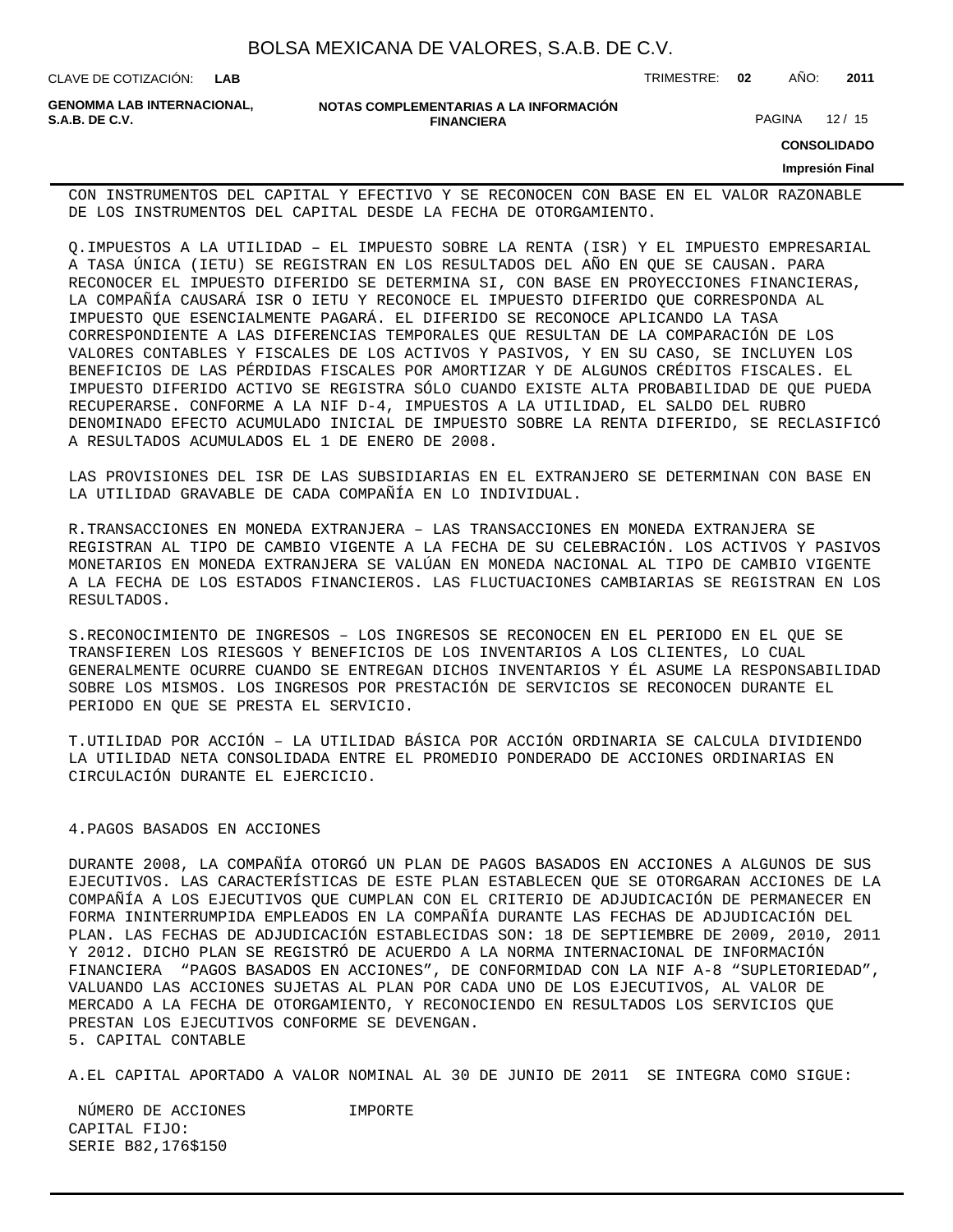**LAB**

CLAVE DE COTIZACIÓN: TRIMESTRE: **02** AÑO: **2011**

**GENOMMA LAB INTERNACIONAL,**

**NOTAS COMPLEMENTARIAS A LA INFORMACIÓN FINANCIERA**

PAGINA 12 / 15

**CONSOLIDADO**

### **Impresión Final**

CON INSTRUMENTOS DEL CAPITAL Y EFECTIVO Y SE RECONOCEN CON BASE EN EL VALOR RAZONABLE DE LOS INSTRUMENTOS DEL CAPITAL DESDE LA FECHA DE OTORGAMIENTO.

Q. IMPUESTOS A LA UTILIDAD – EL IMPUESTO SOBRE LA RENTA (ISR) Y EL IMPUESTO EMPRESARIAL A TASA ÚNICA (IETU) SE REGISTRAN EN LOS RESULTADOS DEL AÑO EN QUE SE CAUSAN. PARA RECONOCER EL IMPUESTO DIFERIDO SE DETERMINA SI, CON BASE EN PROYECCIONES FINANCIERAS, LA COMPAÑÍA CAUSARÁ ISR O IETU Y RECONOCE EL IMPUESTO DIFERIDO QUE CORRESPONDA AL IMPUESTO QUE ESENCIALMENTE PAGARÁ. EL DIFERIDO SE RECONOCE APLICANDO LA TASA CORRESPONDIENTE A LAS DIFERENCIAS TEMPORALES QUE RESULTAN DE LA COMPARACIÓN DE LOS VALORES CONTABLES Y FISCALES DE LOS ACTIVOS Y PASIVOS, Y EN SU CASO, SE INCLUYEN LOS BENEFICIOS DE LAS PÉRDIDAS FISCALES POR AMORTIZAR Y DE ALGUNOS CRÉDITOS FISCALES. EL IMPUESTO DIFERIDO ACTIVO SE REGISTRA SÓLO CUANDO EXISTE ALTA PROBABILIDAD DE QUE PUEDA RECUPERARSE. CONFORME A LA NIF D-4, IMPUESTOS A LA UTILIDAD, EL SALDO DEL RUBRO DENOMINADO EFECTO ACUMULADO INICIAL DE IMPUESTO SOBRE LA RENTA DIFERIDO, SE RECLASIFICÓ A RESULTADOS ACUMULADOS EL 1 DE ENERO DE 2008.

LAS PROVISIONES DEL ISR DE LAS SUBSIDIARIAS EN EL EXTRANJERO SE DETERMINAN CON BASE EN LA UTILIDAD GRAVABLE DE CADA COMPAÑÍA EN LO INDIVIDUAL.

R. TRANSACCIONES EN MONEDA EXTRANJERA - LAS TRANSACCIONES EN MONEDA EXTRANJERA SE REGISTRAN AL TIPO DE CAMBIO VIGENTE A LA FECHA DE SU CELEBRACIÓN. LOS ACTIVOS Y PASIVOS MONETARIOS EN MONEDA EXTRANJERA SE VALÚAN EN MONEDA NACIONAL AL TIPO DE CAMBIO VIGENTE A LA FECHA DE LOS ESTADOS FINANCIEROS. LAS FLUCTUACIONES CAMBIARIAS SE REGISTRAN EN LOS RESULTADOS.

S. RECONOCIMIENTO DE INGRESOS - LOS INGRESOS SE RECONOCEN EN EL PERIODO EN EL QUE SE TRANSFIEREN LOS RIESGOS Y BENEFICIOS DE LOS INVENTARIOS A LOS CLIENTES, LO CUAL GENERALMENTE OCURRE CUANDO SE ENTREGAN DICHOS INVENTARIOS Y ÉL ASUME LA RESPONSABILIDAD SOBRE LOS MISMOS. LOS INGRESOS POR PRESTACIÓN DE SERVICIOS SE RECONOCEN DURANTE EL PERIODO EN QUE SE PRESTA EL SERVICIO.

T. UTILIDAD POR ACCIÓN – LA UTILIDAD BÁSICA POR ACCIÓN ORDINARIA SE CALCULA DIVIDIENDO LA UTILIDAD NETA CONSOLIDADA ENTRE EL PROMEDIO PONDERADO DE ACCIONES ORDINARIAS EN CIRCULACIÓN DURANTE EL EJERCICIO.

### 4. PAGOS BASADOS EN ACCIONES

DURANTE 2008, LA COMPAÑÍA OTORGÓ UN PLAN DE PAGOS BASADOS EN ACCIONES A ALGUNOS DE SUS EJECUTIVOS. LAS CARACTERÍSTICAS DE ESTE PLAN ESTABLECEN QUE SE OTORGARAN ACCIONES DE LA COMPAÑÍA A LOS EJECUTIVOS QUE CUMPLAN CON EL CRITERIO DE ADJUDICACIÓN DE PERMANECER EN FORMA ININTERRUMPIDA EMPLEADOS EN LA COMPAÑÍA DURANTE LAS FECHAS DE ADJUDICACIÓN DEL PLAN. LAS FECHAS DE ADJUDICACIÓN ESTABLECIDAS SON: 18 DE SEPTIEMBRE DE 2009, 2010, 2011 Y 2012. DICHO PLAN SE REGISTRÓ DE ACUERDO A LA NORMA INTERNACIONAL DE INFORMACIÓN FINANCIERA "PAGOS BASADOS EN ACCIONES", DE CONFORMIDAD CON LA NIF A-8 "SUPLETORIEDAD", VALUANDO LAS ACCIONES SUJETAS AL PLAN POR CADA UNO DE LOS EJECUTIVOS, AL VALOR DE MERCADO A LA FECHA DE OTORGAMIENTO, Y RECONOCIENDO EN RESULTADOS LOS SERVICIOS QUE PRESTAN LOS EJECUTIVOS CONFORME SE DEVENGAN. 5. CAPITAL CONTABLE

A. EL CAPITAL APORTADO A VALOR NOMINAL AL 30 DE JUNIO DE 2011 SE INTEGRA COMO SIGUE:

 NÚMERO DE ACCIONES IMPORTE CAPITAL FIJO: SERIE B 82,176 \$150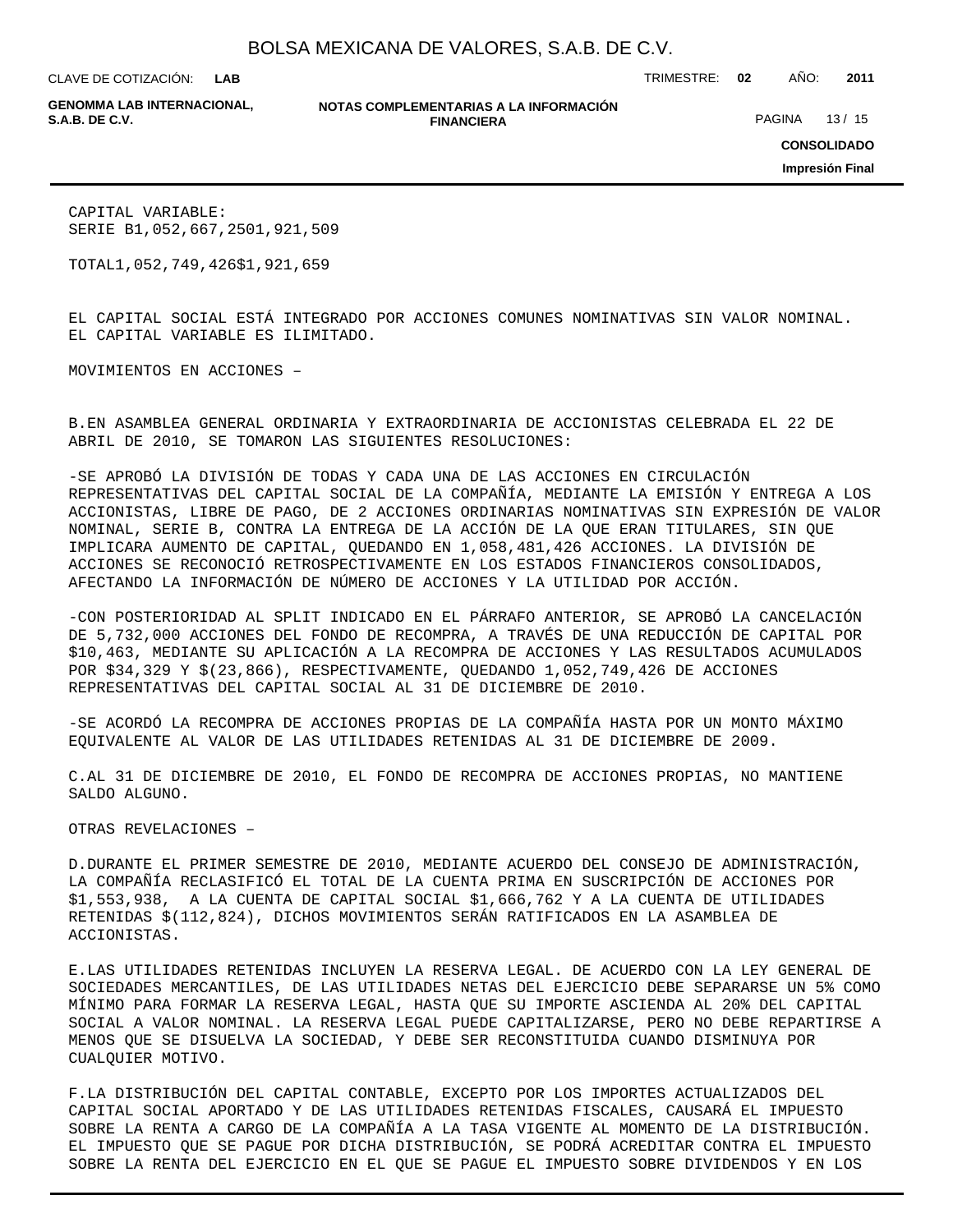**LAB**

CLAVE DE COTIZACIÓN: TRIMESTRE: **02** AÑO: **2011**

**GENOMMA LAB INTERNACIONAL,**

**NOTAS COMPLEMENTARIAS A LA INFORMACIÓN FINANCIERA**

PAGINA 13/15

**CONSOLIDADO**

**Impresión Final**

CAPITAL VARIABLE: SERIE B 1,052,667,250 1,921,509

TOTAL 1,052,749,426 \$1,921,659

EL CAPITAL SOCIAL ESTÁ INTEGRADO POR ACCIONES COMUNES NOMINATIVAS SIN VALOR NOMINAL. EL CAPITAL VARIABLE ES ILIMITADO.

MOVIMIENTOS EN ACCIONES –

B. EN ASAMBLEA GENERAL ORDINARIA Y EXTRAORDINARIA DE ACCIONISTAS CELEBRADA EL 22 DE ABRIL DE 2010, SE TOMARON LAS SIGUIENTES RESOLUCIONES:

- SE APROBÓ LA DIVISIÓN DE TODAS Y CADA UNA DE LAS ACCIONES EN CIRCULACIÓN REPRESENTATIVAS DEL CAPITAL SOCIAL DE LA COMPAÑÍA, MEDIANTE LA EMISIÓN Y ENTREGA A LOS ACCIONISTAS, LIBRE DE PAGO, DE 2 ACCIONES ORDINARIAS NOMINATIVAS SIN EXPRESIÓN DE VALOR NOMINAL, SERIE B, CONTRA LA ENTREGA DE LA ACCIÓN DE LA QUE ERAN TITULARES, SIN QUE IMPLICARA AUMENTO DE CAPITAL, QUEDANDO EN 1,058,481,426 ACCIONES. LA DIVISIÓN DE ACCIONES SE RECONOCIÓ RETROSPECTIVAMENTE EN LOS ESTADOS FINANCIEROS CONSOLIDADOS, AFECTANDO LA INFORMACIÓN DE NÚMERO DE ACCIONES Y LA UTILIDAD POR ACCIÓN.

- CON POSTERIORIDAD AL SPLIT INDICADO EN EL PÁRRAFO ANTERIOR, SE APROBÓ LA CANCELACIÓN DE 5,732,000 ACCIONES DEL FONDO DE RECOMPRA, A TRAVÉS DE UNA REDUCCIÓN DE CAPITAL POR \$10,463, MEDIANTE SU APLICACIÓN A LA RECOMPRA DE ACCIONES Y LAS RESULTADOS ACUMULADOS POR \$34,329 Y \$(23,866), RESPECTIVAMENTE, QUEDANDO 1,052,749,426 DE ACCIONES REPRESENTATIVAS DEL CAPITAL SOCIAL AL 31 DE DICIEMBRE DE 2010.

- SE ACORDÓ LA RECOMPRA DE ACCIONES PROPIAS DE LA COMPAÑÍA HASTA POR UN MONTO MÁXIMO EQUIVALENTE AL VALOR DE LAS UTILIDADES RETENIDAS AL 31 DE DICIEMBRE DE 2009.

C. AL 31 DE DICIEMBRE DE 2010, EL FONDO DE RECOMPRA DE ACCIONES PROPIAS, NO MANTIENE SALDO ALGUNO.

OTRAS REVELACIONES –

D. DURANTE EL PRIMER SEMESTRE DE 2010, MEDIANTE ACUERDO DEL CONSEJO DE ADMINISTRACIÓN, LA COMPAÑÍA RECLASIFICÓ EL TOTAL DE LA CUENTA PRIMA EN SUSCRIPCIÓN DE ACCIONES POR \$1,553,938, A LA CUENTA DE CAPITAL SOCIAL \$1,666,762 Y A LA CUENTA DE UTILIDADES RETENIDAS \$(112,824), DICHOS MOVIMIENTOS SERÁN RATIFICADOS EN LA ASAMBLEA DE ACCIONISTAS.

E. LAS UTILIDADES RETENIDAS INCLUYEN LA RESERVA LEGAL. DE ACUERDO CON LA LEY GENERAL DE SOCIEDADES MERCANTILES, DE LAS UTILIDADES NETAS DEL EJERCICIO DEBE SEPARARSE UN 5% COMO MÍNIMO PARA FORMAR LA RESERVA LEGAL, HASTA QUE SU IMPORTE ASCIENDA AL 20% DEL CAPITAL SOCIAL A VALOR NOMINAL. LA RESERVA LEGAL PUEDE CAPITALIZARSE, PERO NO DEBE REPARTIRSE A MENOS QUE SE DISUELVA LA SOCIEDAD, Y DEBE SER RECONSTITUIDA CUANDO DISMINUYA POR CUALQUIER MOTIVO.

F. LA DISTRIBUCIÓN DEL CAPITAL CONTABLE, EXCEPTO POR LOS IMPORTES ACTUALIZADOS DEL CAPITAL SOCIAL APORTADO Y DE LAS UTILIDADES RETENIDAS FISCALES, CAUSARÁ EL IMPUESTO SOBRE LA RENTA A CARGO DE LA COMPAÑÍA A LA TASA VIGENTE AL MOMENTO DE LA DISTRIBUCIÓN. EL IMPUESTO QUE SE PAGUE POR DICHA DISTRIBUCIÓN, SE PODRÁ ACREDITAR CONTRA EL IMPUESTO SOBRE LA RENTA DEL EJERCICIO EN EL QUE SE PAGUE EL IMPUESTO SOBRE DIVIDENDOS Y EN LOS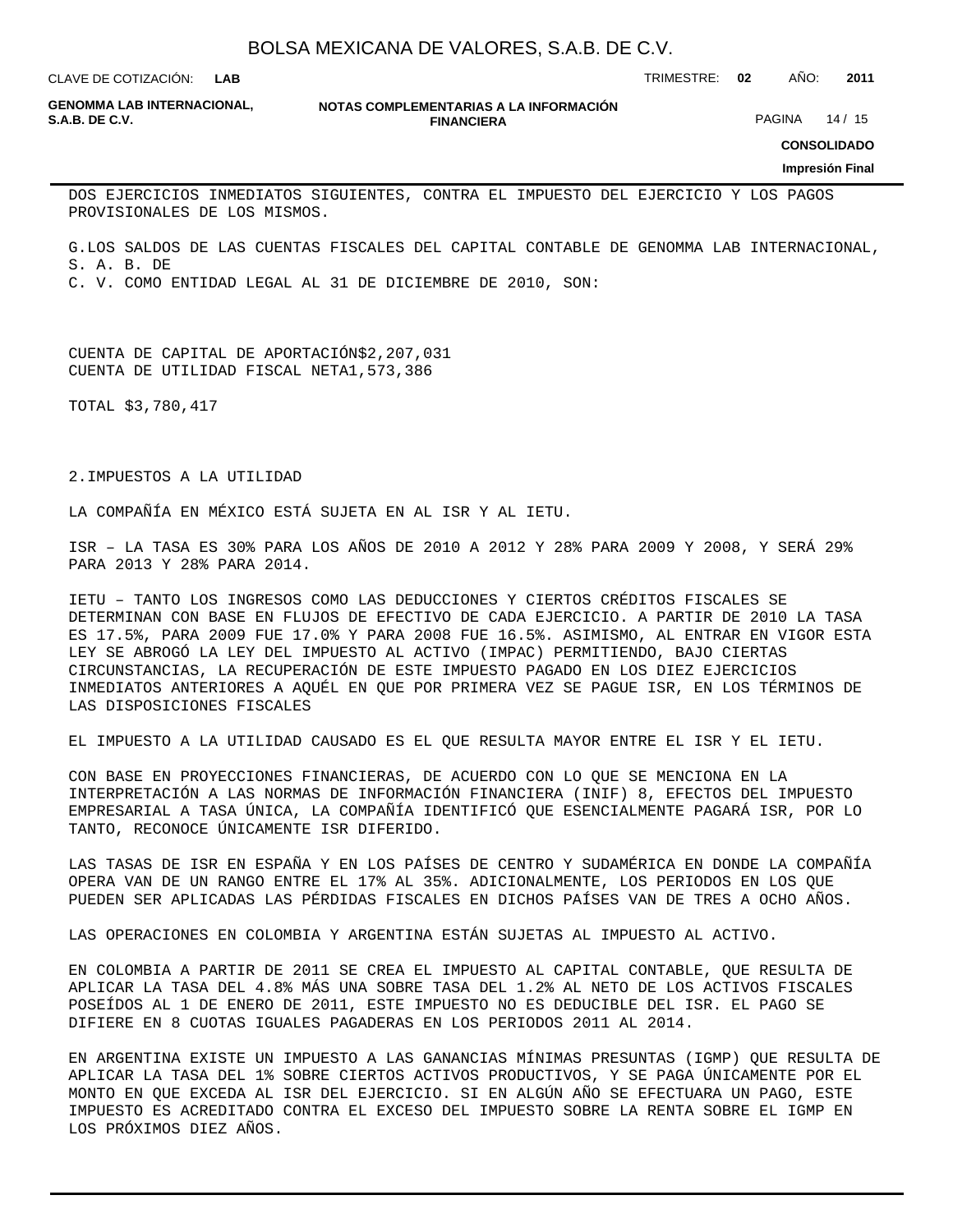**LAB**

CLAVE DE COTIZACIÓN: TRIMESTRE: **02** AÑO: **2011**

**GENOMMA LAB INTERNACIONAL,**

**NOTAS COMPLEMENTARIAS A LA INFORMACIÓN FINANCIERA**

PAGINA 14 / 15

**CONSOLIDADO**

**Impresión Final**

DOS EJERCICIOS INMEDIATOS SIGUIENTES, CONTRA EL IMPUESTO DEL EJERCICIO Y LOS PAGOS PROVISIONALES DE LOS MISMOS.

G. LOS SALDOS DE LAS CUENTAS FISCALES DEL CAPITAL CONTABLE DE GENOMMA LAB INTERNACIONAL, S. A. B. DE

C. V. COMO ENTIDAD LEGAL AL 31 DE DICIEMBRE DE 2010, SON:

CUENTA DE CAPITAL DE APORTACIÓN \$ 2,207,031 CUENTA DE UTILIDAD FISCAL NETA 1,573,386

TOTAL \$ 3,780,417

2. IMPUESTOS A LA UTILIDAD

LA COMPAÑÍA EN MÉXICO ESTÁ SUJETA EN AL ISR Y AL IETU.

ISR – LA TASA ES 30% PARA LOS AÑOS DE 2010 A 2012 Y 28% PARA 2009 Y 2008, Y SERÁ 29% PARA 2013 Y 28% PARA 2014.

IETU – TANTO LOS INGRESOS COMO LAS DEDUCCIONES Y CIERTOS CRÉDITOS FISCALES SE DETERMINAN CON BASE EN FLUJOS DE EFECTIVO DE CADA EJERCICIO. A PARTIR DE 2010 LA TASA ES 17.5%, PARA 2009 FUE 17.0% Y PARA 2008 FUE 16.5%. ASIMISMO, AL ENTRAR EN VIGOR ESTA LEY SE ABROGÓ LA LEY DEL IMPUESTO AL ACTIVO (IMPAC) PERMITIENDO, BAJO CIERTAS CIRCUNSTANCIAS, LA RECUPERACIÓN DE ESTE IMPUESTO PAGADO EN LOS DIEZ EJERCICIOS INMEDIATOS ANTERIORES A AQUÉL EN QUE POR PRIMERA VEZ SE PAGUE ISR, EN LOS TÉRMINOS DE LAS DISPOSICIONES FISCALES

EL IMPUESTO A LA UTILIDAD CAUSADO ES EL QUE RESULTA MAYOR ENTRE EL ISR Y EL IETU.

CON BASE EN PROYECCIONES FINANCIERAS, DE ACUERDO CON LO QUE SE MENCIONA EN LA INTERPRETACIÓN A LAS NORMAS DE INFORMACIÓN FINANCIERA (INIF) 8, EFECTOS DEL IMPUESTO EMPRESARIAL A TASA ÚNICA, LA COMPAÑÍA IDENTIFICÓ QUE ESENCIALMENTE PAGARÁ ISR, POR LO TANTO, RECONOCE ÚNICAMENTE ISR DIFERIDO.

LAS TASAS DE ISR EN ESPAÑA Y EN LOS PAÍSES DE CENTRO Y SUDAMÉRICA EN DONDE LA COMPAÑÍA OPERA VAN DE UN RANGO ENTRE EL 17% AL 35%. ADICIONALMENTE, LOS PERIODOS EN LOS QUE PUEDEN SER APLICADAS LAS PÉRDIDAS FISCALES EN DICHOS PAÍSES VAN DE TRES A OCHO AÑOS.

LAS OPERACIONES EN COLOMBIA Y ARGENTINA ESTÁN SUJETAS AL IMPUESTO AL ACTIVO.

EN COLOMBIA A PARTIR DE 2011 SE CREA EL IMPUESTO AL CAPITAL CONTABLE, QUE RESULTA DE APLICAR LA TASA DEL 4.8% MÁS UNA SOBRE TASA DEL 1.2% AL NETO DE LOS ACTIVOS FISCALES POSEÍDOS AL 1 DE ENERO DE 2011, ESTE IMPUESTO NO ES DEDUCIBLE DEL ISR. EL PAGO SE DIFIERE EN 8 CUOTAS IGUALES PAGADERAS EN LOS PERIODOS 2011 AL 2014.

EN ARGENTINA EXISTE UN IMPUESTO A LAS GANANCIAS MÍNIMAS PRESUNTAS (IGMP) QUE RESULTA DE APLICAR LA TASA DEL 1% SOBRE CIERTOS ACTIVOS PRODUCTIVOS, Y SE PAGA ÚNICAMENTE POR EL MONTO EN QUE EXCEDA AL ISR DEL EJERCICIO. SI EN ALGÚN AÑO SE EFECTUARA UN PAGO, ESTE IMPUESTO ES ACREDITADO CONTRA EL EXCESO DEL IMPUESTO SOBRE LA RENTA SOBRE EL IGMP EN LOS PRÓXIMOS DIEZ AÑOS.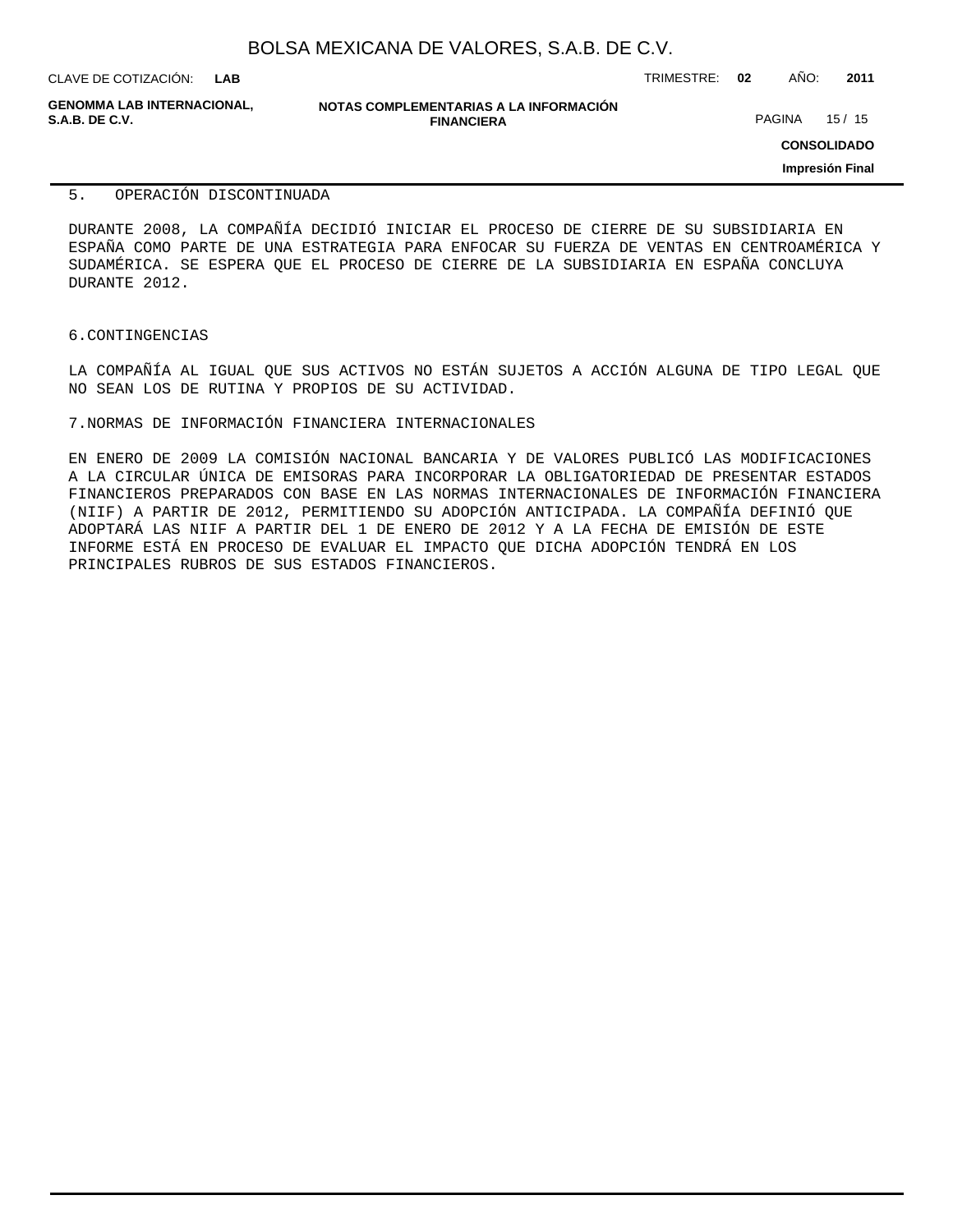**LAB**

CLAVE DE COTIZACIÓN: TRIMESTRE: **02** AÑO: **2011**

**GENOMMA LAB INTERNACIONAL,**

**NOTAS COMPLEMENTARIAS A LA INFORMACIÓN FINANCIERA**

PAGINA 15 / 15

**CONSOLIDADO**

**Impresión Final**

### 5. OPERACIÓN DISCONTINUADA

DURANTE 2008, LA COMPAÑÍA DECIDIÓ INICIAR EL PROCESO DE CIERRE DE SU SUBSIDIARIA EN ESPAÑA COMO PARTE DE UNA ESTRATEGIA PARA ENFOCAR SU FUERZA DE VENTAS EN CENTROAMÉRICA Y SUDAMÉRICA. SE ESPERA QUE EL PROCESO DE CIERRE DE LA SUBSIDIARIA EN ESPAÑA CONCLUYA DURANTE 2012.

6. CONTINGENCIAS

LA COMPAÑÍA AL IGUAL QUE SUS ACTIVOS NO ESTÁN SUJETOS A ACCIÓN ALGUNA DE TIPO LEGAL QUE NO SEAN LOS DE RUTINA Y PROPIOS DE SU ACTIVIDAD.

### 7. NORMAS DE INFORMACIÓN FINANCIERA INTERNACIONALES

EN ENERO DE 2009 LA COMISIÓN NACIONAL BANCARIA Y DE VALORES PUBLICÓ LAS MODIFICACIONES A LA CIRCULAR ÚNICA DE EMISORAS PARA INCORPORAR LA OBLIGATORIEDAD DE PRESENTAR ESTADOS FINANCIEROS PREPARADOS CON BASE EN LAS NORMAS INTERNACIONALES DE INFORMACIÓN FINANCIERA (NIIF) A PARTIR DE 2012, PERMITIENDO SU ADOPCIÓN ANTICIPADA. LA COMPAÑÍA DEFINIÓ QUE ADOPTARÁ LAS NIIF A PARTIR DEL 1 DE ENERO DE 2012 Y A LA FECHA DE EMISIÓN DE ESTE INFORME ESTÁ EN PROCESO DE EVALUAR EL IMPACTO QUE DICHA ADOPCIÓN TENDRÁ EN LOS PRINCIPALES RUBROS DE SUS ESTADOS FINANCIEROS.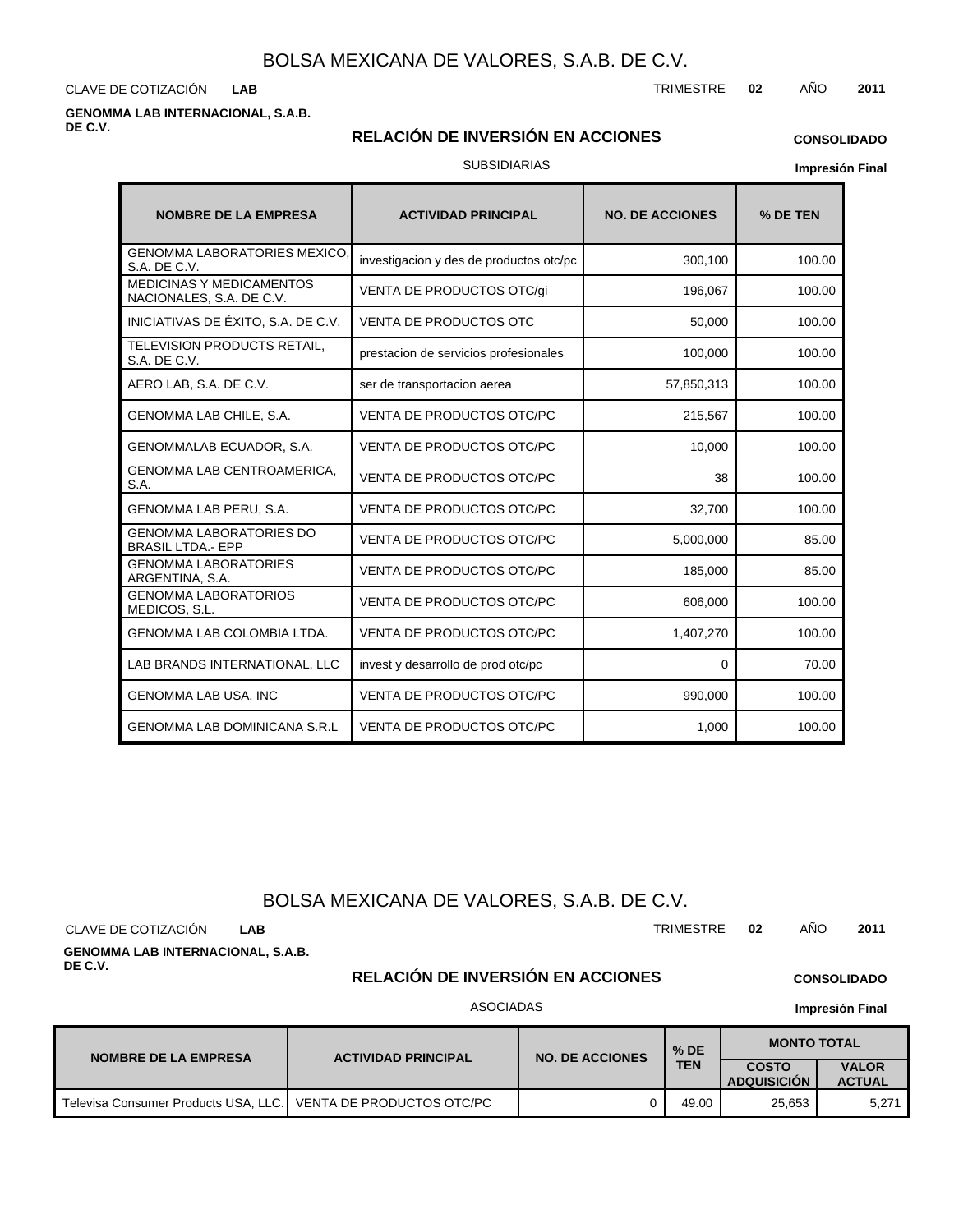CLAVE DE COTIZACIÓN TRIMESTRE **02** AÑO **2011 LAB**

### **GENOMMA LAB INTERNACIONAL, S.A.B. DE C.V.**

## **RELACIÓN DE INVERSIÓN EN ACCIONES**

# **CONSOLIDADO**

SUBSIDIARIAS

**Impresión Final**

| <b>NOMBRE DE LA EMPRESA</b>                                | <b>ACTIVIDAD PRINCIPAL</b>              | <b>NO. DE ACCIONES</b> | % DE TEN |
|------------------------------------------------------------|-----------------------------------------|------------------------|----------|
| GENOMMA LABORATORIES MEXICO,<br>S.A. DE C.V.               | investigacion y des de productos otc/pc | 300,100                | 100.00   |
| MEDICINAS Y MEDICAMENTOS<br>NACIONALES, S.A. DE C.V.       | VENTA DE PRODUCTOS OTC/gi               | 196,067                | 100.00   |
| INICIATIVAS DE ÉXITO, S.A. DE C.V.                         | <b>VENTA DE PRODUCTOS OTC</b>           | 50,000                 | 100.00   |
| TELEVISION PRODUCTS RETAIL,<br>S.A. DE C.V.                | prestacion de servicios profesionales   | 100,000                | 100.00   |
| AERO LAB, S.A. DE C.V.                                     | ser de transportacion aerea             | 57,850,313             | 100.00   |
| GENOMMA LAB CHILE, S.A.                                    | <b>VENTA DE PRODUCTOS OTC/PC</b>        | 215,567                | 100.00   |
| GENOMMALAB ECUADOR, S.A.                                   | <b>VENTA DE PRODUCTOS OTC/PC</b>        | 10,000                 | 100.00   |
| GENOMMA LAB CENTROAMERICA,<br>S.A.                         | VENTA DE PRODUCTOS OTC/PC               | 38                     | 100.00   |
| GENOMMA LAB PERU, S.A.                                     | <b>VENTA DE PRODUCTOS OTC/PC</b>        | 32,700                 | 100.00   |
| <b>GENOMMA LABORATORIES DO</b><br><b>BRASIL LTDA.- EPP</b> | VENTA DE PRODUCTOS OTC/PC               | 5,000,000              | 85.00    |
| <b>GENOMMA LABORATORIES</b><br>ARGENTINA, S.A.             | <b>VENTA DE PRODUCTOS OTC/PC</b>        | 185,000                | 85.00    |
| <b>GENOMMA LABORATORIOS</b><br>MEDICOS, S.L.               | <b>VENTA DE PRODUCTOS OTC/PC</b>        | 606,000                | 100.00   |
| <b>GENOMMA LAB COLOMBIA LTDA.</b>                          | <b>VENTA DE PRODUCTOS OTC/PC</b>        | 1,407,270              | 100.00   |
| LAB BRANDS INTERNATIONAL, LLC                              | invest y desarrollo de prod otc/pc      | 0                      | 70.00    |
| <b>GENOMMA LAB USA, INC</b>                                | VENTA DE PRODUCTOS OTC/PC               | 990,000                | 100.00   |
| <b>GENOMMA LAB DOMINICANA S.R.L</b>                        | <b>VENTA DE PRODUCTOS OTC/PC</b>        | 1,000                  | 100.00   |

# BOLSA MEXICANA DE VALORES, S.A.B. DE C.V.

CLAVE DE COTIZACIÓN TRIMESTRE **02** AÑO **2011 LAB**

**CONSOLIDADO Impresión Final**

**GENOMMA LAB INTERNACIONAL, S.A.B. DE C.V.**

# **RELACIÓN DE INVERSIÓN EN ACCIONES**

ASOCIADAS

| <b>NOMBRE DE LA EMPRESA</b>                                      | <b>ACTIVIDAD PRINCIPAL</b> | <b>NO. DE ACCIONES</b> | $%$ DE<br><b>TEN</b> | <b>MONTO TOTAL</b>                 |                               |
|------------------------------------------------------------------|----------------------------|------------------------|----------------------|------------------------------------|-------------------------------|
|                                                                  |                            |                        |                      | <b>COSTO</b><br><b>ADQUISICION</b> | <b>VALOR</b><br><b>ACTUAL</b> |
| Televisa Consumer Products USA, LLC.   VENTA DE PRODUCTOS OTC/PC |                            |                        | 49.00                | 25.653                             | 5.271                         |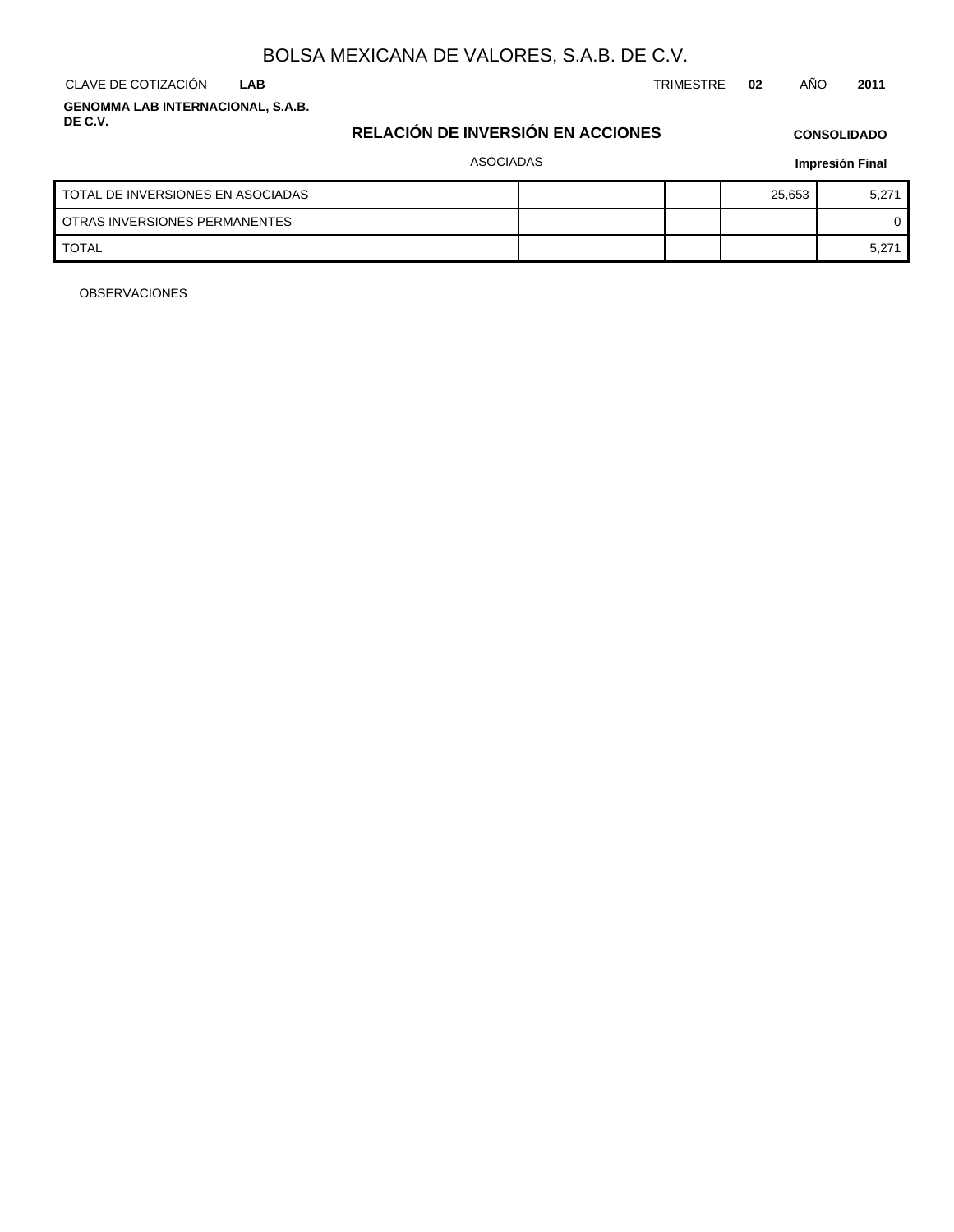CLAVE DE COTIZACIÓN TRIMESTRE **02** AÑO **2011 LAB**

**GENOMMA LAB INTERNACIONAL, S.A.B. DE C.V.**

# **RELACIÓN DE INVERSIÓN EN ACCIONES**

# **CONSOLIDADO**

ASOCIADAS

**Impresión Final**

| TOTAL DE INVERSIONES EN ASOCIADAS |  | 25,653 | 5,271 |
|-----------------------------------|--|--------|-------|
| OTRAS INVERSIONES PERMANENTES     |  |        | 0     |
| <b>TOTAL</b>                      |  |        | 5,271 |

OBSERVACIONES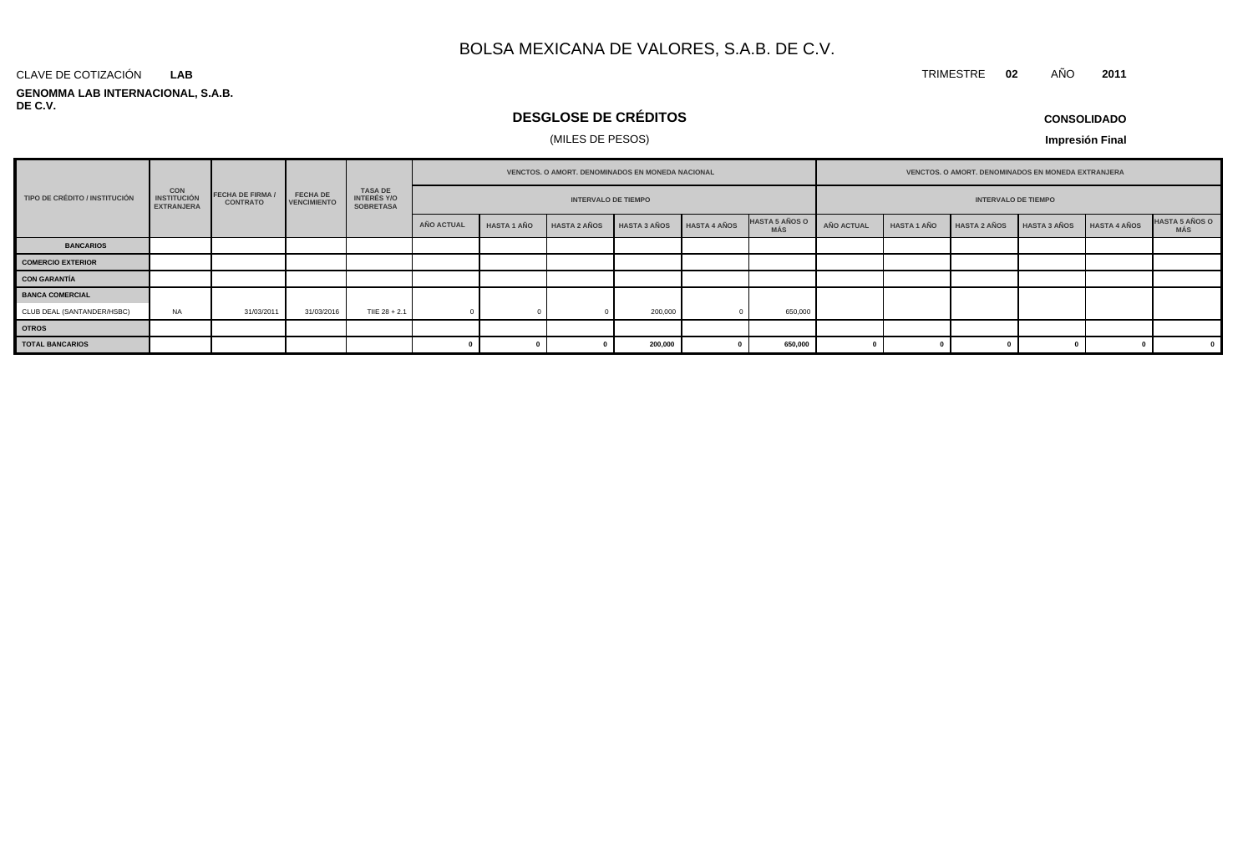#### **GENOMMA LAB INTERNACIONAL, S.A.B. DE C.V.** CLAVE DE COTIZACIÓN **LAB**

# **DESGLOSE DE CRÉDITOS**

# (MILES DE PESOS)

**CONSOLIDADO**

**Impresión Final**

|                               |                                                       |                                            |                                       |                                                          | VENCTOS. O AMORT. DENOMINADOS EN MONEDA NACIONAL |                    |                     |                     |                     |                                     | VENCTOS. O AMORT. DENOMINADOS EN MONEDA EXTRANJERA |                    |                     |                     |                     |                               |
|-------------------------------|-------------------------------------------------------|--------------------------------------------|---------------------------------------|----------------------------------------------------------|--------------------------------------------------|--------------------|---------------------|---------------------|---------------------|-------------------------------------|----------------------------------------------------|--------------------|---------------------|---------------------|---------------------|-------------------------------|
| TIPO DE CRÉDITO / INSTITUCIÓN | <b>CON</b><br><b>INSTITUCIÓN</b><br><b>EXTRANJERA</b> | <b>FECHA DE FIRMA /</b><br><b>CONTRATO</b> | <b>FECHA DE</b><br><b>VENCIMIENTO</b> | <b>TASA DE</b><br><b>INTERÉS Y/O</b><br><b>SOBRETASA</b> | <b>INTERVALO DE TIEMPO</b>                       |                    |                     |                     |                     | <b>INTERVALO DE TIEMPO</b>          |                                                    |                    |                     |                     |                     |                               |
|                               |                                                       |                                            |                                       |                                                          | AÑO ACTUAL                                       | <b>HASTA 1 AÑO</b> | <b>HASTA 2 AÑOS</b> | <b>HASTA 3 AÑOS</b> | <b>HASTA 4 AÑOS</b> | <b>HASTA 5 AÑOS O</b><br><b>MÁS</b> | <b>AÑO ACTUAL</b>                                  | <b>HASTA 1 AÑO</b> | <b>HASTA 2 AÑOS</b> | <b>HASTA 3 AÑOS</b> | <b>HASTA 4 AÑOS</b> | <b>HASTA 5 AÑOS O<br/>MÁS</b> |
| <b>BANCARIOS</b>              |                                                       |                                            |                                       |                                                          |                                                  |                    |                     |                     |                     |                                     |                                                    |                    |                     |                     |                     |                               |
| <b>COMERCIO EXTERIOR</b>      |                                                       |                                            |                                       |                                                          |                                                  |                    |                     |                     |                     |                                     |                                                    |                    |                     |                     |                     |                               |
| <b>CON GARANTÍA</b>           |                                                       |                                            |                                       |                                                          |                                                  |                    |                     |                     |                     |                                     |                                                    |                    |                     |                     |                     |                               |
| <b>BANCA COMERCIAL</b>        |                                                       |                                            |                                       |                                                          |                                                  |                    |                     |                     |                     |                                     |                                                    |                    |                     |                     |                     |                               |
| CLUB DEAL (SANTANDER/HSBC)    | <b>NA</b>                                             | 31/03/2011                                 | 31/03/2016                            | TIIE $28 + 2.1$                                          |                                                  |                    |                     | 200,000             |                     | 650,000                             |                                                    |                    |                     |                     |                     |                               |
| <b>OTROS</b>                  |                                                       |                                            |                                       |                                                          |                                                  |                    |                     |                     |                     |                                     |                                                    |                    |                     |                     |                     |                               |
| <b>TOTAL BANCARIOS</b>        |                                                       |                                            |                                       |                                                          |                                                  |                    |                     | 200,000             |                     | 650,000                             |                                                    |                    |                     |                     |                     |                               |

TRIMESTRE **02** AÑO **2011**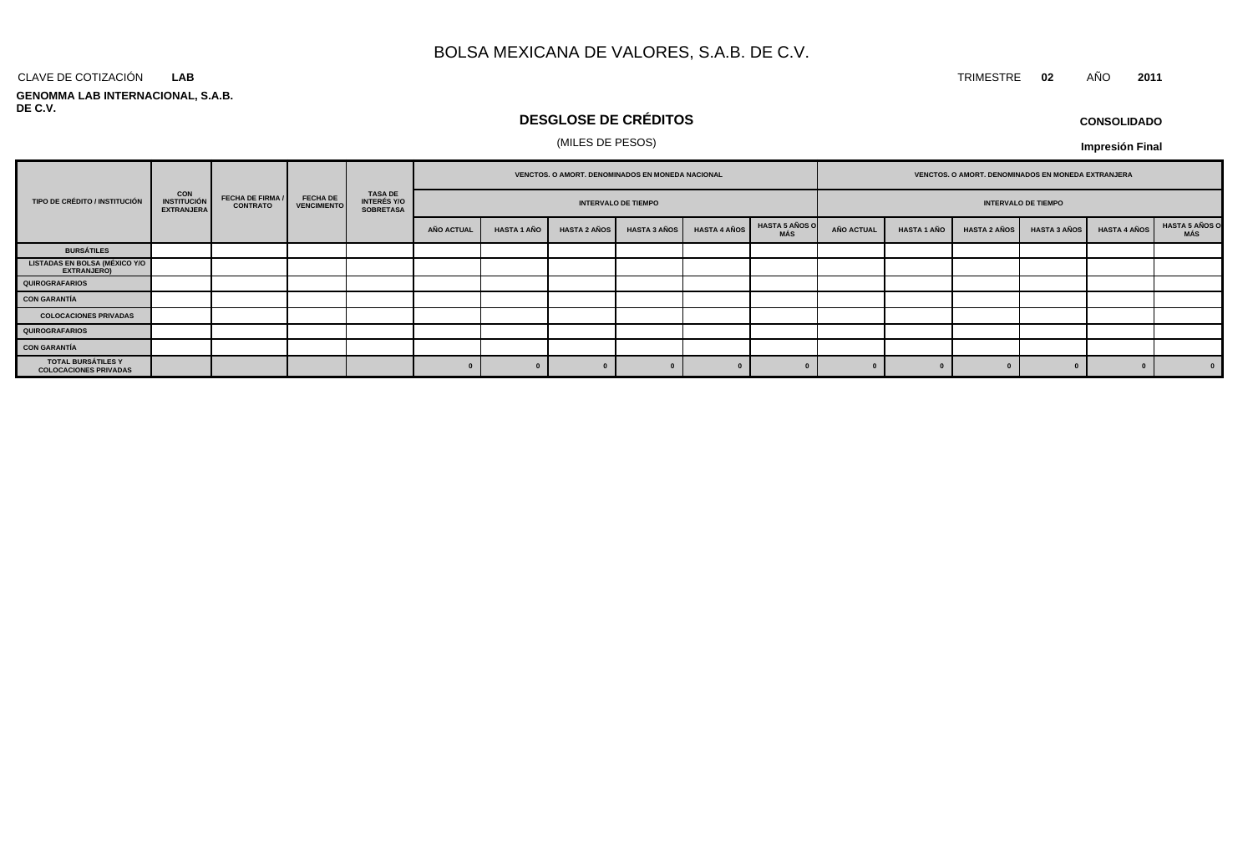#### CLAVE DE COTIZACIÓN TRIMESTRE **02** AÑO **2011 LAB**

### **GENOMMA LAB INTERNACIONAL, S.A.B. DE C.V.**

# **DESGLOSE DE CRÉDITOS**

## (MILES DE PESOS)

| <b>CONSOLIDADO</b> |  |
|--------------------|--|
|--------------------|--|

**Impresión Final**

|                                                     |                                                 |                                            |                                       | VENCTOS. O AMORT. DENOMINADOS EN MONEDA NACIONAL |                            |                    |                     |                     | VENCTOS. O AMORT. DENOMINADOS EN MONEDA EXTRANJERA |                              |            |                    |                     |                     |                     |                               |
|-----------------------------------------------------|-------------------------------------------------|--------------------------------------------|---------------------------------------|--------------------------------------------------|----------------------------|--------------------|---------------------|---------------------|----------------------------------------------------|------------------------------|------------|--------------------|---------------------|---------------------|---------------------|-------------------------------|
| TIPO DE CRÉDITO / INSTITUCIÓN                       | <b>CON<br/>INSTITUCIÓN</b><br><b>EXTRANJERA</b> | <b>FECHA DE FIRMA /</b><br><b>CONTRATO</b> | <b>FECHA DE</b><br><b>VENCIMIENTO</b> | TASA DE<br>INTERÉS Y/O<br><b>SOBRETASA</b>       | <b>INTERVALO DE TIEMPO</b> |                    |                     |                     |                                                    | <b>INTERVALO DE TIEMPO</b>   |            |                    |                     |                     |                     |                               |
|                                                     |                                                 |                                            |                                       |                                                  | <b>AÑO ACTUAL</b>          | <b>HASTA 1 AÑO</b> | <b>HASTA 2 AÑOS</b> | <b>HASTA 3 AÑOS</b> | <b>HASTA 4 AÑOS</b>                                | <b>HASTA 5 AÑOS O</b><br>MÁS | AÑO ACTUAL | <b>HASTA 1 AÑO</b> | <b>HASTA 2 AÑOS</b> | <b>HASTA 3 AÑOS</b> | <b>HASTA 4 AÑOS</b> | <b>HASTA 5 AÑOS O<br/>MÁS</b> |
| <b>BURSÁTILES</b>                                   |                                                 |                                            |                                       |                                                  |                            |                    |                     |                     |                                                    |                              |            |                    |                     |                     |                     |                               |
| <b>LISTADAS EN BOLSA (MÉXICO Y/O</b><br>EXTRANJERO) |                                                 |                                            |                                       |                                                  |                            |                    |                     |                     |                                                    |                              |            |                    |                     |                     |                     |                               |
| <b>QUIROGRAFARIOS</b>                               |                                                 |                                            |                                       |                                                  |                            |                    |                     |                     |                                                    |                              |            |                    |                     |                     |                     |                               |
| <b>CON GARANTÍA</b>                                 |                                                 |                                            |                                       |                                                  |                            |                    |                     |                     |                                                    |                              |            |                    |                     |                     |                     |                               |
| <b>COLOCACIONES PRIVADAS</b>                        |                                                 |                                            |                                       |                                                  |                            |                    |                     |                     |                                                    |                              |            |                    |                     |                     |                     |                               |
| QUIROGRAFARIOS                                      |                                                 |                                            |                                       |                                                  |                            |                    |                     |                     |                                                    |                              |            |                    |                     |                     |                     |                               |
| <b>CON GARANTÍA</b>                                 |                                                 |                                            |                                       |                                                  |                            |                    |                     |                     |                                                    |                              |            |                    |                     |                     |                     |                               |
| TOTAL BURSÁTILES Y<br><b>COLOCACIONES PRIVADAS</b>  |                                                 |                                            |                                       |                                                  |                            |                    |                     |                     |                                                    |                              |            |                    |                     |                     |                     | $\mathbf{0}$                  |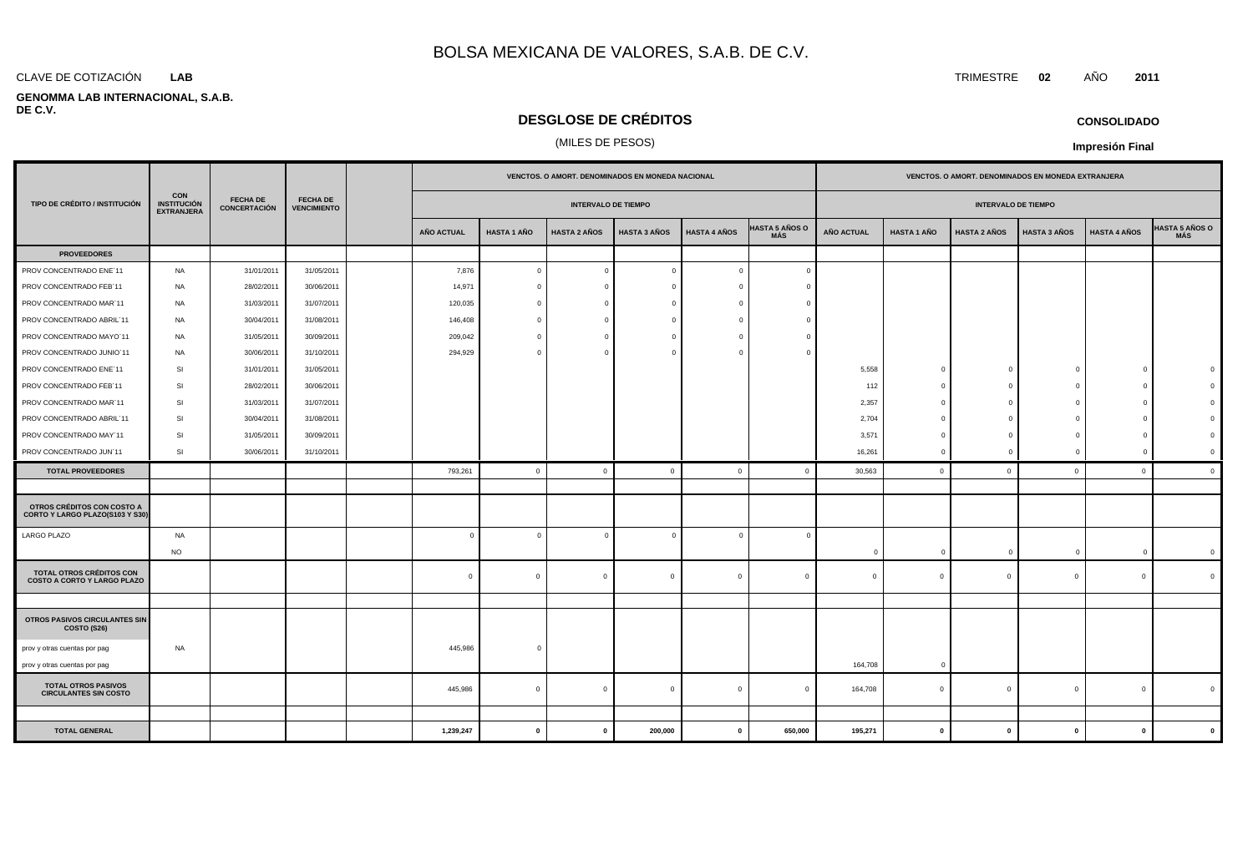#### CLAVE DE COTIZACIÓN TRIMESTRE **02** AÑO **2011 LAB**

### **GENOMMA LAB INTERNACIONAL, S.A.B. DE C.V.**

# **DESGLOSE DE CRÉDITOS**

# (MILES DE PESOS)

|                                                                       |                                                       |                                        |                                       |  |                   | VENCTOS. O AMORT. DENOMINADOS EN MONEDA NACIONAL |                            |                     |                     | VENCTOS. O AMORT. DENOMINADOS EN MONEDA EXTRANJERA |                            |                    |                     |                     |                     |                       |
|-----------------------------------------------------------------------|-------------------------------------------------------|----------------------------------------|---------------------------------------|--|-------------------|--------------------------------------------------|----------------------------|---------------------|---------------------|----------------------------------------------------|----------------------------|--------------------|---------------------|---------------------|---------------------|-----------------------|
| TIPO DE CRÉDITO / INSTITUCIÓN                                         | <b>CON</b><br><b>INSTITUCIÓN</b><br><b>EXTRANJERA</b> | <b>FECHA DE</b><br><b>CONCERTACIÓN</b> | <b>FECHA DE</b><br><b>VENCIMIENTO</b> |  |                   |                                                  | <b>INTERVALO DE TIEMPO</b> |                     |                     |                                                    | <b>INTERVALO DE TIEMPO</b> |                    |                     |                     |                     |                       |
|                                                                       |                                                       |                                        |                                       |  | <b>AÑO ACTUAL</b> | <b>HASTA 1 AÑO</b>                               | <b>HASTA 2 AÑOS</b>        | <b>HASTA 3 AÑOS</b> | <b>HASTA 4 AÑOS</b> | <b>HASTA 5 AÑOS O</b><br>MÁS                       | <b>AÑO ACTUAL</b>          | <b>HASTA 1 AÑO</b> | <b>HASTA 2 AÑOS</b> | <b>HASTA 3 AÑOS</b> | <b>HASTA 4 AÑOS</b> | HASTA 5 AÑOS O<br>MÁS |
| <b>PROVEEDORES</b>                                                    |                                                       |                                        |                                       |  |                   |                                                  |                            |                     |                     |                                                    |                            |                    |                     |                     |                     |                       |
| PROV CONCENTRADO ENE'11                                               | <b>NA</b>                                             | 31/01/2011                             | 31/05/2011                            |  | 7,876             | $\Omega$                                         | $\overline{0}$             | $\Omega$            | $\Omega$            |                                                    |                            |                    |                     |                     |                     |                       |
| PROV CONCENTRADO FEB'11                                               | NA                                                    | 28/02/2011                             | 30/06/2011                            |  | 14,971            |                                                  | $\overline{0}$             |                     | $\Omega$            |                                                    |                            |                    |                     |                     |                     |                       |
| PROV CONCENTRADO MAR'11                                               | <b>NA</b>                                             | 31/03/2011                             | 31/07/2011                            |  | 120,035           |                                                  | $\overline{0}$             | - 0                 | $\Omega$            |                                                    |                            |                    |                     |                     |                     |                       |
| PROV CONCENTRADO ABRIL'11                                             | <b>NA</b>                                             | 30/04/2011                             | 31/08/2011                            |  | 146,408           |                                                  | $\overline{0}$             | - 0                 | $\Omega$            |                                                    |                            |                    |                     |                     |                     |                       |
| PROV CONCENTRADO MAYO'11                                              | NA                                                    | 31/05/2011                             | 30/09/2011                            |  | 209,042           |                                                  | $\overline{0}$             |                     | $\Omega$            |                                                    |                            |                    |                     |                     |                     |                       |
| PROV CONCENTRADO JUNIO'11                                             | <b>NA</b>                                             | 30/06/2011                             | 31/10/2011                            |  | 294,929           |                                                  | $\overline{0}$             |                     | $\cap$              |                                                    |                            |                    |                     |                     |                     |                       |
| PROV CONCENTRADO ENE'11                                               | <b>SI</b>                                             | 31/01/2011                             | 31/05/2011                            |  |                   |                                                  |                            |                     |                     |                                                    | 5,558                      | $\Omega$           | $\Omega$            |                     | $\Omega$            |                       |
| PROV CONCENTRADO FEB'11                                               | SI                                                    | 28/02/2011                             | 30/06/2011                            |  |                   |                                                  |                            |                     |                     |                                                    | 112                        | $\epsilon$         | $\mathbf 0$         |                     | $\Omega$            |                       |
| PROV CONCENTRADO MAR'11                                               | <b>SI</b>                                             | 31/03/2011                             | 31/07/2011                            |  |                   |                                                  |                            |                     |                     |                                                    | 2,357                      | -C                 | $\Omega$            |                     | $\Omega$            |                       |
| PROV CONCENTRADO ABRIL'11                                             | SI                                                    | 30/04/2011                             | 31/08/2011                            |  |                   |                                                  |                            |                     |                     |                                                    | 2,704                      | $\epsilon$         | $^{\circ}$          |                     | $\Omega$            |                       |
| PROV CONCENTRADO MAY'11                                               | SI                                                    | 31/05/2011                             | 30/09/2011                            |  |                   |                                                  |                            |                     |                     |                                                    | 3,571                      | - 0                | $\mathbf 0$         |                     | $\Omega$            |                       |
| PROV CONCENTRADO JUN'11                                               | SI                                                    | 30/06/2011                             | 31/10/2011                            |  |                   |                                                  |                            |                     |                     |                                                    | 16,261                     | $\Omega$           | $\mathbf{0}$        | $\Omega$            | $\overline{0}$      |                       |
| <b>TOTAL PROVEEDORES</b>                                              |                                                       |                                        |                                       |  | 793,261           | $\circ$                                          | $\mathbf 0$                | $\Omega$            | $\mathbf 0$         | $\Omega$                                           | 30,563                     | $\Omega$           | $\overline{0}$      | $\overline{0}$      | $\mathbf{0}$        | C                     |
|                                                                       |                                                       |                                        |                                       |  |                   |                                                  |                            |                     |                     |                                                    |                            |                    |                     |                     |                     |                       |
| OTROS CRÉDITOS CON COSTO A<br>CORTO Y LARGO PLAZO(S103 Y S30)         |                                                       |                                        |                                       |  |                   |                                                  |                            |                     |                     |                                                    |                            |                    |                     |                     |                     |                       |
| LARGO PLAZO                                                           | <b>NA</b>                                             |                                        |                                       |  | $\overline{0}$    | $\mathbf{0}$                                     | $\overline{0}$             | $\Omega$            | $\mathbf 0$         | $\Omega$                                           |                            |                    |                     |                     |                     |                       |
|                                                                       | <b>NO</b>                                             |                                        |                                       |  |                   |                                                  |                            |                     |                     |                                                    | $\mathbf 0$                | $^{\circ}$         | $\mathbf{0}$        | $\Omega$            | $\overline{0}$      |                       |
| <b>TOTAL OTROS CRÉDITOS CON</b><br><b>COSTO A CORTO Y LARGO PLAZO</b> |                                                       |                                        |                                       |  | $\overline{0}$    | $^{\circ}$                                       | $\overline{0}$             | $\overline{0}$      | $\circ$             | $\Omega$                                           | $\Omega$                   | $\Omega$           | $\mathbf{0}$        | $\overline{0}$      | $\overline{0}$      |                       |
|                                                                       |                                                       |                                        |                                       |  |                   |                                                  |                            |                     |                     |                                                    |                            |                    |                     |                     |                     |                       |
| <b>OTROS PASIVOS CIRCULANTES SIN</b><br><b>COSTO (S26)</b>            |                                                       |                                        |                                       |  |                   |                                                  |                            |                     |                     |                                                    |                            |                    |                     |                     |                     |                       |
| prov y otras cuentas por pag                                          | <b>NA</b>                                             |                                        |                                       |  | 445,986           | $\mathbf{0}$                                     |                            |                     |                     |                                                    |                            |                    |                     |                     |                     |                       |
| prov y otras cuentas por pag                                          |                                                       |                                        |                                       |  |                   |                                                  |                            |                     |                     |                                                    | 164,708                    | $\Omega$           |                     |                     |                     |                       |
| <b>TOTAL OTROS PASIVOS</b><br><b>CIRCULANTES SIN COSTO</b>            |                                                       |                                        |                                       |  | 445,986           | $\mathbf{0}$                                     | $\overline{0}$             | $\overline{0}$      | $\overline{0}$      | $\overline{0}$                                     | 164,708                    | $^{\circ}$         | $\overline{0}$      | $\overline{0}$      | $\overline{0}$      |                       |
|                                                                       |                                                       |                                        |                                       |  |                   |                                                  |                            |                     |                     |                                                    |                            |                    |                     |                     |                     |                       |
| <b>TOTAL GENERAL</b>                                                  |                                                       |                                        |                                       |  | 1,239,247         | $\mathbf 0$                                      | $\mathbf 0$                | 200,000             | $\mathbf 0$         | 650,000                                            | 195,271                    | $\mathbf{0}$       | $\mathbf 0$         | $\mathbf{0}$        | $\mathbf{0}$        |                       |

**CONSOLIDADO**

**Impresión Final**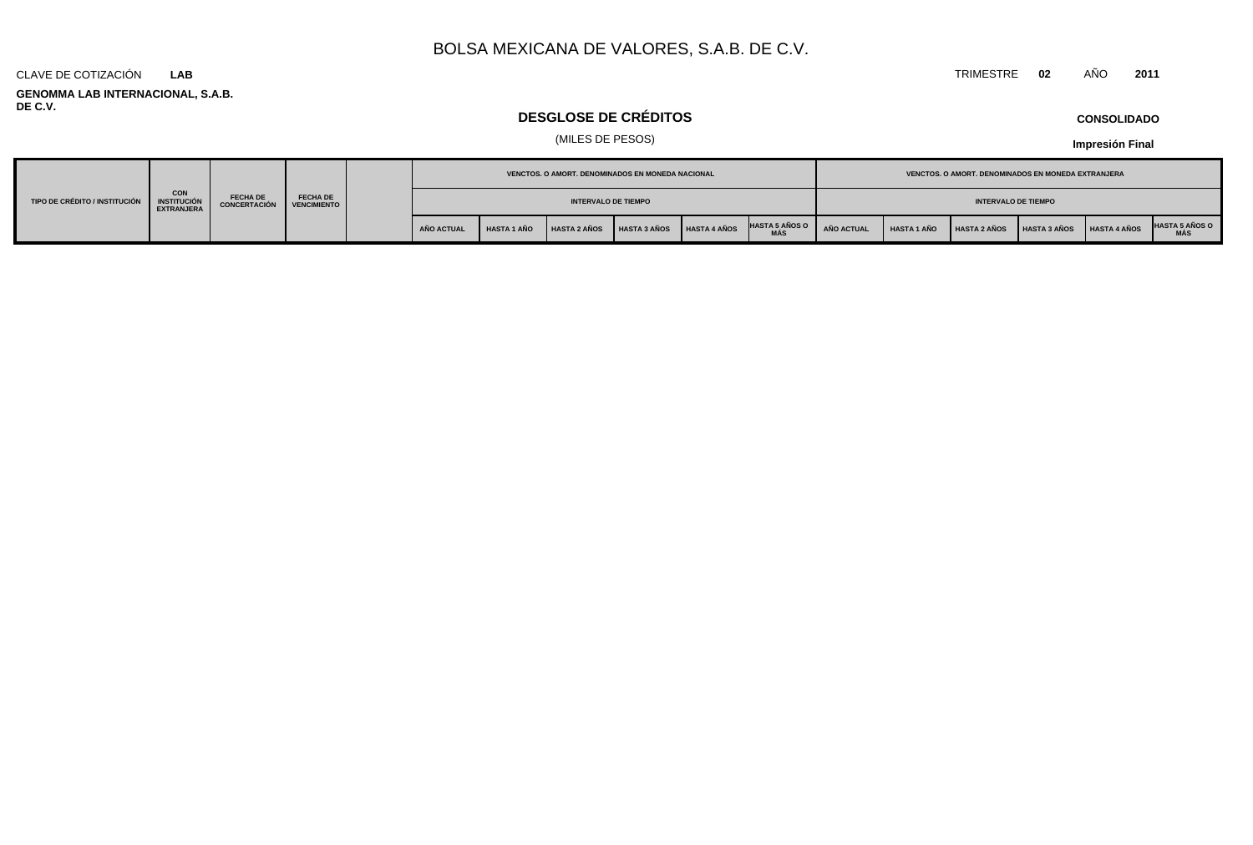**LAB**

**GENOMMA LAB INTERNACIONAL, S.A.B. DE C.V.**

# **DESGLOSE DE CRÉDITOS**

# (MILES DE PESOS)

| TIPO DE CRÉDITO / INSTITUCIÓN | CON<br>INSTITUCIÓN<br><b>EXTRANJERA</b> | <b>FECHA DE</b><br>CONCERTACIÓN | <b>FECHA DE</b><br>VENCIMIENTO |  | <b>VENCTOS, O AMORT, DENOMINADOS EN MONEDA NACIONAL</b> |                    |                                        |  |  | <b>VENCTOS, O AMORT, DENOMINADOS EN MONEDA EXTRANJERA</b> |                            |                    |                     |                           |  |                                     |
|-------------------------------|-----------------------------------------|---------------------------------|--------------------------------|--|---------------------------------------------------------|--------------------|----------------------------------------|--|--|-----------------------------------------------------------|----------------------------|--------------------|---------------------|---------------------------|--|-------------------------------------|
|                               |                                         |                                 |                                |  | <b>INTERVALO DE TIEMPO</b>                              |                    |                                        |  |  |                                                           | <b>INTERVALO DE TIEMPO</b> |                    |                     |                           |  |                                     |
|                               |                                         |                                 |                                |  | AÑO ACTUAL                                              | <b>HASTA 1 AÑO</b> | HASTA 2 AÑOS HASTA 3 AÑOS HASTA 4 AÑOS |  |  | <b>HASTA 5 AÑOS O</b><br><b>MÁS</b>                       | AÑO ACTUAL                 | <b>HASTA 1 AÑO</b> | <b>HASTA 2 AÑOS</b> | HASTA 3 AÑOS HASTA 4 AÑOS |  | <b>HASTA 5 AÑOS O</b><br><b>MÁS</b> |

# **CONSOLIDADO**

**Impresión Final**

CLAVE DE COTIZACIÓN TRIMESTRE **02** AÑO **2011**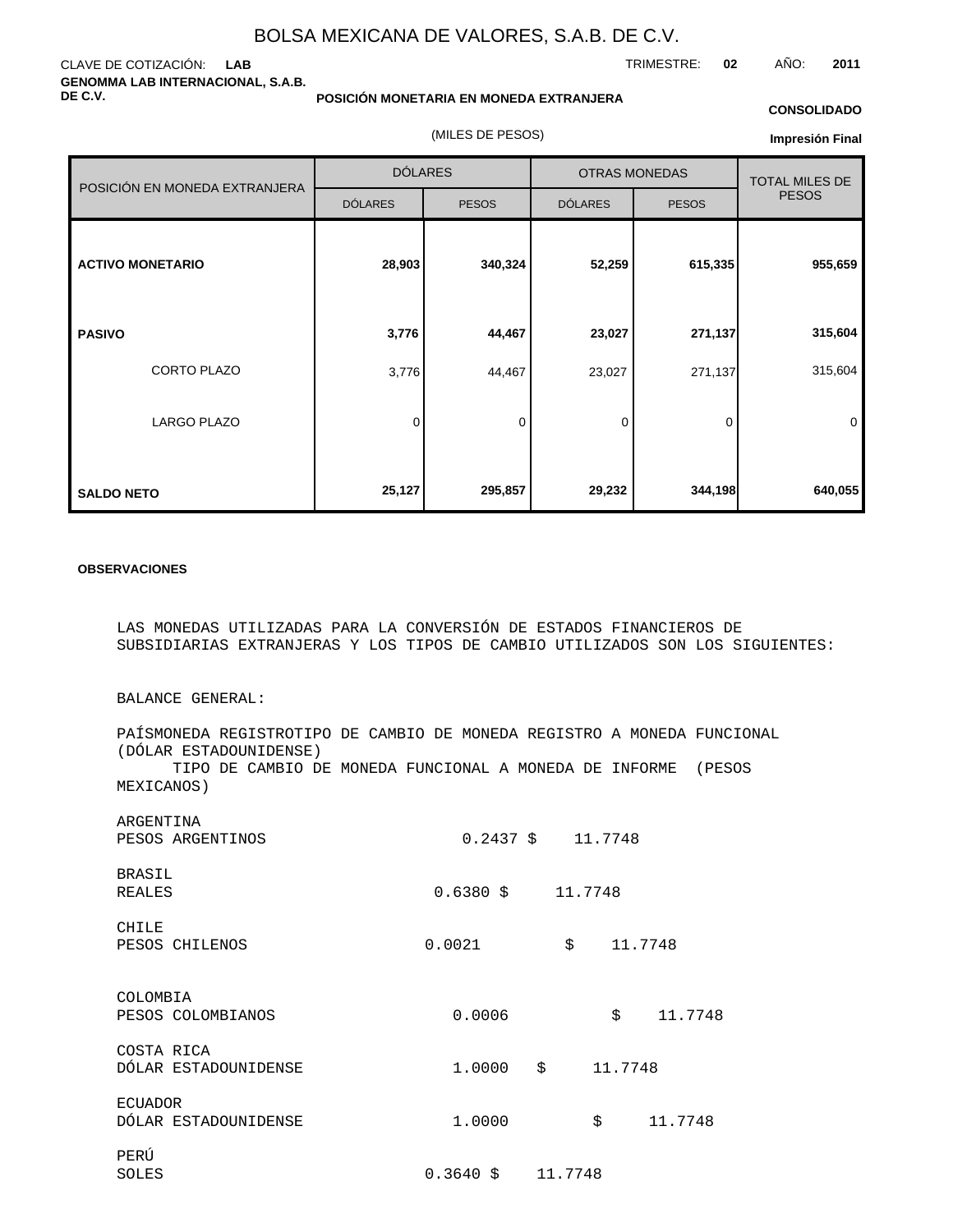### CLAVE DE COTIZACIÓN: **LAB GENOMMA LAB INTERNACIONAL, S.A.B. DE C.V.**

### **POSICIÓN MONETARIA EN MONEDA EXTRANJERA**

(MILES DE PESOS)

### **CONSOLIDADO**

TRIMESTRE: **02** AÑO: **2011**

**Impresión Final**

|                               | <b>DÓLARES</b> |              |                | <b>OTRAS MONEDAS</b> | <b>TOTAL MILES DE</b> |
|-------------------------------|----------------|--------------|----------------|----------------------|-----------------------|
| POSICIÓN EN MONEDA EXTRANJERA | <b>DÓLARES</b> | <b>PESOS</b> | <b>DÓLARES</b> | <b>PESOS</b>         | <b>PESOS</b>          |
| <b>ACTIVO MONETARIO</b>       | 28,903         | 340,324      | 52,259         | 615,335              | 955,659               |
| <b>PASIVO</b>                 | 3,776          | 44,467       | 23,027         | 271,137              | 315,604               |
| CORTO PLAZO                   | 3,776          | 44,467       | 23,027         | 271,137              | 315,604               |
| <b>LARGO PLAZO</b>            | 0              | $\mathbf 0$  | 0              | 0                    | 0                     |
| <b>SALDO NETO</b>             | 25,127         | 295,857      | 29,232         | 344,198              | 640,055               |

### **OBSERVACIONES**

LAS MONEDAS UTILIZADAS PARA LA CONVERSIÓN DE ESTADOS FINANCIEROS DE SUBSIDIARIAS EXTRANJERAS Y LOS TIPOS DE CAMBIO UTILIZADOS SON LOS SIGUIENTES:

BALANCE GENERAL:

| PAÍS MONEDA REGISTRO TIPO DE CAMBIO DE MONEDA REGISTRO A MONEDA FUNCIONAL<br>(DÓLAR ESTADOUNIDENSE)<br>TIPO DE CAMBIO DE MONEDA FUNCIONAL A MONEDA DE INFORME (PESOS<br>MEXICANOS) |                                |                       |
|------------------------------------------------------------------------------------------------------------------------------------------------------------------------------------|--------------------------------|-----------------------|
| ARGENTINA<br>PESOS ARGENTINOS                                                                                                                                                      | $0.2437 \t$ \$ 11.7748         |                       |
| <b>BRASIL</b><br><b>REALES</b>                                                                                                                                                     | $0.6380 \quad S \quad 11.7748$ |                       |
| <b>CHILE</b><br>PESOS CHILENOS                                                                                                                                                     | \$<br>0.0021                   | 11.7748               |
| COLOMBIA<br>PESOS COLOMBIANOS                                                                                                                                                      | 0.0006                         | $\ddot{s}$<br>11.7748 |
| COSTA RICA<br>DÓLAR ESTADOUNIDENSE                                                                                                                                                 | $1.0000$ \$                    | 11.7748               |
| ECUADOR<br>DÓLAR ESTADOUNIDENSE                                                                                                                                                    | 1.0000                         | \$<br>11.7748         |
| PERÚ<br>SOLES                                                                                                                                                                      | $0.3640 \quad S \quad 11.7748$ |                       |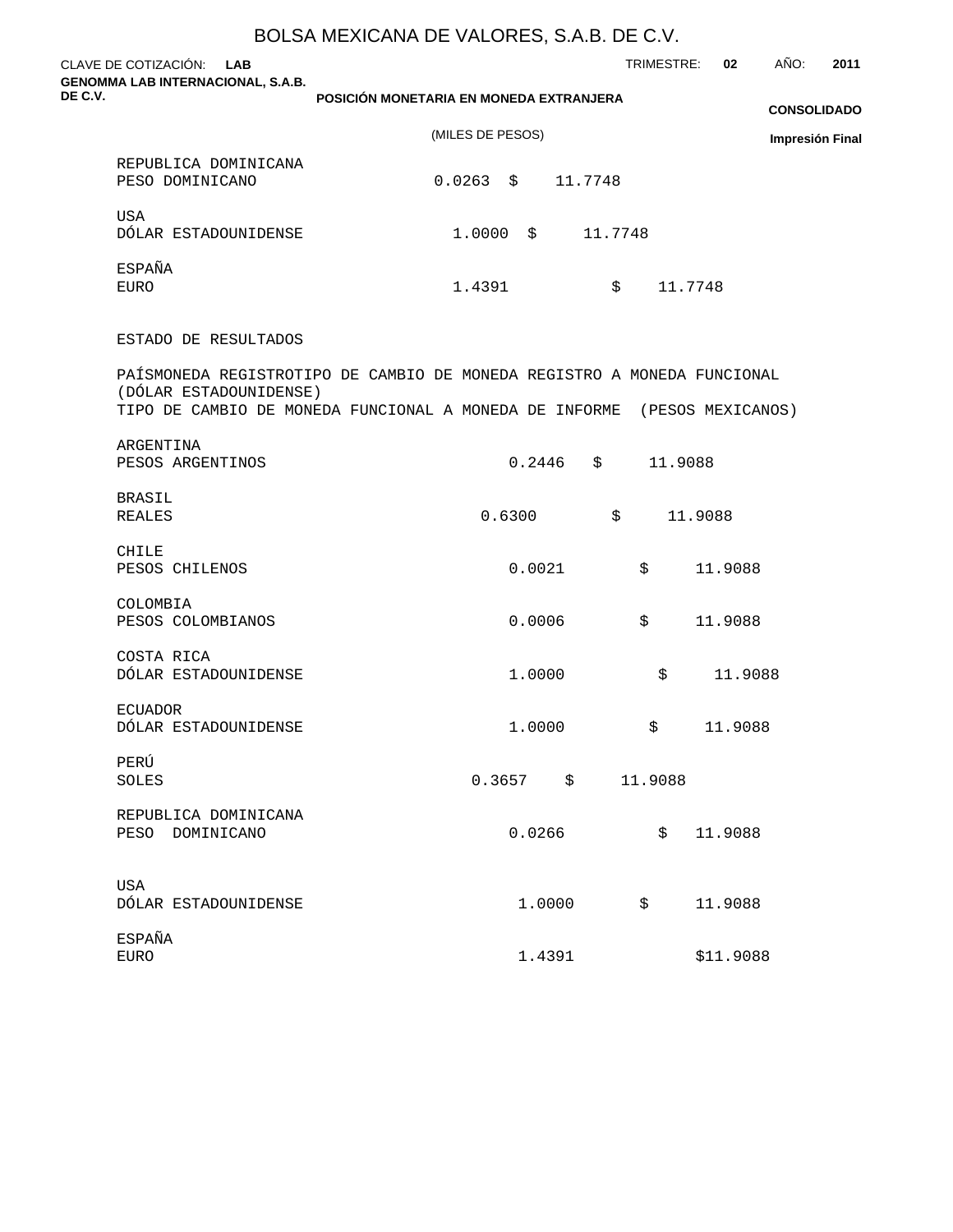|                                                                                | <u>DOLOM MILAIOM W Y DE WALOITEO, OMTJ. DE O.W.</u>                                                                                                   |                       |                        |      |
|--------------------------------------------------------------------------------|-------------------------------------------------------------------------------------------------------------------------------------------------------|-----------------------|------------------------|------|
| CLAVE DE COTIZACIÓN:<br><b>LAB</b><br><b>GENOMMA LAB INTERNACIONAL, S.A.B.</b> |                                                                                                                                                       | TRIMESTRE:            | AÑO:<br>02             | 2011 |
| DE C.V.                                                                        | POSICIÓN MONETARIA EN MONEDA EXTRANJERA                                                                                                               |                       | <b>CONSOLIDADO</b>     |      |
|                                                                                | (MILES DE PESOS)                                                                                                                                      |                       | <b>Impresión Final</b> |      |
| REPUBLICA DOMINICANA<br>PESO DOMINICANO                                        | 0.0263<br>$\ddot{\mathsf{S}}$                                                                                                                         | 11.7748               |                        |      |
| USA<br>DÓLAR ESTADOUNIDENSE                                                    | 1.0000<br>$\ddot{\mathsf{S}}$                                                                                                                         | 11.7748               |                        |      |
| ESPAÑA<br><b>EURO</b>                                                          | 1.4391                                                                                                                                                | 11.7748<br>\$         |                        |      |
| ESTADO DE RESULTADOS                                                           |                                                                                                                                                       |                       |                        |      |
| (DÓLAR ESTADOUNIDENSE)                                                         | PAÍS MONEDA REGISTRO TIPO DE CAMBIO DE MONEDA REGISTRO A MONEDA FUNCIONAL<br>TIPO DE CAMBIO DE MONEDA FUNCIONAL A MONEDA DE INFORME (PESOS MEXICANOS) |                       |                        |      |
| ARGENTINA<br>PESOS ARGENTINOS                                                  | 0.2446                                                                                                                                                | $\uparrow$<br>11.9088 |                        |      |
| <b>BRASIL</b><br><b>REALES</b>                                                 | 0.6300                                                                                                                                                | $\ddot{s}$            | 11.9088                |      |
| CHILE<br>PESOS CHILENOS                                                        | 0.0021                                                                                                                                                | \$                    | 11.9088                |      |
| COLOMBIA<br>PESOS COLOMBIANOS                                                  | 0.0006                                                                                                                                                | \$                    | 11.9088                |      |
| COSTA RICA<br>DÓLAR ESTADOUNIDENSE                                             | 1.0000                                                                                                                                                | \$                    | 11.9088                |      |
| <b>ECUADOR</b><br>DÓLAR ESTADOUNIDENSE                                         | 1.0000                                                                                                                                                | \$                    | 11.9088                |      |
| PERÚ<br>SOLES                                                                  | 0.3657                                                                                                                                                | 11.9088<br>\$         |                        |      |
| REPUBLICA DOMINICANA<br>DOMINICANO<br>PESO                                     | 0.0266                                                                                                                                                | \$                    | 11.9088                |      |
| USA<br>DÓLAR ESTADOUNIDENSE                                                    | 1.0000                                                                                                                                                | \$                    | 11.9088                |      |
| ESPAÑA<br>EURO                                                                 | 1.4391                                                                                                                                                |                       | \$11.9088              |      |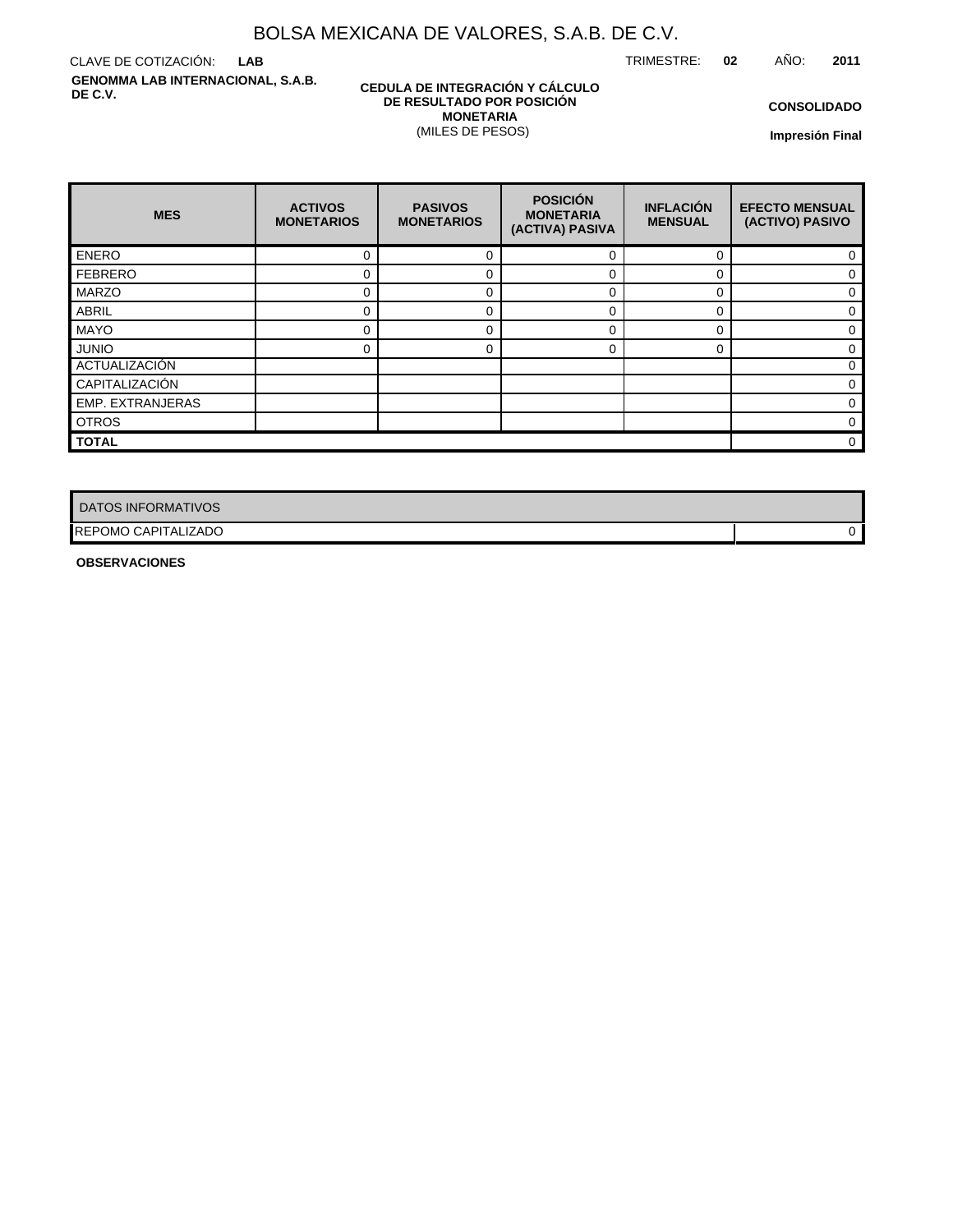TRIMESTRE: **02** AÑO: **2011**

CLAVE DE COTIZACIÓN: **LAB GENOMMA LAB INTERNACIONAL, S.A.B. DE C.V.**

### **CEDULA DE INTEGRACIÓN Y CÁLCULO DE RESULTADO POR POSICIÓN MONETARIA** (MILES DE PESOS)

**CONSOLIDADO**

**Impresión Final**

| <b>MES</b>       | <b>ACTIVOS</b><br><b>MONETARIOS</b> | <b>PASIVOS</b><br><b>MONETARIOS</b> | <b>POSICIÓN</b><br><b>MONETARIA</b><br>(ACTIVA) PASIVA | <b>INFLACIÓN</b><br><b>MENSUAL</b> | <b>EFECTO MENSUAL</b><br>(ACTIVO) PASIVO |
|------------------|-------------------------------------|-------------------------------------|--------------------------------------------------------|------------------------------------|------------------------------------------|
| <b>ENERO</b>     | 0                                   | 0                                   | $\Omega$                                               | U                                  | 0                                        |
| <b>FEBRERO</b>   | 0                                   | 0                                   | 0                                                      | 0                                  | 0                                        |
| <b>MARZO</b>     | 0                                   | 0                                   | $\Omega$                                               | $\Omega$                           | 0                                        |
| <b>ABRIL</b>     | 0                                   | 0                                   | $\Omega$                                               | 0                                  | $\Omega$                                 |
| <b>MAYO</b>      | 0                                   | 0                                   | 0                                                      | 0                                  | 0                                        |
| <b>JUNIO</b>     | 0                                   | 0                                   | 0                                                      | $\Omega$                           | 0                                        |
| ACTUALIZACIÓN    |                                     |                                     |                                                        |                                    | 0                                        |
| CAPITALIZACIÓN   |                                     |                                     |                                                        |                                    | 0                                        |
| EMP. EXTRANJERAS |                                     |                                     |                                                        |                                    | 0                                        |
| <b>OTROS</b>     |                                     |                                     |                                                        |                                    | 0                                        |
| <b>TOTAL</b>     |                                     |                                     |                                                        |                                    | 0                                        |

| DATOS INFORMATIVOS         |  |
|----------------------------|--|
| <b>REPOMO CAPITALIZADO</b> |  |

**OBSERVACIONES**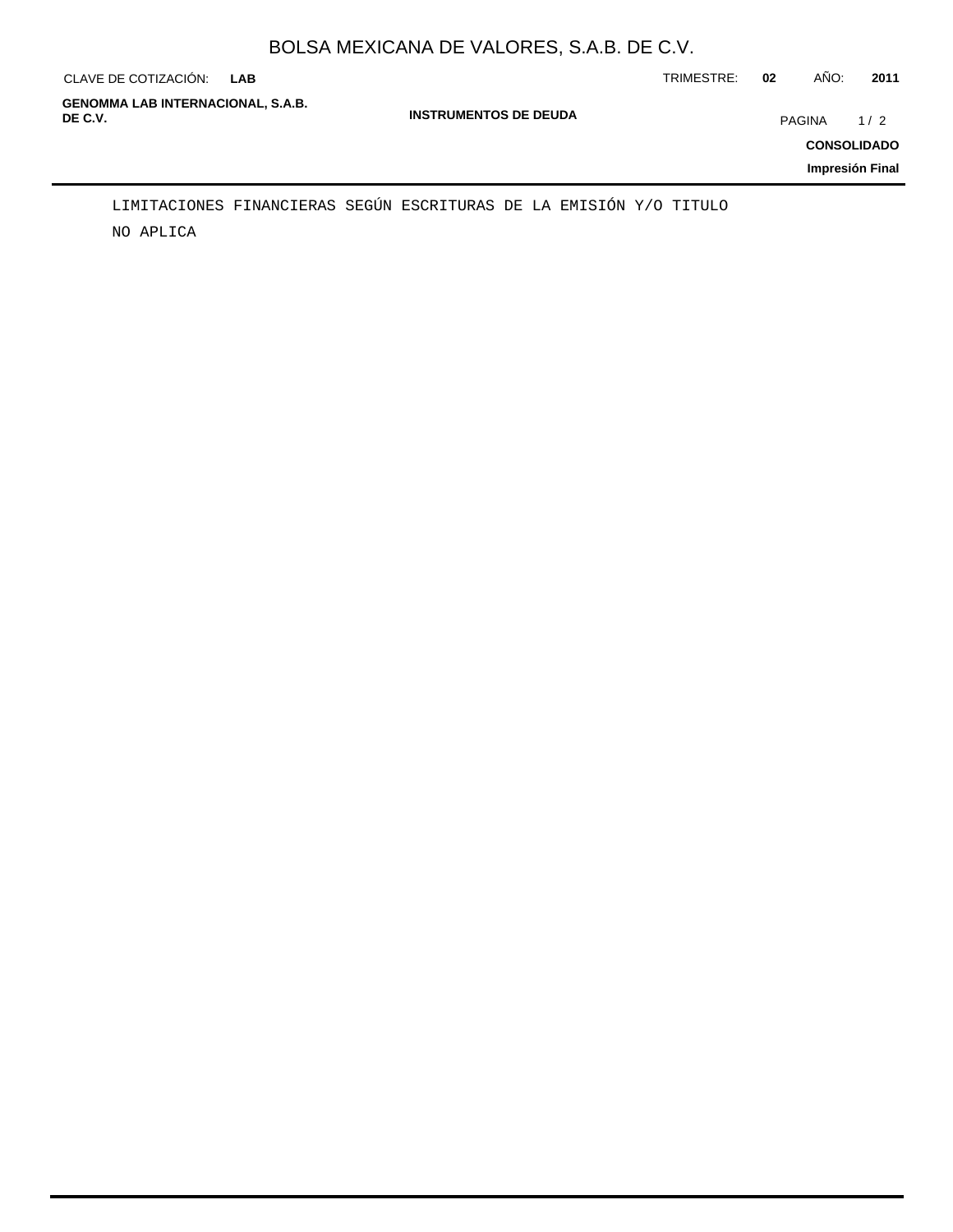| CLAVE DE COTIZACIÓN:                                | <b>LAB</b> |                              | TRIMESTRE: | 02     | AÑO: | 2011                                         |
|-----------------------------------------------------|------------|------------------------------|------------|--------|------|----------------------------------------------|
| <b>GENOMMA LAB INTERNACIONAL, S.A.B.</b><br>DE C.V. |            | <b>INSTRUMENTOS DE DEUDA</b> |            | PAGINA |      | 1/2<br><b>CONSOLIDADO</b><br>Impresión Final |
|                                                     |            |                              |            |        |      |                                              |

NO APLICA LIMITACIONES FINANCIERAS SEGÚN ESCRITURAS DE LA EMISIÓN Y/O TITULO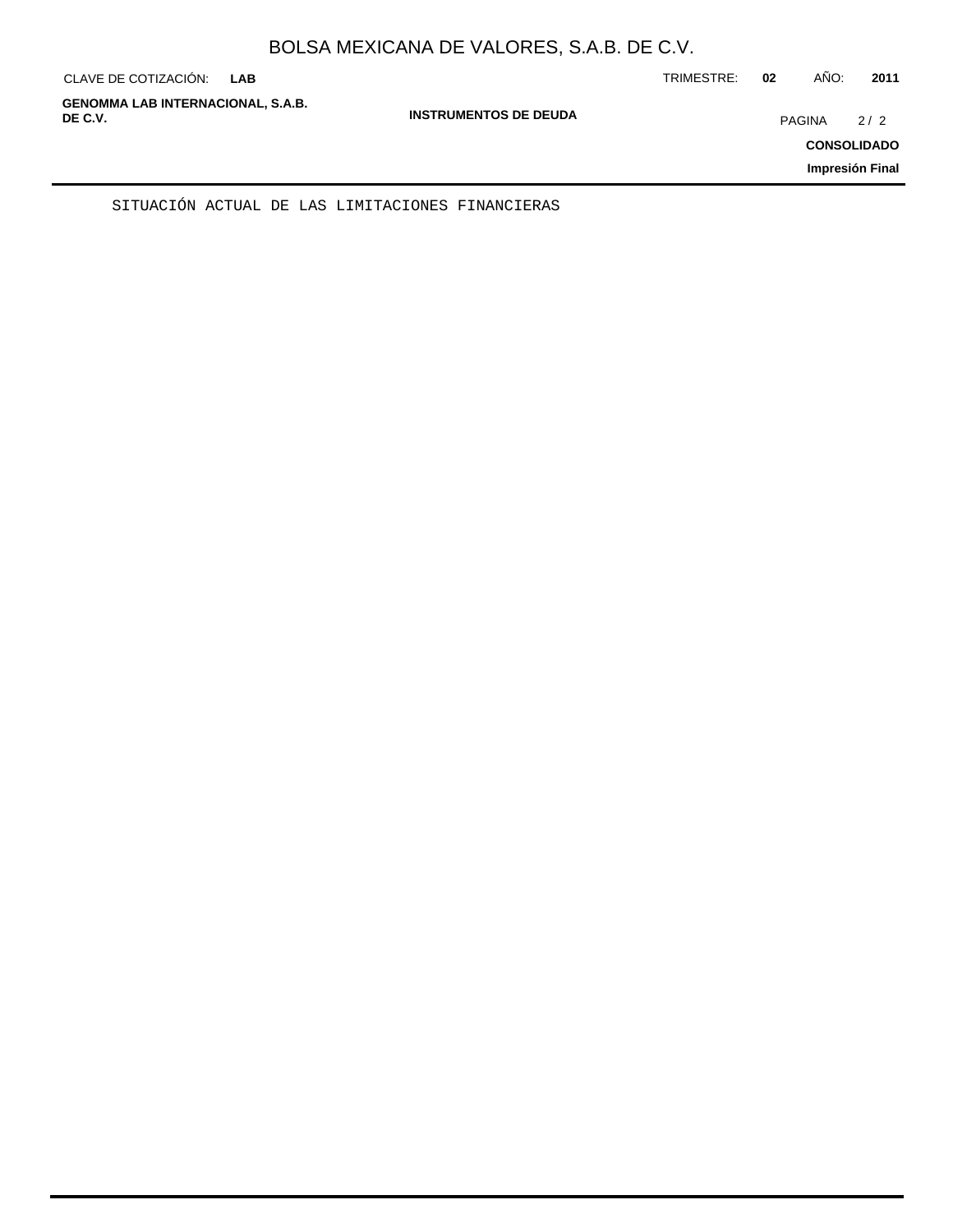| CLAVE DE COTIZACIÓN:                                | <b>LAB</b> |                              | TRIMESTRE: | 02            | AÑO: | 2011                                         |
|-----------------------------------------------------|------------|------------------------------|------------|---------------|------|----------------------------------------------|
| <b>GENOMMA LAB INTERNACIONAL, S.A.B.</b><br>DE C.V. |            | <b>INSTRUMENTOS DE DEUDA</b> |            | <b>PAGINA</b> |      | 2/2<br><b>CONSOLIDADO</b><br>Impresión Final |
|                                                     |            |                              |            |               |      |                                              |

SITUACIÓN ACTUAL DE LAS LIMITACIONES FINANCIERAS

÷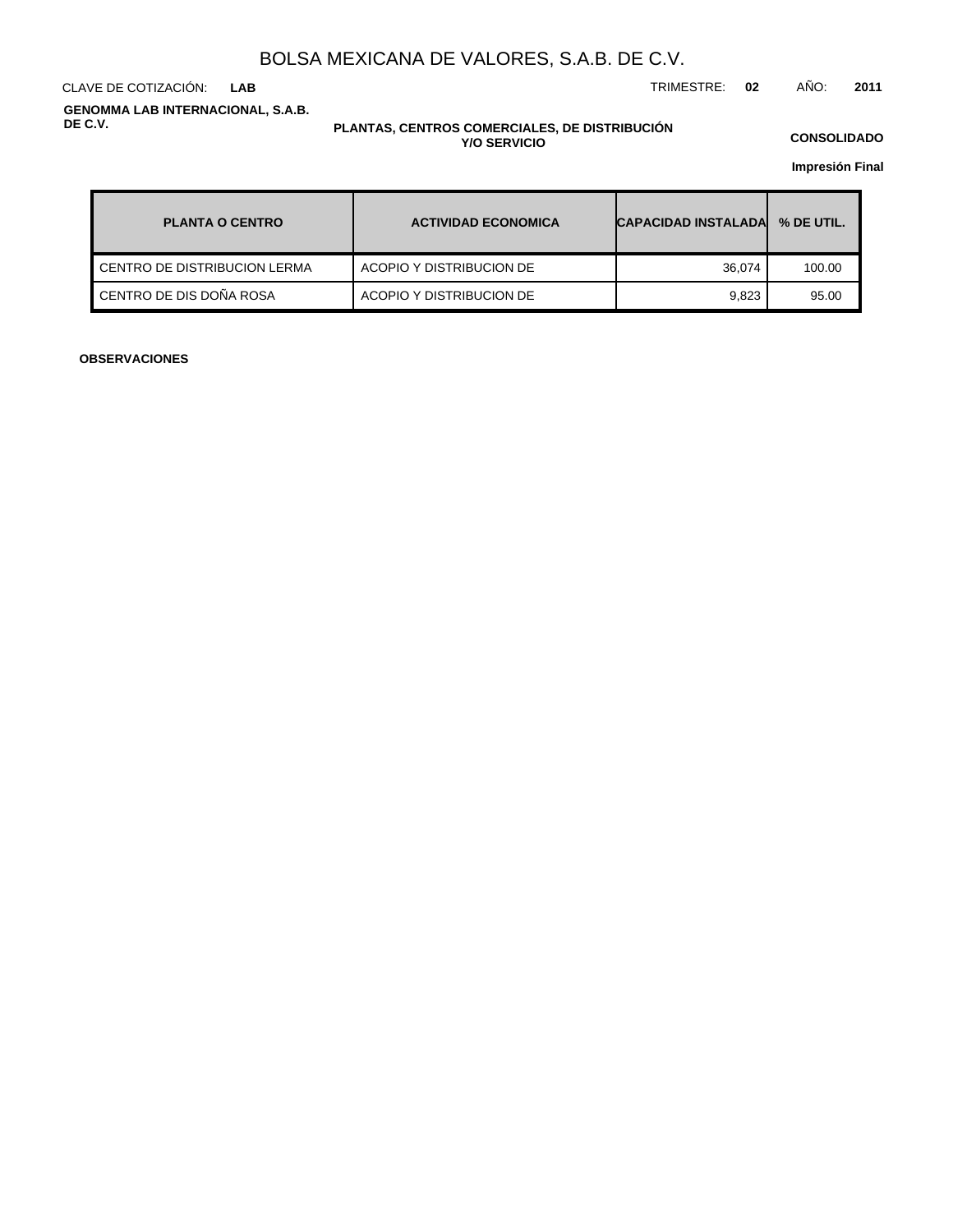CLAVE DE COTIZACIÓN: TRIMESTRE: **02** AÑO: **2011 LAB**

**GENOMMA LAB INTERNACIONAL, S.A.B. DE C.V.**

### **PLANTAS, CENTROS COMERCIALES, DE DISTRIBUCIÓN Y/O SERVICIO**

**CONSOLIDADO**

**Impresión Final**

| <b>PLANTA O CENTRO</b>         | <b>ACTIVIDAD ECONOMICA</b> | <b>CAPACIDAD INSTALADA</b> | % DE UTIL. |  |
|--------------------------------|----------------------------|----------------------------|------------|--|
| I CENTRO DE DISTRIBUCION LERMA | ACOPIO Y DISTRIBUCION DE   | 36.074                     | 100.00     |  |
| I CENTRO DE DIS DOÑA ROSA      | ACOPIO Y DISTRIBUCION DE   | 9.823                      | 95.00      |  |

**OBSERVACIONES**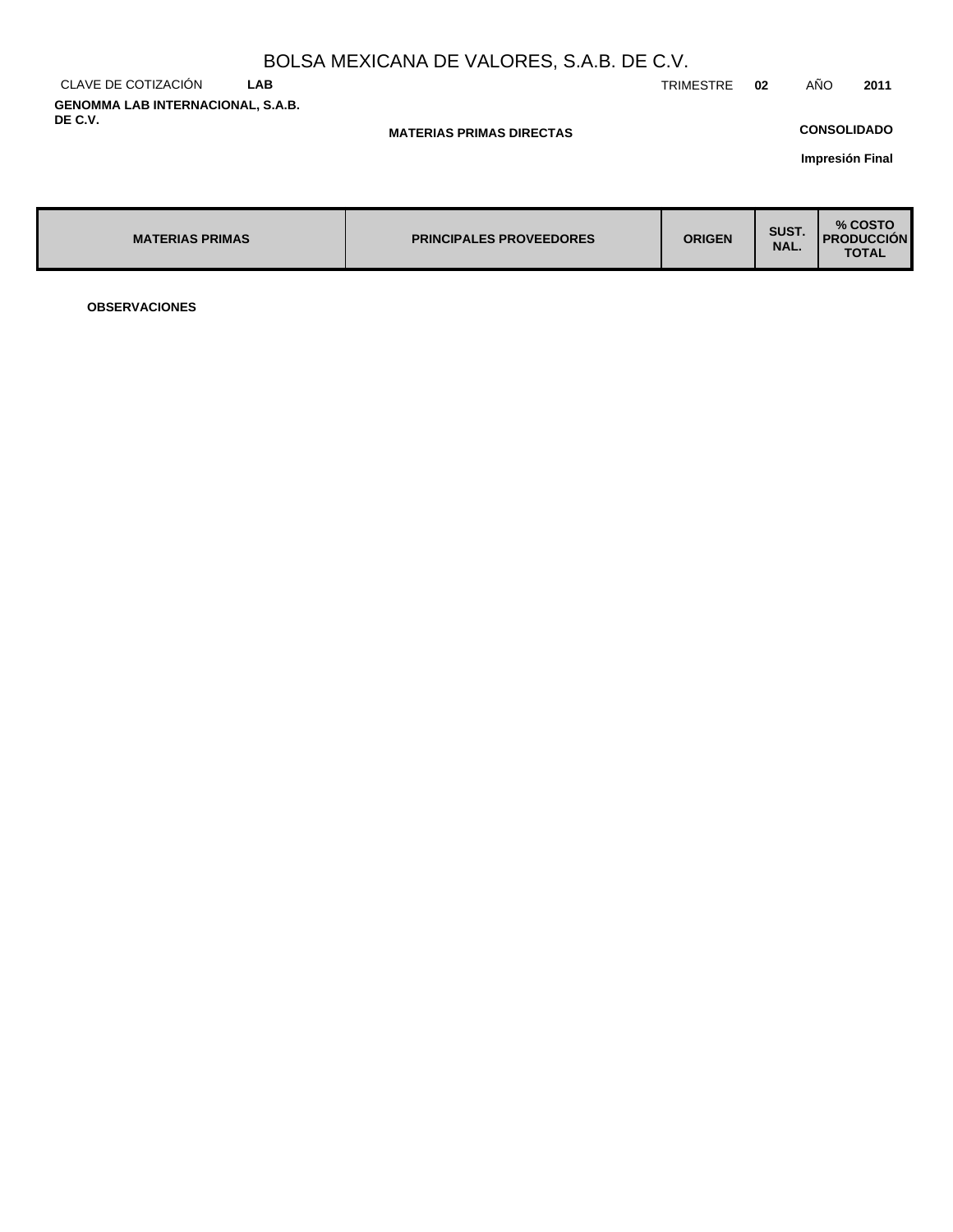|                                                     |     | BOLSA MEXICANA DE VALORES, S.A.B. DE C.V. |           |    |                    |      |
|-----------------------------------------------------|-----|-------------------------------------------|-----------|----|--------------------|------|
| CLAVE DE COTIZACIÓN                                 | LAB |                                           | TRIMESTRE | 02 | AÑO                | 2011 |
| <b>GENOMMA LAB INTERNACIONAL, S.A.B.</b><br>DE C.V. |     | <b>MATERIAS PRIMAS DIRECTAS</b>           |           |    | <b>CONSOLIDADO</b> |      |

**Impresión Final**

| <b>PRINCIPALES PROVEEDORES</b> | <b>ORIGEN</b> | SUST.<br>NAL. | % COSTO<br><b>I PRODUCCION</b><br><b>TOTAL</b> |
|--------------------------------|---------------|---------------|------------------------------------------------|
|                                |               |               |                                                |

**OBSERVACIONES**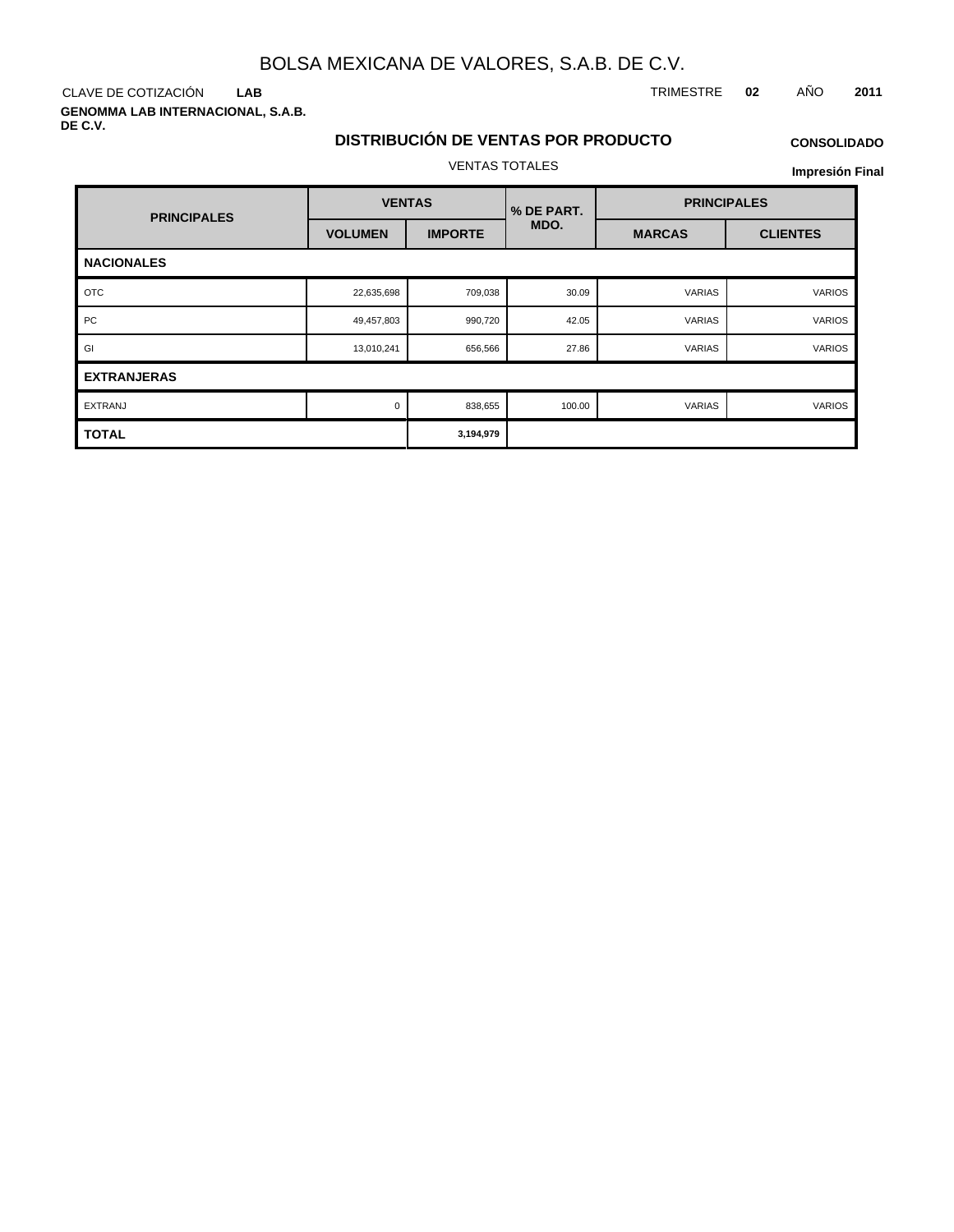**LAB**

**GENOMMA LAB INTERNACIONAL, S.A.B. DE C.V.**

## CLAVE DE COTIZACIÓN TRIMESTRE **02** AÑO **2011**

# **DISTRIBUCIÓN DE VENTAS POR PRODUCTO** VENTAS TOTALES

# **CONSOLIDADO**

**Impresión Final**

| <b>PRINCIPALES</b> | <b>VENTAS</b>  |                | % DE PART. | <b>PRINCIPALES</b> |                 |  |  |
|--------------------|----------------|----------------|------------|--------------------|-----------------|--|--|
|                    | <b>VOLUMEN</b> | <b>IMPORTE</b> | MDO.       | <b>MARCAS</b>      | <b>CLIENTES</b> |  |  |
| <b>NACIONALES</b>  |                |                |            |                    |                 |  |  |
| <b>OTC</b>         | 22,635,698     | 709,038        | 30.09      | <b>VARIAS</b>      | <b>VARIOS</b>   |  |  |
| PC                 | 49,457,803     | 990,720        | 42.05      | <b>VARIAS</b>      | <b>VARIOS</b>   |  |  |
| GI                 | 13,010,241     | 656,566        | 27.86      | <b>VARIAS</b>      | <b>VARIOS</b>   |  |  |
| <b>EXTRANJERAS</b> |                |                |            |                    |                 |  |  |
| <b>EXTRANJ</b>     | $\mathbf 0$    | 838,655        | 100.00     | <b>VARIAS</b>      | <b>VARIOS</b>   |  |  |
| <b>TOTAL</b>       |                | 3,194,979      |            |                    |                 |  |  |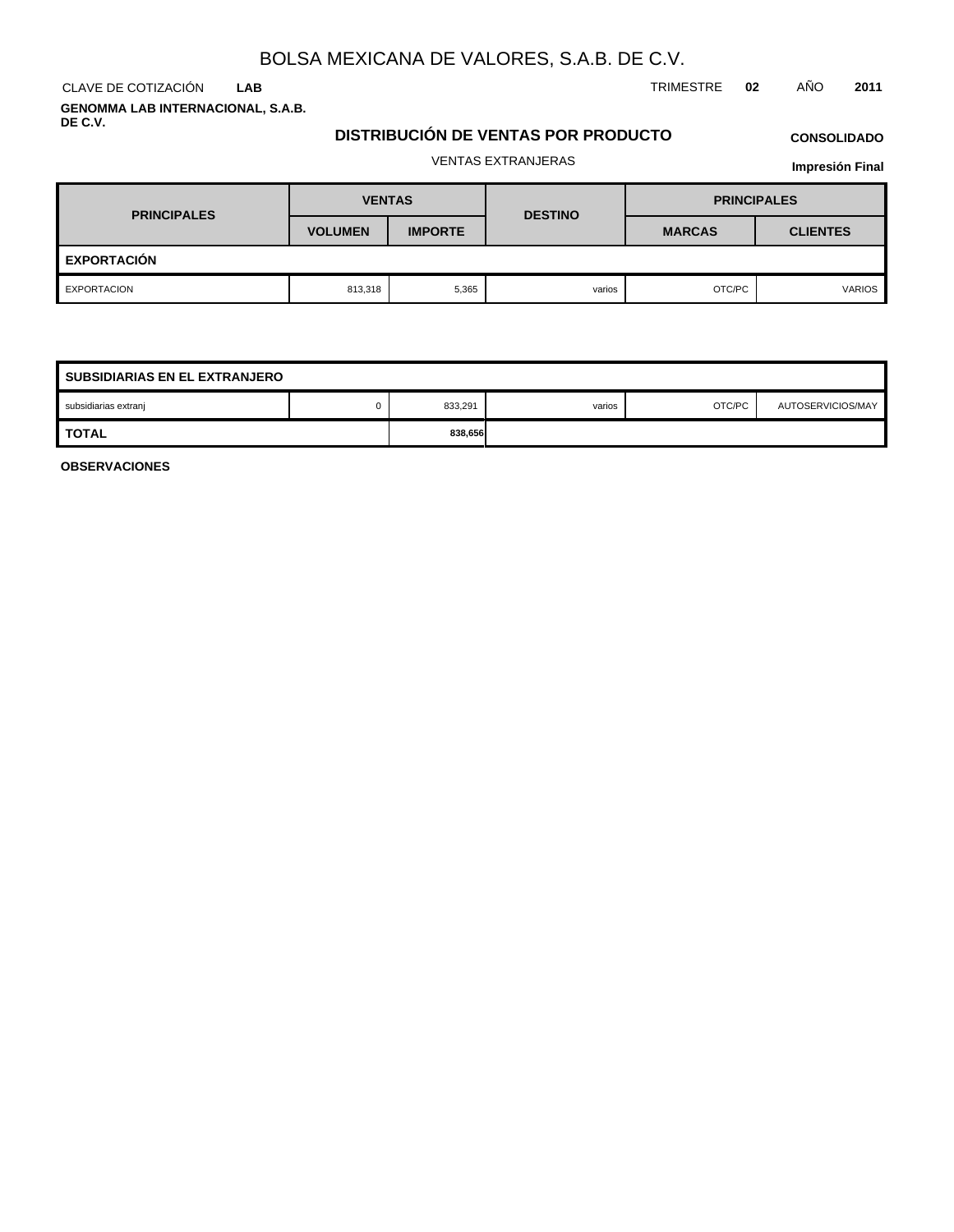CLAVE DE COTIZACIÓN TRIMESTRE **02** AÑO **2011 LAB**

**GENOMMA LAB INTERNACIONAL, S.A.B. DE C.V.**

# **DISTRIBUCIÓN DE VENTAS POR PRODUCTO**

# **CONSOLIDADO**

# VENTAS EXTRANJERAS

**Impresión Final**

| <b>PRINCIPALES</b> | <b>VENTAS</b>  |                | <b>DESTINO</b> | <b>PRINCIPALES</b> |                 |  |  |  |
|--------------------|----------------|----------------|----------------|--------------------|-----------------|--|--|--|
|                    | <b>VOLUMEN</b> | <b>IMPORTE</b> |                | <b>MARCAS</b>      | <b>CLIENTES</b> |  |  |  |
| <b>EXPORTACIÓN</b> |                |                |                |                    |                 |  |  |  |
| EXPORTACION        | 813,318        | 5,365          | varios         | OTC/PC             | <b>VARIOS</b>   |  |  |  |

| <b>SUBSIDIARIAS EN EL EXTRANJERO</b> |  |         |        |        |                   |  |  |  |
|--------------------------------------|--|---------|--------|--------|-------------------|--|--|--|
| subsidiarias extranj                 |  | 833,291 | varios | OTC/PC | AUTOSERVICIOS/MAY |  |  |  |
| <b>TOTAL</b>                         |  | 838,656 |        |        |                   |  |  |  |

**OBSERVACIONES**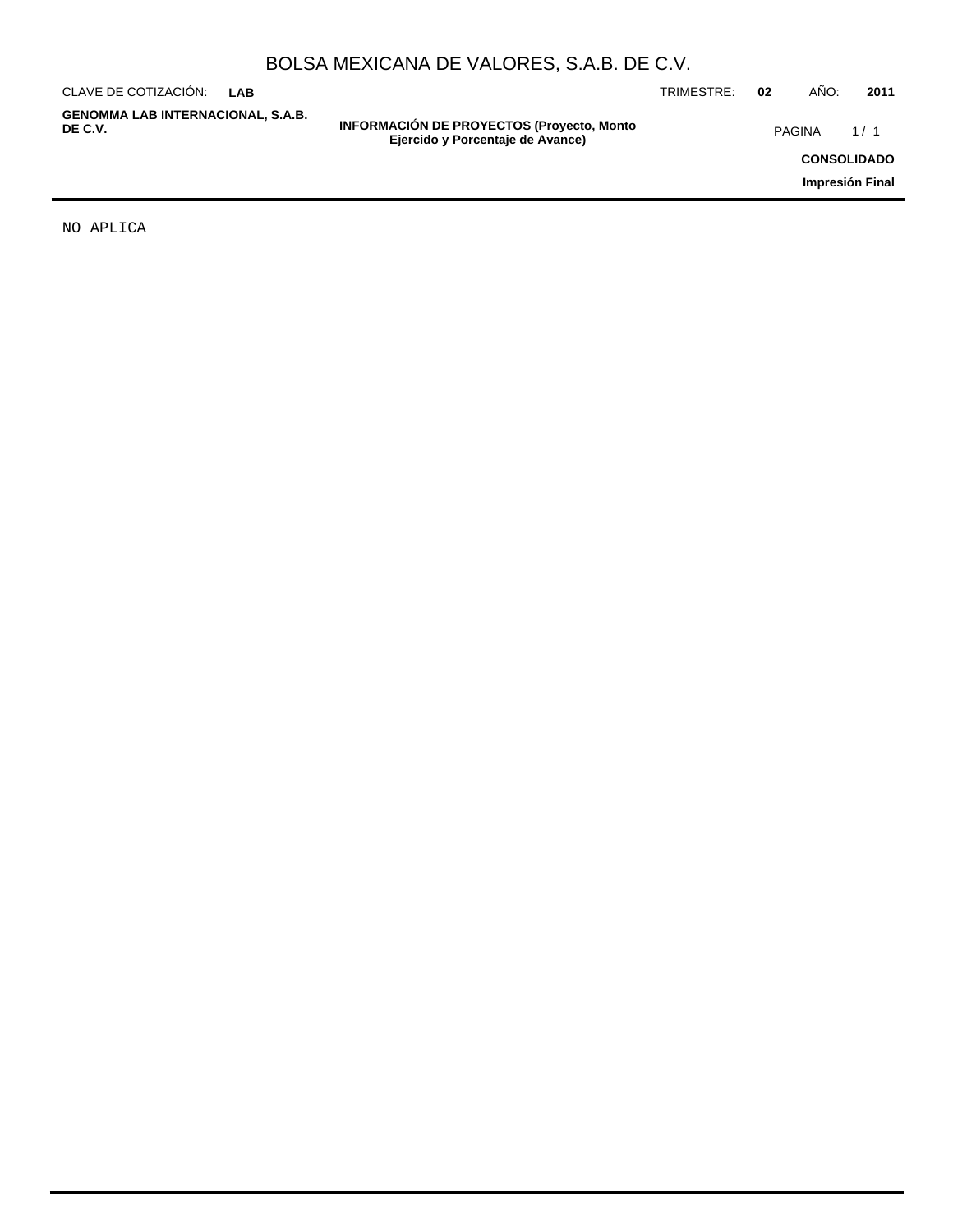| BOLSA MEXICANA DE VALORES, S.A.B. DE C.V.           |  |            |               |      |                    |  |  |  |
|-----------------------------------------------------|--|------------|---------------|------|--------------------|--|--|--|
| CLAVE DE COTIZACIÓN.<br>LAB                         |  | TRIMESTRE: | 02            | AÑO: | 2011               |  |  |  |
| <b>GENOMMA LAB INTERNACIONAL, S.A.B.</b><br>DE C.V. |  |            | <b>PAGINA</b> | 1/1  |                    |  |  |  |
|                                                     |  |            |               |      | <b>CONSOLIDADO</b> |  |  |  |
|                                                     |  |            |               |      | Impresión Final    |  |  |  |

NO APLICA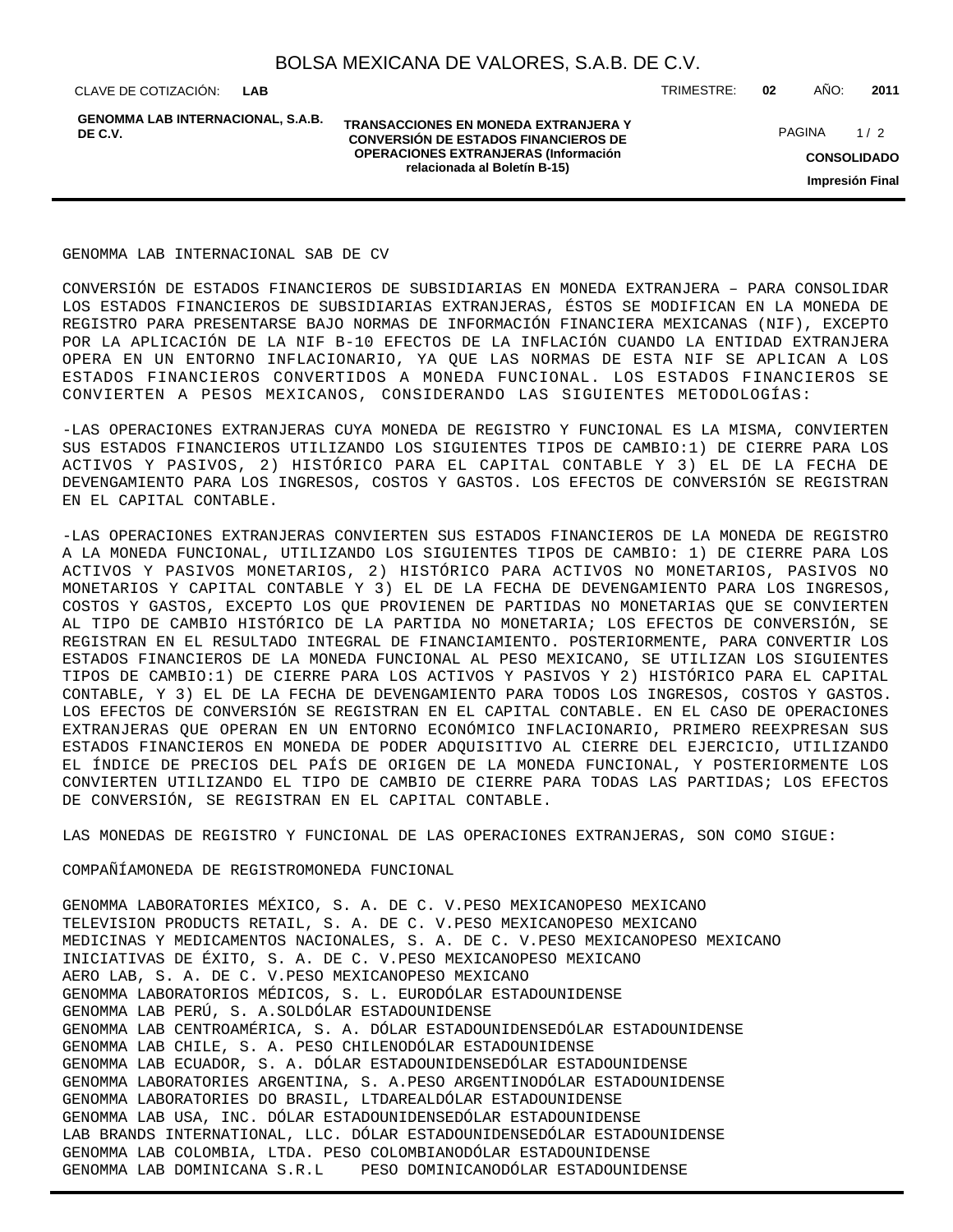**LAB**

**GENOMMA LAB INTERNACIONAL, S.A.B. DE C.V.**

**TRANSACCIONES EN MONEDA EXTRANJERA Y CONVERSIÓN DE ESTADOS FINANCIEROS DE OPERACIONES EXTRANJERAS (Información relacionada al Boletín B-15)**

CLAVE DE COTIZACIÓN: TRIMESTRE: **02** AÑO: **2011**

**CONSOLIDADO** PAGINA 1/2

**Impresión Final**

GENOMMA LAB INTERNACIONAL SAB DE CV

 CONVERSIÓN DE ESTADOS FINANCIEROS DE SUBSIDIARIAS EN MONEDA EXTRANJERA – PARA CONSOLIDAR LOS ESTADOS FINANCIEROS DE SUBSIDIARIAS EXTRANJERAS, ÉSTOS SE MODIFICAN EN LA MONEDA DE REGISTRO PARA PRESENTARSE BAJO NORMAS DE INFORMACIÓN FINANCIERA MEXICANAS (NIF), EXCEPTO POR LA APLICACIÓN DE LA NIF B-10 EFECTOS DE LA INFLACIÓN CUANDO LA ENTIDAD EXTRANJERA OPERA EN UN ENTORNO INFLACIONARIO, YA QUE LAS NORMAS DE ESTA NIF SE APLICAN A LOS ESTADOS FINANCIEROS CONVERTIDOS A MONEDA FUNCIONAL. LOS ESTADOS FINANCIEROS SE CONVIERTEN A PESOS MEXICANOS, CONSIDERANDO LAS SIGUIENTES METODOLOGÍAS:

- LAS OPERACIONES EXTRANJERAS CUYA MONEDA DE REGISTRO Y FUNCIONAL ES LA MISMA, CONVIERTEN SUS ESTADOS FINANCIEROS UTILIZANDO LOS SIGUIENTES TIPOS DE CAMBIO:1) DE CIERRE PARA LOS ACTIVOS Y PASIVOS, 2) HISTÓRICO PARA EL CAPITAL CONTABLE Y 3) EL DE LA FECHA DE DEVENGAMIENTO PARA LOS INGRESOS, COSTOS Y GASTOS. LOS EFECTOS DE CONVERSIÓN SE REGISTRAN EN EL CAPITAL CONTABLE.

- LAS OPERACIONES EXTRANJERAS CONVIERTEN SUS ESTADOS FINANCIEROS DE LA MONEDA DE REGISTRO A LA MONEDA FUNCIONAL, UTILIZANDO LOS SIGUIENTES TIPOS DE CAMBIO: 1) DE CIERRE PARA LOS ACTIVOS Y PASIVOS MONETARIOS, 2) HISTÓRICO PARA ACTIVOS NO MONETARIOS, PASIVOS NO MONETARIOS Y CAPITAL CONTABLE Y 3) EL DE LA FECHA DE DEVENGAMIENTO PARA LOS INGRESOS, COSTOS Y GASTOS, EXCEPTO LOS QUE PROVIENEN DE PARTIDAS NO MONETARIAS QUE SE CONVIERTEN AL TIPO DE CAMBIO HISTÓRICO DE LA PARTIDA NO MONETARIA; LOS EFECTOS DE CONVERSIÓN, SE REGISTRAN EN EL RESULTADO INTEGRAL DE FINANCIAMIENTO. POSTERIORMENTE, PARA CONVERTIR LOS ESTADOS FINANCIEROS DE LA MONEDA FUNCIONAL AL PESO MEXICANO, SE UTILIZAN LOS SIGUIENTES TIPOS DE CAMBIO:1) DE CIERRE PARA LOS ACTIVOS Y PASIVOS Y 2) HISTÓRICO PARA EL CAPITAL CONTABLE, Y 3) EL DE LA FECHA DE DEVENGAMIENTO PARA TODOS LOS INGRESOS, COSTOS Y GASTOS. LOS EFECTOS DE CONVERSIÓN SE REGISTRAN EN EL CAPITAL CONTABLE. EN EL CASO DE OPERACIONES EXTRANJERAS QUE OPERAN EN UN ENTORNO ECONÓMICO INFLACIONARIO, PRIMERO REEXPRESAN SUS ESTADOS FINANCIEROS EN MONEDA DE PODER ADQUISITIVO AL CIERRE DEL EJERCICIO, UTILIZANDO EL ÍNDICE DE PRECIOS DEL PAÍS DE ORIGEN DE LA MONEDA FUNCIONAL, Y POSTERIORMENTE LOS CONVIERTEN UTILIZANDO EL TIPO DE CAMBIO DE CIERRE PARA TODAS LAS PARTIDAS; LOS EFECTOS DE CONVERSIÓN, SE REGISTRAN EN EL CAPITAL CONTABLE.

LAS MONEDAS DE REGISTRO Y FUNCIONAL DE LAS OPERACIONES EXTRANJERAS, SON COMO SIGUE:

COMPAÑÍA MONEDA DE REGISTRO MONEDA FUNCIONAL

GENOMMA LABORATORIES MÉXICO, S. A. DE C. V. PESO MEXICANO PESO MEXICANO TELEVISION PRODUCTS RETAIL, S. A. DE C. V. PESO MEXICANO PESO MEXICANO MEDICINAS Y MEDICAMENTOS NACIONALES, S. A. DE C. V. PESO MEXICANO PESO MEXICANO INICIATIVAS DE ÉXITO, S. A. DE C. V. PESO MEXICANO PESO MEXICANO AERO LAB, S. A. DE C. V. PESO MEXICANO PESO MEXICANO GENOMMA LABORATORIOS MÉDICOS, S. L. EURO DÓLAR ESTADOUNIDENSE GENOMMA LAB PERÚ, S. A. SOL DÓLAR ESTADOUNIDENSE GENOMMA LAB CENTROAMÉRICA, S. A. DÓLAR ESTADOUNIDENSE DÓLAR ESTADOUNIDENSE GENOMMA LAB CHILE, S. A. PESO CHILENO DÓLAR ESTADOUNIDENSE GENOMMA LAB ECUADOR, S. A. DÓLAR ESTADOUNIDENSE DÓLAR ESTADOUNIDENSE GENOMMA LABORATORIES ARGENTINA, S. A. PESO ARGENTINO DÓLAR ESTADOUNIDENSE GENOMMA LABORATORIES DO BRASIL, LTDA REAL DÓLAR ESTADOUNIDENSE GENOMMA LAB USA, INC. DÓLAR ESTADOUNIDENSE DÓLAR ESTADOUNIDENSE LAB BRANDS INTERNATIONAL, LLC. DÓLAR ESTADOUNIDENSE DÓLAR ESTADOUNIDENSE GENOMMA LAB COLOMBIA, LTDA. PESO COLOMBIANO DÓLAR ESTADOUNIDENSE GENOMMA LAB DOMINICANA S.R.L PESO DOMINICANO DÓLAR ESTADOUNIDENSE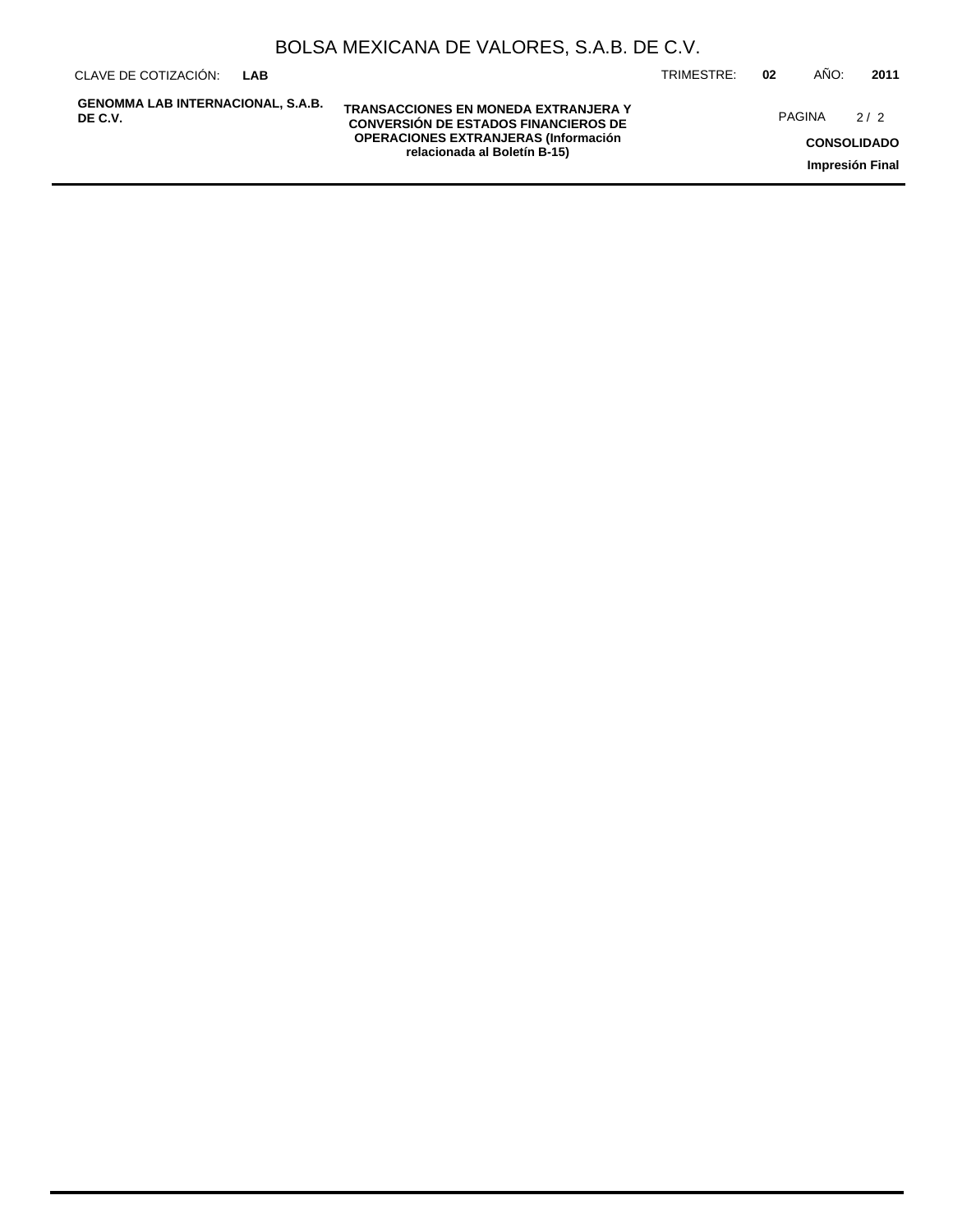**LAB**

**GENOMMA LAB INTERNACIONAL, S.A.B. DE C.V.**

**TRANSACCIONES EN MONEDA EXTRANJERA Y CONVERSIÓN DE ESTADOS FINANCIEROS DE OPERACIONES EXTRANJERAS (Información relacionada al Boletín B-15)**

CLAVE DE COTIZACIÓN: TRIMESTRE: **02** AÑO: **2011**

PAGINA 2/2

**CONSOLIDADO Impresión Final**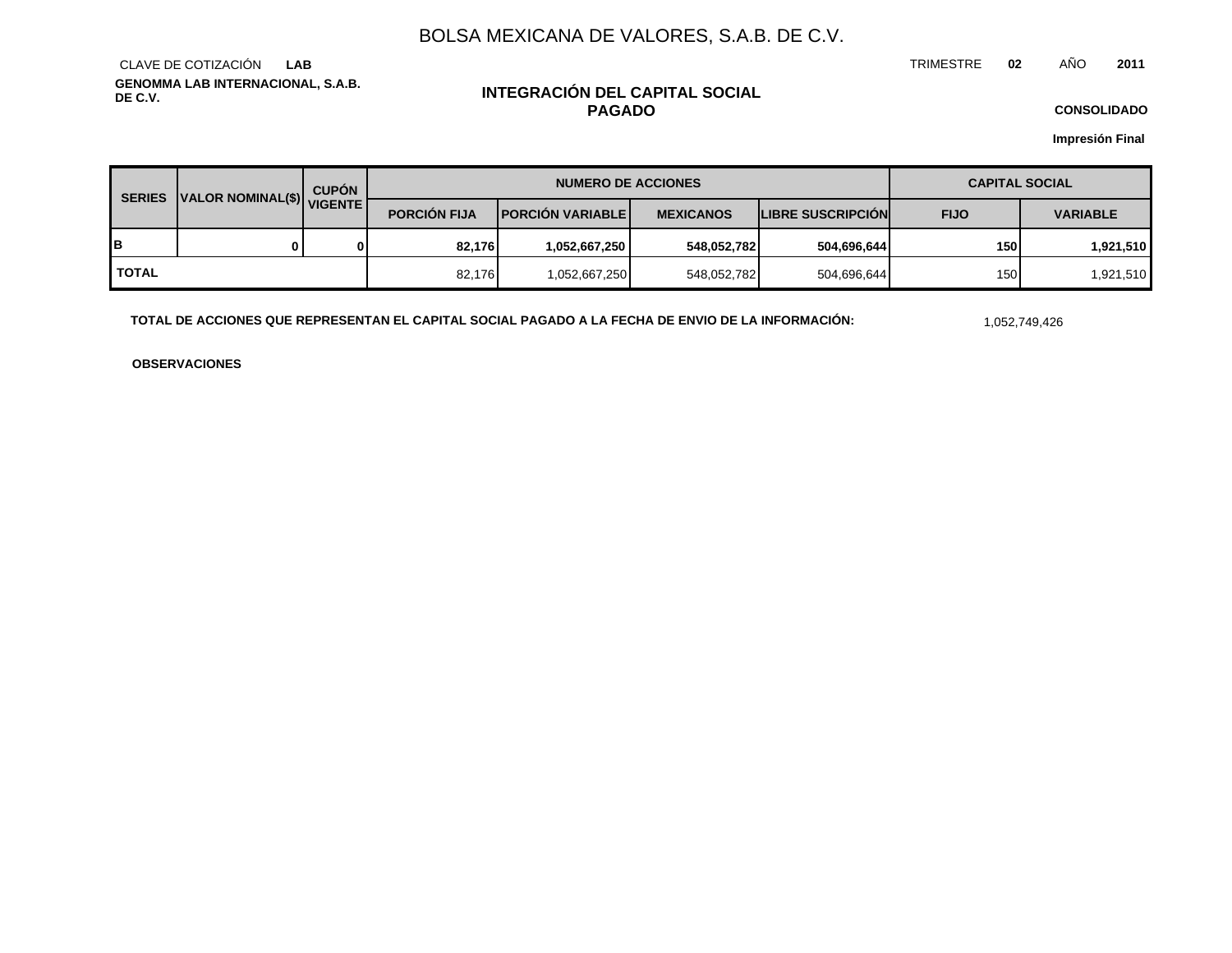TRIMESTRE **02** AÑO **2011**

**GENOMMA LAB INTERNACIONAL, S.A.B. DE C.V.** CLAVE DE COTIZACIÓN **LAB**

# **INTEGRACIÓN DEL CAPITAL SOCIAL PAGADO**

**CONSOLIDADO**

**Impresión Final**

| <b>SERIES</b>             | <b>CUPÓN</b> | <b>NUMERO DE ACCIONES</b> |                          |                  |                          | <b>CAPITAL SOCIAL</b> |                 |           |
|---------------------------|--------------|---------------------------|--------------------------|------------------|--------------------------|-----------------------|-----------------|-----------|
| VALOR NOMINAL(\$) VIGENTE |              | <b>PORCIÓN FIJA</b>       | <b>PORCIÓN VARIABLEI</b> | <b>MEXICANOS</b> | <b>LIBRE SUSCRIPCION</b> | <b>FIJO</b>           | <b>VARIABLE</b> |           |
| в                         | 0            |                           | 82.176                   | 1,052,667,250    | 548,052,782              | 504,696,644           | 150             | 1,921,510 |
| <b>TOTAL</b>              |              |                           | 82.176                   | 1,052,667,250    | 548,052,782              | 504,696,644           | 150             | 1,921,510 |

**TOTAL DE ACCIONES QUE REPRESENTAN EL CAPITAL SOCIAL PAGADO A LA FECHA DE ENVIO DE LA INFORMACIÓN:** 1,052,749,426

**OBSERVACIONES**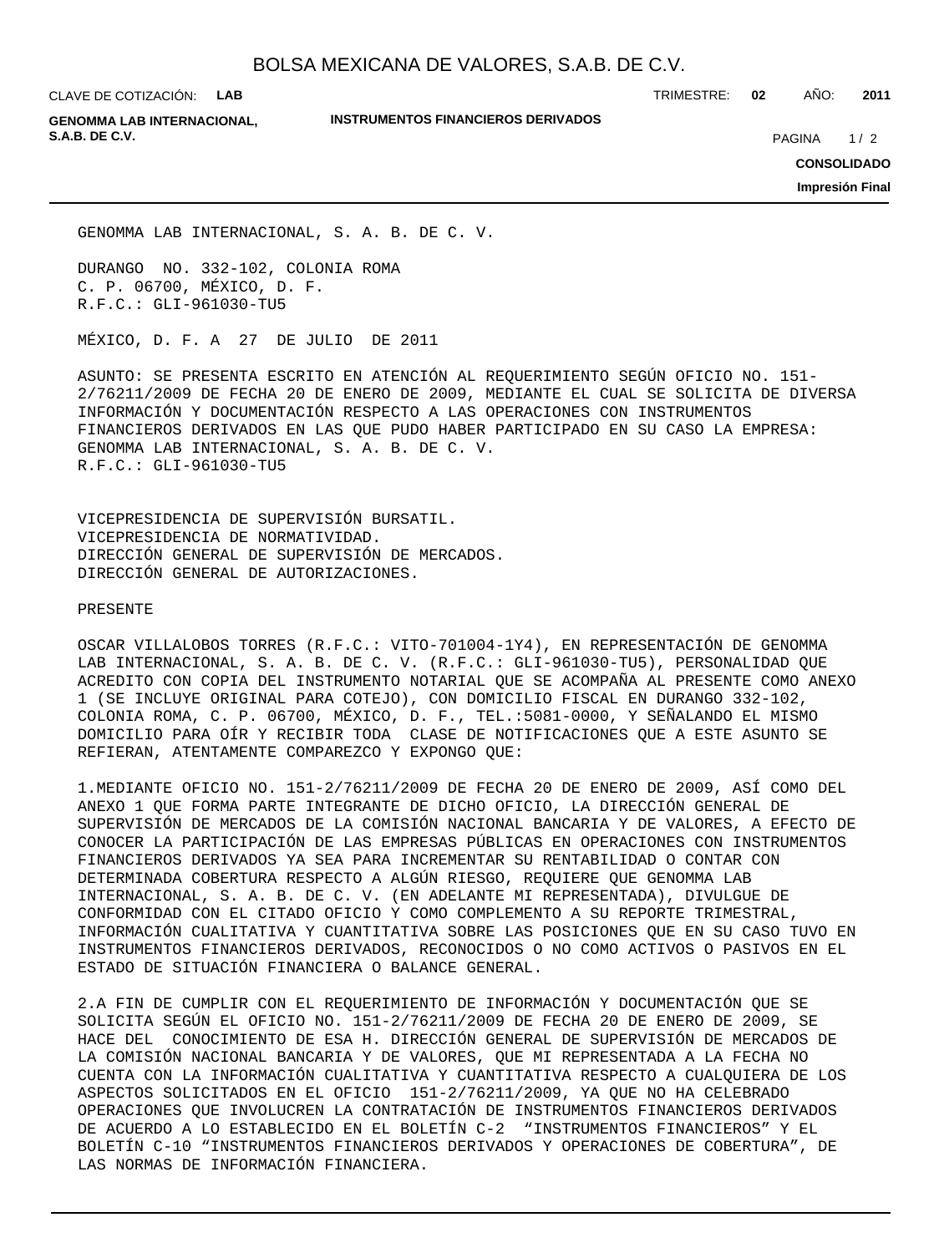CLAVE DE COTIZACIÓN: **LAB**

TRIMESTRE: **02** AÑO: **2011**

**GENOMMA LAB INTERNACIONAL, S.A.B. DE C.V. PAGINA 2020 20:20 20:20 20:20 20:20 20:20 20:20 20:20 20:20 20:20 20:20 20:20 20:20 20:20 20:20 20:20 20:20 20:20 20:20 20:20 20:20 20:20 20:20 20:20 20:20 20:20 20:20 20:20 20:20 20:20 20:20 20:20 20:20** 

### **INSTRUMENTOS FINANCIEROS DERIVADOS**

 $1/2$ 

**CONSOLIDADO**

**Impresión Final**

GENOMMA LAB INTERNACIONAL, S. A. B. DE C. V.

DURANGO NO. 332-102, COLONIA ROMA C. P. 06700, MÉXICO, D. F. R.F.C.: GLI-961030-TU5

MÉXICO, D. F. A 27 DE JULIO DE 2011

ASUNTO: SE PRESENTA ESCRITO EN ATENCIÓN AL REQUERIMIENTO SEGÚN OFICIO NO. 151- 2/76211/2009 DE FECHA 20 DE ENERO DE 2009, MEDIANTE EL CUAL SE SOLICITA DE DIVERSA INFORMACIÓN Y DOCUMENTACIÓN RESPECTO A LAS OPERACIONES CON INSTRUMENTOS FINANCIEROS DERIVADOS EN LAS QUE PUDO HABER PARTICIPADO EN SU CASO LA EMPRESA: GENOMMA LAB INTERNACIONAL, S. A. B. DE C. V. R.F.C.: GLI-961030-TU5

VICEPRESIDENCIA DE SUPERVISIÓN BURSATIL. VICEPRESIDENCIA DE NORMATIVIDAD. DIRECCIÓN GENERAL DE SUPERVISIÓN DE MERCADOS. DIRECCIÓN GENERAL DE AUTORIZACIONES.

PRESENTE

OSCAR VILLALOBOS TORRES (R.F.C.: VITO-701004-1Y4), EN REPRESENTACIÓN DE GENOMMA LAB INTERNACIONAL, S. A. B. DE C. V. (R.F.C.: GLI-961030-TU5), PERSONALIDAD QUE ACREDITO CON COPIA DEL INSTRUMENTO NOTARIAL QUE SE ACOMPAÑA AL PRESENTE COMO ANEXO 1 (SE INCLUYE ORIGINAL PARA COTEJO), CON DOMICILIO FISCAL EN DURANGO 332-102, COLONIA ROMA, C. P. 06700, MÉXICO, D. F., TEL.:5081-0000, Y SEÑALANDO EL MISMO DOMICILIO PARA OÍR Y RECIBIR TODA CLASE DE NOTIFICACIONES QUE A ESTE ASUNTO SE REFIERAN, ATENTAMENTE COMPAREZCO Y EXPONGO QUE:

1. MEDIANTE OFICIO NO. 151-2/76211/2009 DE FECHA 20 DE ENERO DE 2009, ASÍ COMO DEL ANEXO 1 QUE FORMA PARTE INTEGRANTE DE DICHO OFICIO, LA DIRECCIÓN GENERAL DE SUPERVISIÓN DE MERCADOS DE LA COMISIÓN NACIONAL BANCARIA Y DE VALORES, A EFECTO DE CONOCER LA PARTICIPACIÓN DE LAS EMPRESAS PÚBLICAS EN OPERACIONES CON INSTRUMENTOS FINANCIEROS DERIVADOS YA SEA PARA INCREMENTAR SU RENTABILIDAD O CONTAR CON DETERMINADA COBERTURA RESPECTO A ALGÚN RIESGO, REQUIERE QUE GENOMMA LAB INTERNACIONAL, S. A. B. DE C. V. (EN ADELANTE MI REPRESENTADA), DIVULGUE DE CONFORMIDAD CON EL CITADO OFICIO Y COMO COMPLEMENTO A SU REPORTE TRIMESTRAL, INFORMACIÓN CUALITATIVA Y CUANTITATIVA SOBRE LAS POSICIONES QUE EN SU CASO TUVO EN INSTRUMENTOS FINANCIEROS DERIVADOS, RECONOCIDOS O NO COMO ACTIVOS O PASIVOS EN EL ESTADO DE SITUACIÓN FINANCIERA O BALANCE GENERAL.

2. A FIN DE CUMPLIR CON EL REQUERIMIENTO DE INFORMACIÓN Y DOCUMENTACIÓN QUE SE SOLICITA SEGÚN EL OFICIO NO. 151-2/76211/2009 DE FECHA 20 DE ENERO DE 2009, SE HACE DEL CONOCIMIENTO DE ESA H. DIRECCIÓN GENERAL DE SUPERVISIÓN DE MERCADOS DE LA COMISIÓN NACIONAL BANCARIA Y DE VALORES, QUE MI REPRESENTADA A LA FECHA NO CUENTA CON LA INFORMACIÓN CUALITATIVA Y CUANTITATIVA RESPECTO A CUALQUIERA DE LOS ASPECTOS SOLICITADOS EN EL OFICIO 151-2/76211/2009, YA QUE NO HA CELEBRADO OPERACIONES QUE INVOLUCREN LA CONTRATACIÓN DE INSTRUMENTOS FINANCIEROS DERIVADOS DE ACUERDO A LO ESTABLECIDO EN EL BOLETÍN C-2 "INSTRUMENTOS FINANCIEROS" Y EL BOLETÍN C-10 "INSTRUMENTOS FINANCIEROS DERIVADOS Y OPERACIONES DE COBERTURA", DE LAS NORMAS DE INFORMACIÓN FINANCIERA.